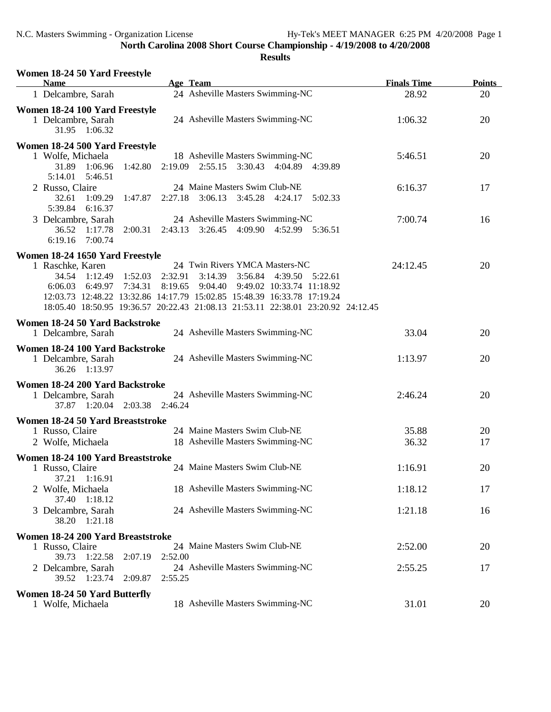| Women 18-24 50 Yard Freestyle<br>Age Team<br><b>Name</b>                                                                                                                                                                                                                                                                                                                                                                  | <b>Finals Time</b> | Points   |
|---------------------------------------------------------------------------------------------------------------------------------------------------------------------------------------------------------------------------------------------------------------------------------------------------------------------------------------------------------------------------------------------------------------------------|--------------------|----------|
| 24 Asheville Masters Swimming-NC<br>1 Delcambre, Sarah                                                                                                                                                                                                                                                                                                                                                                    | 28.92              | 20       |
| Women 18-24 100 Yard Freestyle<br>24 Asheville Masters Swimming-NC<br>1 Delcambre, Sarah<br>31.95 1:06.32                                                                                                                                                                                                                                                                                                                 | 1:06.32            | 20       |
| Women 18-24 500 Yard Freestyle<br>18 Asheville Masters Swimming-NC<br>1 Wolfe, Michaela<br>31.89<br>1:06.96 1:42.80<br>2:19.09 2:55.15 3:30.43 4:04.89 4:39.89                                                                                                                                                                                                                                                            | 5:46.51            | 20       |
| 5:14.01<br>5:46.51<br>2 Russo, Claire<br>24 Maine Masters Swim Club-NE<br>2:27.18 3:06.13 3:45.28 4:24.17<br>1:47.87<br>5:02.33<br>32.61<br>1:09.29<br>5:39.84 6:16.37                                                                                                                                                                                                                                                    | 6:16.37            | 17       |
| 3 Delcambre, Sarah<br>24 Asheville Masters Swimming-NC<br>36.52 1:17.78<br>2:00.31<br>2:43.13 3:26.45 4:09.90 4:52.99 5:36.51<br>7:00.74<br>6:19.16                                                                                                                                                                                                                                                                       | 7:00.74            | 16       |
| Women 18-24 1650 Yard Freestyle<br>24 Twin Rivers YMCA Masters-NC<br>1 Raschke, Karen<br>2:32.91<br>3:14.39<br>3:56.84 4:39.50 5:22.61<br>34.54<br>$1:12.49$ $1:52.03$<br>7:34.31<br>8:19.65<br>9:04.40<br>9:49.02 10:33.74 11:18.92<br>6:06.03<br>6:49.97<br>12:03.73 12:48.22 13:32.86 14:17.79 15:02.85 15:48.39 16:33.78 17:19.24<br>18:05.40 18:50.95 19:36.57 20:22.43 21:08.13 21:53.11 22:38.01 23:20.92 24:12.45 | 24:12.45           | 20       |
| Women 18-24 50 Yard Backstroke<br>24 Asheville Masters Swimming-NC<br>1 Delcambre, Sarah                                                                                                                                                                                                                                                                                                                                  | 33.04              | 20       |
| Women 18-24 100 Yard Backstroke<br>24 Asheville Masters Swimming-NC<br>1 Delcambre, Sarah<br>36.26 1:13.97                                                                                                                                                                                                                                                                                                                | 1:13.97            | 20       |
| Women 18-24 200 Yard Backstroke<br>24 Asheville Masters Swimming-NC<br>1 Delcambre, Sarah<br>37.87 1:20.04 2:03.38 2:46.24                                                                                                                                                                                                                                                                                                | 2:46.24            | 20       |
| Women 18-24 50 Yard Breaststroke<br>24 Maine Masters Swim Club-NE<br>1 Russo, Claire<br>18 Asheville Masters Swimming-NC<br>2 Wolfe, Michaela                                                                                                                                                                                                                                                                             | 35.88<br>36.32     | 20<br>17 |
| Women 18-24 100 Yard Breaststroke<br>24 Maine Masters Swim Club-NE<br>1 Russo, Claire<br>37.21 1:16.91                                                                                                                                                                                                                                                                                                                    | 1:16.91            | 20       |
| 18 Asheville Masters Swimming-NC<br>2 Wolfe, Michaela<br>37.40 1:18.12                                                                                                                                                                                                                                                                                                                                                    | 1:18.12            | 17       |
| 24 Asheville Masters Swimming-NC<br>3 Delcambre, Sarah<br>38.20 1:21.18                                                                                                                                                                                                                                                                                                                                                   | 1:21.18            | 16       |
| Women 18-24 200 Yard Breaststroke                                                                                                                                                                                                                                                                                                                                                                                         |                    |          |
| 24 Maine Masters Swim Club-NE<br>1 Russo, Claire<br>39.73 1:22.58<br>2:07.19<br>2:52.00                                                                                                                                                                                                                                                                                                                                   | 2:52.00            | 20       |
| 24 Asheville Masters Swimming-NC<br>2 Delcambre, Sarah<br>39.52 1:23.74<br>2:09.87<br>2:55.25                                                                                                                                                                                                                                                                                                                             | 2:55.25            | 17       |
| Women 18-24 50 Yard Butterfly<br>18 Asheville Masters Swimming-NC<br>1 Wolfe, Michaela                                                                                                                                                                                                                                                                                                                                    | 31.01              | 20       |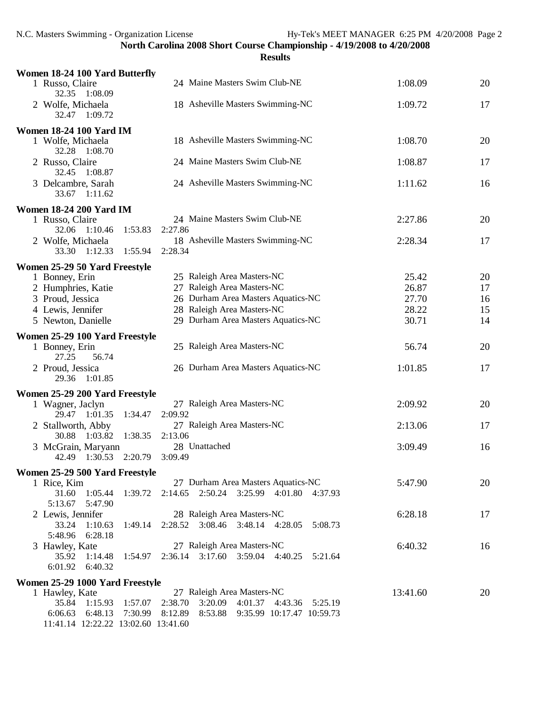**Results**

| Women 18-24 100 Yard Butterfly                                                                            |          |    |
|-----------------------------------------------------------------------------------------------------------|----------|----|
| 24 Maine Masters Swim Club-NE<br>1 Russo, Claire<br>32.35 1:08.09                                         | 1:08.09  | 20 |
| 18 Asheville Masters Swimming-NC<br>2 Wolfe, Michaela<br>32.47 1:09.72                                    | 1:09.72  | 17 |
| <b>Women 18-24 100 Yard IM</b>                                                                            |          |    |
| 18 Asheville Masters Swimming-NC<br>1 Wolfe, Michaela<br>32.28 1:08.70                                    | 1:08.70  | 20 |
| 24 Maine Masters Swim Club-NE<br>2 Russo, Claire<br>32.45 1:08.87                                         | 1:08.87  | 17 |
| 24 Asheville Masters Swimming-NC<br>3 Delcambre, Sarah<br>33.67 1:11.62                                   | 1:11.62  | 16 |
| <b>Women 18-24 200 Yard IM</b>                                                                            |          |    |
| 24 Maine Masters Swim Club-NE<br>1 Russo, Claire<br>32.06 1:10.46<br>2:27.86<br>1:53.83                   | 2:27.86  | 20 |
| 2 Wolfe, Michaela<br>18 Asheville Masters Swimming-NC<br>33.30 1:12.33<br>1:55.94<br>2:28.34              | 2:28.34  | 17 |
|                                                                                                           |          |    |
| Women 25-29 50 Yard Freestyle<br>25 Raleigh Area Masters-NC<br>1 Bonney, Erin                             | 25.42    | 20 |
| 27 Raleigh Area Masters-NC<br>2 Humphries, Katie                                                          | 26.87    | 17 |
| 26 Durham Area Masters Aquatics-NC<br>3 Proud, Jessica                                                    | 27.70    | 16 |
| 28 Raleigh Area Masters-NC<br>4 Lewis, Jennifer                                                           | 28.22    | 15 |
| 29 Durham Area Masters Aquatics-NC<br>5 Newton, Danielle                                                  | 30.71    | 14 |
| Women 25-29 100 Yard Freestyle                                                                            |          |    |
| 25 Raleigh Area Masters-NC<br>1 Bonney, Erin<br>27.25<br>56.74                                            | 56.74    | 20 |
| 26 Durham Area Masters Aquatics-NC<br>2 Proud, Jessica<br>29.36<br>1:01.85                                | 1:01.85  | 17 |
| Women 25-29 200 Yard Freestyle                                                                            |          |    |
| 27 Raleigh Area Masters-NC<br>1 Wagner, Jaclyn                                                            | 2:09.92  | 20 |
| 29.47 1:01.35<br>1:34.47<br>2:09.92                                                                       |          |    |
| 27 Raleigh Area Masters-NC<br>2 Stallworth, Abby<br>30.88 1:03.82<br>1:38.35<br>2:13.06                   | 2:13.06  | 17 |
| 28 Unattached<br>3 McGrain, Maryann                                                                       | 3:09.49  | 16 |
| 42.49 1:30.53 2:20.79<br>3:09.49                                                                          |          |    |
| Women 25-29 500 Yard Freestyle                                                                            |          |    |
| 27 Durham Area Masters Aquatics-NC<br>1 Rice, Kim                                                         | 5:47.90  | 20 |
| 31.60<br>1:05.44<br>1:39.72<br>2:14.65 2:50.24 3:25.99 4:01.80 4:37.93<br>5:13.67<br>5:47.90              |          |    |
| 28 Raleigh Area Masters-NC<br>2 Lewis, Jennifer                                                           | 6:28.18  | 17 |
| 2:28.52<br>$3:08.46$ $3:48.14$<br>33.24<br>1:10.63<br>1:49.14<br>4:28.05<br>5:08.73<br>6:28.18<br>5:48.96 |          |    |
| 27 Raleigh Area Masters-NC<br>3 Hawley, Kate                                                              | 6:40.32  | 16 |
| 35.92 1:14.48<br>2:36.14 3:17.60 3:59.04 4:40.25<br>1:54.97<br>5:21.64<br>6:01.92 6:40.32                 |          |    |
| Women 25-29 1000 Yard Freestyle                                                                           |          |    |
| 27 Raleigh Area Masters-NC<br>1 Hawley, Kate                                                              | 13:41.60 | 20 |
| 35.84<br>1:15.93<br>2:38.70<br>4:01.37<br>1:57.07<br>3:20.09<br>4:43.36<br>5:25.19                        |          |    |
| 6:48.13<br>6:06.63<br>7:30.99<br>8:12.89 8:53.88<br>9:35.99 10:17.47 10:59.73                             |          |    |
|                                                                                                           |          |    |

11:41.14 12:22.22 13:02.60 13:41.60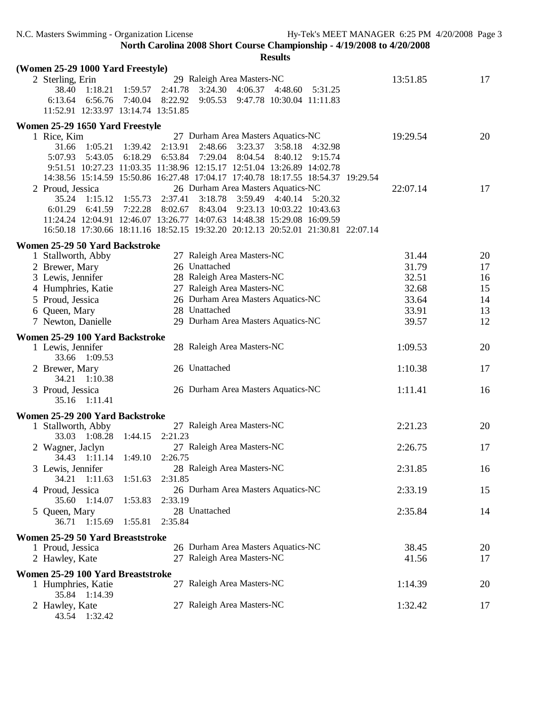| (Women 25-29 1000 Yard Freestyle)   |                                                                                                                                                            |          |          |
|-------------------------------------|------------------------------------------------------------------------------------------------------------------------------------------------------------|----------|----------|
| 2 Sterling, Erin                    | 29 Raleigh Area Masters-NC                                                                                                                                 | 13:51.85 | 17       |
| 38.40 1:18.21                       | 1:59.57<br>2:41.78<br>3:24.30 4:06.37<br>4:48.60<br>5:31.25                                                                                                |          |          |
| 6:56.76 7:40.04<br>6:13.64          | 8:22.92<br>9:05.53 9:47.78 10:30.04 11:11.83                                                                                                               |          |          |
| 11:52.91 12:33.97 13:14.74 13:51.85 |                                                                                                                                                            |          |          |
| Women 25-29 1650 Yard Freestyle     |                                                                                                                                                            |          |          |
| 1 Rice, Kim                         | 27 Durham Area Masters Aquatics-NC                                                                                                                         | 19:29.54 | 20       |
| 31.66<br>1:05.21                    | 2:13.91<br>2:48.66<br>3:23.37<br>3:58.18<br>4:32.98<br>1:39.42                                                                                             |          |          |
| 5:07.93<br>5:43.05                  | 6:53.84<br>7:29.04<br>8:04.54<br>8:40.12<br>6:18.29<br>9:15.74                                                                                             |          |          |
|                                     | 9:51.51 10:27.23 11:03.35 11:38.96 12:15.17 12:51.04 13:26.89 14:02.78<br>14:38.56 15:14.59 15:50.86 16:27.48 17:04.17 17:40.78 18:17.55 18:54.37 19:29.54 |          |          |
| 2 Proud, Jessica                    | 26 Durham Area Masters Aquatics-NC                                                                                                                         | 22:07.14 | 17       |
| 35.24<br>1:15.12                    | 2:37.41 3:18.78 3:59.49 4:40.14 5:20.32<br>1:55.73                                                                                                         |          |          |
| 6:01.29 6:41.59 7:22.28             | 8:02.67 8:43.04<br>9:23.13 10:03.22 10:43.63                                                                                                               |          |          |
|                                     | 11:24.24 12:04.91 12:46.07 13:26.77 14:07.63 14:48.38 15:29.08 16:09.59                                                                                    |          |          |
|                                     | 16:50.18 17:30.66 18:11.16 18:52.15 19:32.20 20:12.13 20:52.01 21:30.81 22:07.14                                                                           |          |          |
| Women 25-29 50 Yard Backstroke      |                                                                                                                                                            |          |          |
| 1 Stallworth, Abby                  | 27 Raleigh Area Masters-NC                                                                                                                                 | 31.44    | 20       |
| 2 Brewer, Mary                      | 26 Unattached                                                                                                                                              | 31.79    | 17       |
| 3 Lewis, Jennifer                   | 28 Raleigh Area Masters-NC                                                                                                                                 | 32.51    | 16       |
| 4 Humphries, Katie                  | 27 Raleigh Area Masters-NC                                                                                                                                 | 32.68    | 15       |
| 5 Proud, Jessica                    | 26 Durham Area Masters Aquatics-NC                                                                                                                         | 33.64    | 14       |
| 6 Queen, Mary                       | 28 Unattached                                                                                                                                              | 33.91    | 13       |
| 7 Newton, Danielle                  | 29 Durham Area Masters Aquatics-NC                                                                                                                         | 39.57    | 12       |
| Women 25-29 100 Yard Backstroke     |                                                                                                                                                            |          |          |
| 1 Lewis, Jennifer                   | 28 Raleigh Area Masters-NC                                                                                                                                 | 1:09.53  | 20       |
| 33.66 1:09.53                       |                                                                                                                                                            |          |          |
| 2 Brewer, Mary                      | 26 Unattached                                                                                                                                              | 1:10.38  | 17       |
| 34.21 1:10.38                       |                                                                                                                                                            |          |          |
| 3 Proud, Jessica                    | 26 Durham Area Masters Aquatics-NC                                                                                                                         | 1:11.41  | 16       |
| 1:11.41<br>35.16                    |                                                                                                                                                            |          |          |
| Women 25-29 200 Yard Backstroke     |                                                                                                                                                            |          |          |
| 1 Stallworth, Abby                  | 27 Raleigh Area Masters-NC                                                                                                                                 | 2:21.23  | 20       |
| 33.03 1:08.28                       | 1:44.15 2:21.23                                                                                                                                            |          |          |
| 2 Wagner, Jaclyn                    | 27 Raleigh Area Masters-NC                                                                                                                                 | 2:26.75  | 17       |
| 34.43 1:11.14                       | 2:26.75<br>1:49.10                                                                                                                                         |          |          |
| 3 Lewis, Jennifer                   | 28 Raleigh Area Masters-NC                                                                                                                                 | 2:31.85  | 16       |
| 34.21 1:11.63                       | 1:51.63<br>2:31.85                                                                                                                                         |          |          |
| 4 Proud, Jessica<br>35.60 1:14.07   | 26 Durham Area Masters Aquatics-NC                                                                                                                         | 2:33.19  | 15       |
| 5 Queen, Mary                       | 1:53.83<br>2:33.19<br>28 Unattached                                                                                                                        | 2:35.84  | 14       |
| 36.71 1:15.69                       | 2:35.84<br>1:55.81                                                                                                                                         |          |          |
|                                     |                                                                                                                                                            |          |          |
| Women 25-29 50 Yard Breaststroke    | 26 Durham Area Masters Aquatics-NC                                                                                                                         | 38.45    |          |
| 1 Proud, Jessica<br>2 Hawley, Kate  | 27 Raleigh Area Masters-NC                                                                                                                                 | 41.56    | 20<br>17 |
|                                     |                                                                                                                                                            |          |          |
| Women 25-29 100 Yard Breaststroke   |                                                                                                                                                            |          |          |
| 1 Humphries, Katie                  | 27 Raleigh Area Masters-NC                                                                                                                                 | 1:14.39  | 20       |
| 35.84 1:14.39<br>2 Hawley, Kate     | 27 Raleigh Area Masters-NC                                                                                                                                 | 1:32.42  | 17       |
| 43.54 1:32.42                       |                                                                                                                                                            |          |          |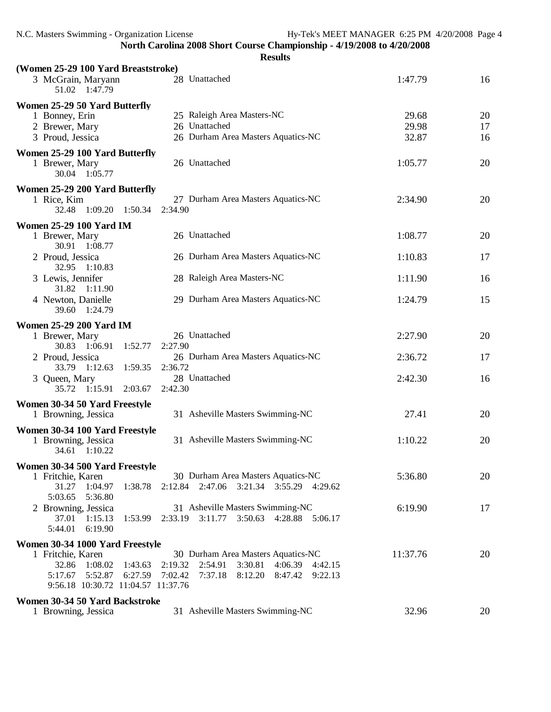| (Women 25-29 100 Yard Breaststroke)                                                            |                                                                                |          |    |
|------------------------------------------------------------------------------------------------|--------------------------------------------------------------------------------|----------|----|
| 3 McGrain, Maryann<br>51.02 1:47.79                                                            | 28 Unattached                                                                  | 1:47.79  | 16 |
| Women 25-29 50 Yard Butterfly                                                                  |                                                                                |          |    |
| 1 Bonney, Erin                                                                                 | 25 Raleigh Area Masters-NC                                                     | 29.68    | 20 |
| 2 Brewer, Mary                                                                                 | 26 Unattached                                                                  | 29.98    | 17 |
| 3 Proud, Jessica                                                                               | 26 Durham Area Masters Aquatics-NC                                             | 32.87    | 16 |
| Women 25-29 100 Yard Butterfly<br>1 Brewer, Mary<br>30.04 1:05.77                              | 26 Unattached                                                                  | 1:05.77  | 20 |
| Women 25-29 200 Yard Butterfly<br>1 Rice, Kim<br>32.48 1:09.20 1:50.34                         | 27 Durham Area Masters Aquatics-NC<br>2:34.90                                  | 2:34.90  | 20 |
| <b>Women 25-29 100 Yard IM</b><br>1 Brewer, Mary<br>30.91 1:08.77                              | 26 Unattached                                                                  | 1:08.77  | 20 |
| 2 Proud, Jessica<br>32.95 1:10.83                                                              | 26 Durham Area Masters Aquatics-NC                                             | 1:10.83  | 17 |
| 3 Lewis, Jennifer<br>31.82 1:11.90                                                             | 28 Raleigh Area Masters-NC                                                     | 1:11.90  | 16 |
| 4 Newton, Danielle<br>39.60 1:24.79                                                            | 29 Durham Area Masters Aquatics-NC                                             | 1:24.79  | 15 |
| <b>Women 25-29 200 Yard IM</b>                                                                 |                                                                                |          |    |
| 1 Brewer, Mary                                                                                 | 26 Unattached                                                                  | 2:27.90  | 20 |
| 30.83 1:06.91 1:52.77                                                                          | 2:27.90                                                                        |          |    |
| 2 Proud, Jessica                                                                               | 26 Durham Area Masters Aquatics-NC                                             | 2:36.72  | 17 |
| 33.79 1:12.63 1:59.35                                                                          | 2:36.72                                                                        |          |    |
| 3 Queen, Mary<br>35.72 1:15.91 2:03.67                                                         | 28 Unattached<br>2:42.30                                                       | 2:42.30  | 16 |
| Women 30-34 50 Yard Freestyle                                                                  |                                                                                |          |    |
| 1 Browning, Jessica                                                                            | 31 Asheville Masters Swimming-NC                                               | 27.41    | 20 |
| Women 30-34 100 Yard Freestyle                                                                 |                                                                                |          |    |
| 1 Browning, Jessica<br>34.61 1:10.22                                                           | 31 Asheville Masters Swimming-NC                                               | 1:10.22  | 20 |
| Women 30-34 500 Yard Freestyle                                                                 |                                                                                |          |    |
| 1 Fritchie, Karen<br>1:38.78<br>31.27<br>1:04.97                                               | 30 Durham Area Masters Aquatics-NC<br>2:12.84 2:47.06 3:21.34 3:55.29 4:29.62  | 5:36.80  | 20 |
| 5:36.80<br>5:03.65<br>2 Browning, Jessica<br>37.01<br>1:15.13<br>1:53.99<br>6:19.90<br>5:44.01 | 31 Asheville Masters Swimming-NC<br>2:33.19 3:11.77 3:50.63 4:28.88<br>5:06.17 | 6:19.90  | 17 |
| Women 30-34 1000 Yard Freestyle                                                                |                                                                                |          |    |
| 1 Fritchie, Karen                                                                              | 30 Durham Area Masters Aquatics-NC                                             | 11:37.76 | 20 |
| 1:08.02<br>32.86<br>1:43.63                                                                    | 2:19.32<br>2:54.91<br>3:30.81<br>4:06.39<br>4:42.15                            |          |    |
| 5:17.67<br>5:52.87<br>6:27.59<br>9:56.18 10:30.72 11:04.57 11:37.76                            | 7:02.42<br>7:37.18<br>8:12.20<br>8:47.42<br>9:22.13                            |          |    |
| Women 30-34 50 Yard Backstroke                                                                 |                                                                                |          |    |
| 1 Browning, Jessica                                                                            | 31 Asheville Masters Swimming-NC                                               | 32.96    | 20 |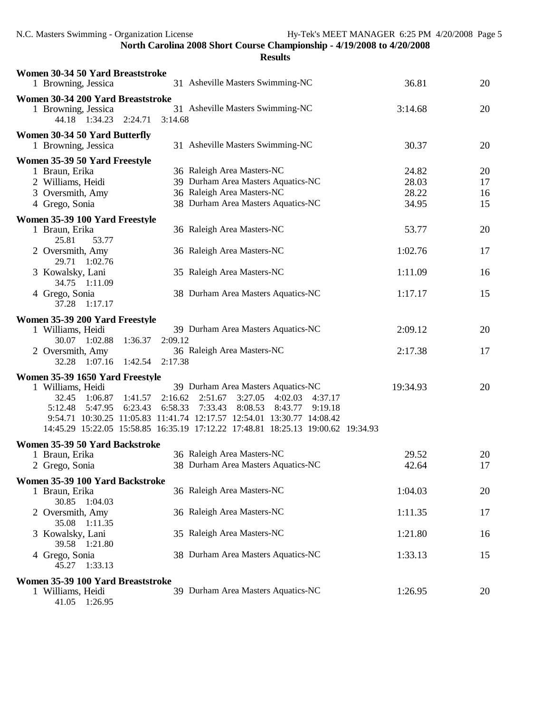| Women 30-34 50 Yard Breaststroke<br>1 Browning, Jessica                                                                                                                                                                                                         | 31 Asheville Masters Swimming-NC                                                                                           | 36.81          | 20       |
|-----------------------------------------------------------------------------------------------------------------------------------------------------------------------------------------------------------------------------------------------------------------|----------------------------------------------------------------------------------------------------------------------------|----------------|----------|
| Women 30-34 200 Yard Breaststroke                                                                                                                                                                                                                               |                                                                                                                            |                |          |
| 1 Browning, Jessica<br>44.18 1:34.23 2:24.71<br>3:14.68                                                                                                                                                                                                         | 31 Asheville Masters Swimming-NC                                                                                           | 3:14.68        | 20       |
| Women 30-34 50 Yard Butterfly<br>1 Browning, Jessica                                                                                                                                                                                                            | 31 Asheville Masters Swimming-NC                                                                                           | 30.37          | 20       |
| Women 35-39 50 Yard Freestyle                                                                                                                                                                                                                                   |                                                                                                                            |                |          |
| 1 Braun, Erika                                                                                                                                                                                                                                                  | 36 Raleigh Area Masters-NC                                                                                                 | 24.82          | 20       |
| 2 Williams, Heidi<br>3 Oversmith, Amy                                                                                                                                                                                                                           | 39 Durham Area Masters Aquatics-NC<br>36 Raleigh Area Masters-NC                                                           | 28.03<br>28.22 | 17<br>16 |
| 4 Grego, Sonia                                                                                                                                                                                                                                                  | 38 Durham Area Masters Aquatics-NC                                                                                         | 34.95          | 15       |
| Women 35-39 100 Yard Freestyle                                                                                                                                                                                                                                  |                                                                                                                            |                |          |
| 1 Braun, Erika<br>25.81<br>53.77                                                                                                                                                                                                                                | 36 Raleigh Area Masters-NC                                                                                                 | 53.77          | 20       |
| 2 Oversmith, Amy<br>29.71<br>1:02.76                                                                                                                                                                                                                            | 36 Raleigh Area Masters-NC                                                                                                 | 1:02.76        | 17       |
| 3 Kowalsky, Lani<br>34.75 1:11.09                                                                                                                                                                                                                               | 35 Raleigh Area Masters-NC                                                                                                 | 1:11.09        | 16       |
| 4 Grego, Sonia<br>37.28 1:17.17                                                                                                                                                                                                                                 | 38 Durham Area Masters Aquatics-NC                                                                                         | 1:17.17        | 15       |
| Women 35-39 200 Yard Freestyle                                                                                                                                                                                                                                  |                                                                                                                            |                |          |
| 1 Williams, Heidi<br>30.07 1:02.88<br>2:09.12<br>1:36.37                                                                                                                                                                                                        | 39 Durham Area Masters Aquatics-NC                                                                                         | 2:09.12        | 20       |
| 2 Oversmith, Amy<br>32.28 1:07.16 1:42.54 2:17.38                                                                                                                                                                                                               | 36 Raleigh Area Masters-NC                                                                                                 | 2:17.38        | 17       |
| Women 35-39 1650 Yard Freestyle                                                                                                                                                                                                                                 |                                                                                                                            |                |          |
| 1 Williams, Heidi<br>2:16.62<br>32.45 1:06.87 1:41.57<br>6:58.33<br>5:12.48<br>5:47.95<br>6:23.43<br>9:54.71 10:30.25 11:05.83 11:41.74 12:17.57 12:54.01 13:30.77 14:08.42<br>14:45.29 15:22.05 15:58.85 16:35.19 17:12.22 17:48.81 18:25.13 19:00.62 19:34.93 | 39 Durham Area Masters Aquatics-NC<br>2:51.67<br>3:27.05<br>4:02.03<br>4:37.17<br>7:33.43<br>8:08.53<br>8:43.77<br>9:19.18 | 19:34.93       | 20       |
| Women 35-39 50 Yard Backstroke                                                                                                                                                                                                                                  |                                                                                                                            |                |          |
| 1 Braun, Erika                                                                                                                                                                                                                                                  | 36 Raleigh Area Masters-NC                                                                                                 | 29.52          | 20       |
| 2 Grego, Sonia                                                                                                                                                                                                                                                  | 38 Durham Area Masters Aquatics-NC                                                                                         | 42.64          | 17       |
| Women 35-39 100 Yard Backstroke                                                                                                                                                                                                                                 |                                                                                                                            |                |          |
| 1 Braun, Erika<br>30.85 1:04.03                                                                                                                                                                                                                                 | 36 Raleigh Area Masters-NC                                                                                                 | 1:04.03        | 20       |
| 2 Oversmith, Amy<br>35.08 1:11.35                                                                                                                                                                                                                               | 36 Raleigh Area Masters-NC                                                                                                 | 1:11.35        | 17       |
| 3 Kowalsky, Lani<br>39.58 1:21.80                                                                                                                                                                                                                               | 35 Raleigh Area Masters-NC                                                                                                 | 1:21.80        | 16       |
| 4 Grego, Sonia<br>45.27 1:33.13                                                                                                                                                                                                                                 | 38 Durham Area Masters Aquatics-NC                                                                                         | 1:33.13        | 15       |
| Women 35-39 100 Yard Breaststroke                                                                                                                                                                                                                               |                                                                                                                            |                |          |
| 1 Williams, Heidi<br>41.05<br>1:26.95                                                                                                                                                                                                                           | 39 Durham Area Masters Aquatics-NC                                                                                         | 1:26.95        | 20       |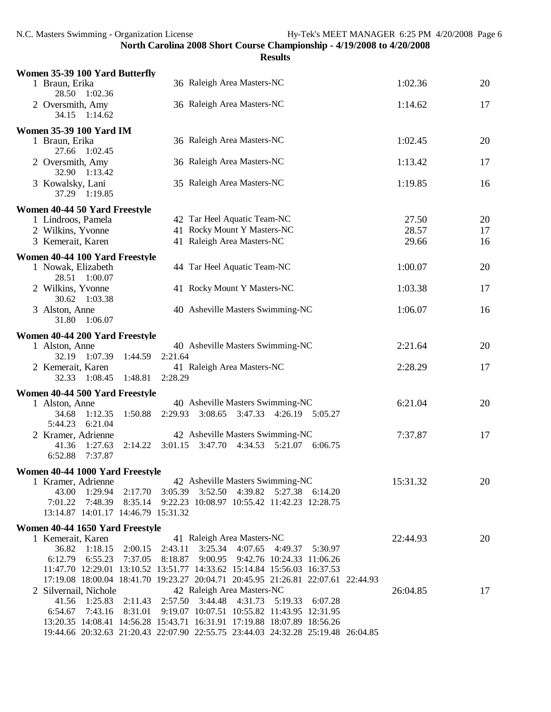| Women 35-39 100 Yard Butterfly                                   |                                                                                                                 |                |          |
|------------------------------------------------------------------|-----------------------------------------------------------------------------------------------------------------|----------------|----------|
| 1 Braun, Erika<br>28.50 1:02.36                                  | 36 Raleigh Area Masters-NC                                                                                      | 1:02.36        | 20       |
| 2 Oversmith, Amy<br>34.15 1:14.62                                | 36 Raleigh Area Masters-NC                                                                                      | 1:14.62        | 17       |
| <b>Women 35-39 100 Yard IM</b>                                   | 36 Raleigh Area Masters-NC                                                                                      |                | 20       |
| 1 Braun, Erika<br>27.66 1:02.45                                  |                                                                                                                 | 1:02.45        |          |
| 2 Oversmith, Amy<br>32.90 1:13.42                                | 36 Raleigh Area Masters-NC                                                                                      | 1:13.42        | 17       |
| 3 Kowalsky, Lani<br>37.29 1:19.85                                | 35 Raleigh Area Masters-NC                                                                                      | 1:19.85        | 16       |
| Women 40-44 50 Yard Freestyle                                    |                                                                                                                 |                |          |
| 1 Lindroos, Pamela                                               | 42 Tar Heel Aquatic Team-NC<br>41 Rocky Mount Y Masters-NC                                                      | 27.50          | 20       |
| 2 Wilkins, Yvonne<br>3 Kemerait, Karen                           | 41 Raleigh Area Masters-NC                                                                                      | 28.57<br>29.66 | 17<br>16 |
| Women 40-44 100 Yard Freestyle                                   |                                                                                                                 |                |          |
| 1 Nowak, Elizabeth<br>28.51 1:00.07                              | 44 Tar Heel Aquatic Team-NC                                                                                     | 1:00.07        | 20       |
| 2 Wilkins, Yvonne<br>30.62 1:03.38                               | 41 Rocky Mount Y Masters-NC                                                                                     | 1:03.38        | 17       |
| 3 Alston, Anne<br>31.80 1:06.07                                  | 40 Asheville Masters Swimming-NC                                                                                | 1:06.07        | 16       |
| Women 40-44 200 Yard Freestyle                                   |                                                                                                                 |                |          |
| 1 Alston, Anne                                                   | 40 Asheville Masters Swimming-NC                                                                                | 2:21.64        | 20       |
| 32.19 1:07.39 1:44.59<br>2 Kemerait, Karen                       | 2:21.64<br>41 Raleigh Area Masters-NC                                                                           | 2:28.29        | 17       |
| 32.33 1:08.45 1:48.81                                            | 2:28.29                                                                                                         |                |          |
| Women 40-44 500 Yard Freestyle                                   |                                                                                                                 |                |          |
| 1 Alston, Anne<br>1:50.88<br>34.68<br>1:12.35<br>5:44.23 6:21.04 | 40 Asheville Masters Swimming-NC<br>2:29.93 3:08.65 3:47.33 4:26.19 5:05.27                                     | 6:21.04        | 20       |
| 2 Kramer, Adrienne                                               | 42 Asheville Masters Swimming-NC                                                                                | 7:37.87        | 17       |
| 41.36 1:27.63<br>2:14.22<br>6:52.88 7:37.87                      | 3:01.15 3:47.70 4:34.53 5:21.07 6:06.75                                                                         |                |          |
| Women 40-44 1000 Yard Freestyle                                  |                                                                                                                 |                |          |
| 1 Kramer, Adrienne                                               | 42 Asheville Masters Swimming-NC                                                                                | 15:31.32       | 20       |
|                                                                  | 43.00 1:29.94 2:17.70 3:05.39 3:52.50 4:39.82 5:27.38 6:14.20                                                   |                |          |
| 13:14.87 14:01.17 14:46.79 15:31.32                              | 7:01.22 7:48.39 8:35.14 9:22.23 10:08.97 10:55.42 11:42.23 12:28.75                                             |                |          |
| Women 40-44 1650 Yard Freestyle                                  |                                                                                                                 |                |          |
| 1 Kemerait, Karen                                                | 41 Raleigh Area Masters-NC                                                                                      | 22:44.93       | 20       |
| 36.82<br>1:18.15<br>2:00.15<br>6:12.79 6:55.23 7:37.05           | 3:25.34 4:07.65 4:49.37 5:30.97<br>2:43.11<br>8:18.87<br>9:00.95  9:42.76  10:24.33  11:06.26                   |                |          |
|                                                                  | 11:47.70 12:29.01 13:10.52 13:51.77 14:33.62 15:14.84 15:56.03 16:37.53                                         |                |          |
|                                                                  | 17:19.08 18:00.04 18:41.70 19:23.27 20:04.71 20:45.95 21:26.81 22:07.61 22:44.93                                |                |          |
| 2 Silvernail, Nichole                                            | 42 Raleigh Area Masters-NC                                                                                      | 26:04.85       | 17       |
| 6:54.67 7:43.16 8:31.01                                          | 41.56 1:25.83 2:11.43 2:57.50 3:44.48 4:31.73 5:19.33<br>6:07.28<br>9:19.07 10:07.51 10:55.82 11:43.95 12:31.95 |                |          |
|                                                                  | 13:20.35 14:08.41 14:56.28 15:43.71 16:31.91 17:19.88 18:07.89 18:56.26                                         |                |          |
|                                                                  | 19:44.66 20:32.63 21:20.43 22:07.90 22:55.75 23:44.03 24:32.28 25:19.48 26:04.85                                |                |          |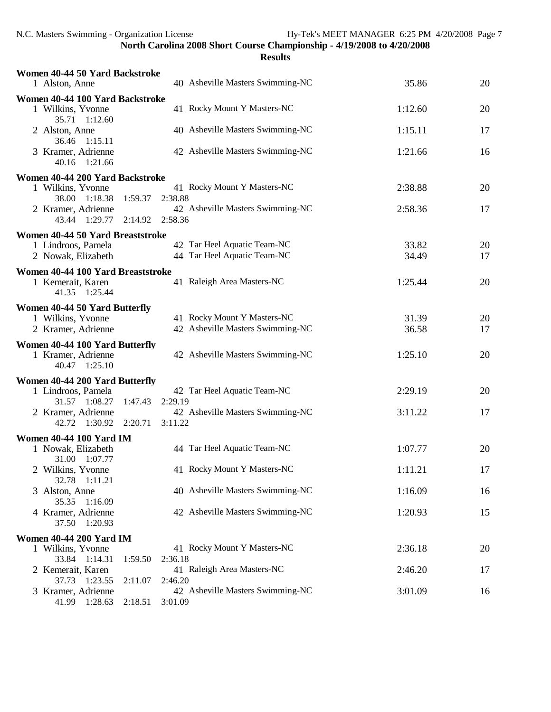| Women 40-44 50 Yard Backstroke                     |         |                                             |         |    |
|----------------------------------------------------|---------|---------------------------------------------|---------|----|
| 1 Alston, Anne                                     |         | 40 Asheville Masters Swimming-NC            | 35.86   | 20 |
| Women 40-44 100 Yard Backstroke                    |         |                                             |         |    |
| 1 Wilkins, Yvonne                                  |         | 41 Rocky Mount Y Masters-NC                 | 1:12.60 | 20 |
| 35.71 1:12.60<br>2 Alston, Anne                    |         | 40 Asheville Masters Swimming-NC            | 1:15.11 | 17 |
| 36.46 1:15.11                                      |         |                                             |         |    |
| 3 Kramer, Adrienne                                 |         | 42 Asheville Masters Swimming-NC            | 1:21.66 | 16 |
| 40.16 1:21.66                                      |         |                                             |         |    |
| Women 40-44 200 Yard Backstroke                    |         |                                             |         |    |
| 1 Wilkins, Yvonne                                  |         | 41 Rocky Mount Y Masters-NC                 | 2:38.88 | 20 |
| 38.00 1:18.38<br>2 Kramer, Adrienne                | 1:59.37 | 2:38.88<br>42 Asheville Masters Swimming-NC | 2:58.36 | 17 |
| 43.44 1:29.77                                      | 2:14.92 | 2:58.36                                     |         |    |
| Women 40-44 50 Yard Breaststroke                   |         |                                             |         |    |
| 1 Lindroos, Pamela                                 |         | 42 Tar Heel Aquatic Team-NC                 | 33.82   | 20 |
| 2 Nowak, Elizabeth                                 |         | 44 Tar Heel Aquatic Team-NC                 | 34.49   | 17 |
| Women 40-44 100 Yard Breaststroke                  |         |                                             |         |    |
| 1 Kemerait, Karen                                  |         | 41 Raleigh Area Masters-NC                  | 1:25.44 | 20 |
| 41.35 1:25.44                                      |         |                                             |         |    |
| Women 40-44 50 Yard Butterfly<br>1 Wilkins, Yvonne |         | 41 Rocky Mount Y Masters-NC                 | 31.39   | 20 |
| 2 Kramer, Adrienne                                 |         | 42 Asheville Masters Swimming-NC            | 36.58   | 17 |
| Women 40-44 100 Yard Butterfly                     |         |                                             |         |    |
| 1 Kramer, Adrienne                                 |         | 42 Asheville Masters Swimming-NC            | 1:25.10 | 20 |
| 40.47 1:25.10                                      |         |                                             |         |    |
| Women 40-44 200 Yard Butterfly                     |         |                                             |         |    |
| 1 Lindroos, Pamela                                 |         | 42 Tar Heel Aquatic Team-NC                 | 2:29.19 | 20 |
| 31.57 1:08.27<br>2 Kramer, Adrienne                | 1:47.43 | 2:29.19<br>42 Asheville Masters Swimming-NC | 3:11.22 | 17 |
| 42.72 1:30.92                                      | 2:20.71 | 3:11.22                                     |         |    |
| <b>Women 40-44 100 Yard IM</b>                     |         |                                             |         |    |
| 1 Nowak, Elizabeth                                 |         | 44 Tar Heel Aquatic Team-NC                 | 1:07.77 | 20 |
| 31.00 1:07.77                                      |         |                                             |         |    |
| 2 Wilkins, Yvonne<br>32.78 1:11.21                 |         | 41 Rocky Mount Y Masters-NC                 | 1:11.21 | 17 |
| 3 Alston, Anne                                     |         | 40 Asheville Masters Swimming-NC            | 1:16.09 | 16 |
| 35.35 1:16.09                                      |         |                                             |         |    |
| 4 Kramer, Adrienne                                 |         | 42 Asheville Masters Swimming-NC            | 1:20.93 | 15 |
| 37.50 1:20.93                                      |         |                                             |         |    |
| <b>Women 40-44 200 Yard IM</b>                     |         |                                             |         |    |
| 1 Wilkins, Yvonne<br>33.84 1:14.31                 | 1:59.50 | 41 Rocky Mount Y Masters-NC<br>2:36.18      | 2:36.18 | 20 |
| 2 Kemerait, Karen                                  |         | 41 Raleigh Area Masters-NC                  | 2:46.20 | 17 |
| 37.73 1:23.55                                      | 2:11.07 | 2:46.20                                     |         |    |
| 3 Kramer, Adrienne                                 |         | 42 Asheville Masters Swimming-NC            | 3:01.09 | 16 |
| 41.99 1:28.63                                      | 2:18.51 | 3:01.09                                     |         |    |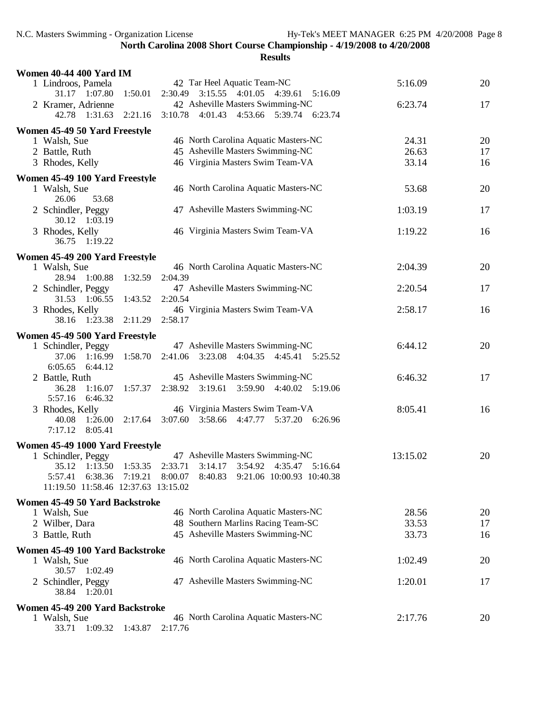|                | <b>Women 40-44 400 Yard IM</b>                   |         |                                                                                                               |          |    |
|----------------|--------------------------------------------------|---------|---------------------------------------------------------------------------------------------------------------|----------|----|
|                | 1 Lindroos, Pamela<br>31.17 1:07.80 1:50.01      |         | 42 Tar Heel Aquatic Team-NC<br>2:30.49 3:15.55 4:01.05 4:39.61<br>5:16.09                                     | 5:16.09  | 20 |
|                | 2 Kramer, Adrienne<br>42.78 1:31.63 2:21.16      |         | 42 Asheville Masters Swimming-NC<br>3:10.78 4:01.43 4:53.66 5:39.74 6:23.74                                   | 6:23.74  | 17 |
|                | Women 45-49 50 Yard Freestyle                    |         |                                                                                                               |          |    |
| 1 Walsh, Sue   |                                                  |         | 46 North Carolina Aquatic Masters-NC                                                                          | 24.31    | 20 |
| 2 Battle, Ruth |                                                  |         | 45 Asheville Masters Swimming-NC                                                                              | 26.63    | 17 |
|                | 3 Rhodes, Kelly                                  |         | 46 Virginia Masters Swim Team-VA                                                                              | 33.14    | 16 |
|                | Women 45-49 100 Yard Freestyle                   |         |                                                                                                               |          |    |
| 1 Walsh, Sue   | 26.06<br>53.68                                   |         | 46 North Carolina Aquatic Masters-NC                                                                          | 53.68    | 20 |
|                | 2 Schindler, Peggy<br>30.12 1:03.19              |         | 47 Asheville Masters Swimming-NC                                                                              | 1:03.19  | 17 |
|                | 3 Rhodes, Kelly<br>36.75 1:19.22                 |         | 46 Virginia Masters Swim Team-VA                                                                              | 1:19.22  | 16 |
|                | Women 45-49 200 Yard Freestyle                   |         |                                                                                                               |          |    |
| 1 Walsh, Sue   |                                                  |         | 46 North Carolina Aquatic Masters-NC                                                                          | 2:04.39  | 20 |
|                | 28.94 1:00.88                                    | 1:32.59 | 2:04.39                                                                                                       |          |    |
|                | 2 Schindler, Peggy                               |         | 47 Asheville Masters Swimming-NC                                                                              | 2:20.54  | 17 |
|                | 31.53 1:06.55 1:43.52 2:20.54                    |         |                                                                                                               |          |    |
|                | 3 Rhodes, Kelly<br>38.16 1:23.38 2:11.29 2:58.17 |         | 46 Virginia Masters Swim Team-VA                                                                              | 2:58.17  | 16 |
|                | Women 45-49 500 Yard Freestyle                   |         |                                                                                                               |          |    |
|                | 1 Schindler, Peggy                               |         | 47 Asheville Masters Swimming-NC                                                                              | 6:44.12  | 20 |
|                | 37.06 1:16.99                                    | 1:58.70 | 2:41.06 3:23.08 4:04.35 4:45.41 5:25.52                                                                       |          |    |
| 2 Battle, Ruth | 6:05.65 6:44.12                                  |         | 45 Asheville Masters Swimming-NC                                                                              | 6:46.32  | 17 |
|                | 36.28 1:16.07                                    |         | 1:57.37 2:38.92 3:19.61 3:59.90 4:40.02 5:19.06                                                               |          |    |
|                | 5:57.16 6:46.32                                  |         |                                                                                                               |          |    |
|                | 3 Rhodes, Kelly                                  |         | 46 Virginia Masters Swim Team-VA                                                                              | 8:05.41  | 16 |
|                |                                                  |         | 40.08 1:26.00 2:17.64 3:07.60 3:58.66 4:47.77 5:37.20 6:26.96                                                 |          |    |
|                | 7:17.12  8:05.41                                 |         |                                                                                                               |          |    |
|                | Women 45-49 1000 Yard Freestyle                  |         |                                                                                                               |          |    |
|                | 1 Schindler, Peggy                               |         | 47 Asheville Masters Swimming-NC                                                                              | 13:15.02 | 20 |
| 5:57.41        | 6:38.36                                          | 7:19.21 | 35.12 1:13.50 1:53.35 2:33.71 3:14.17 3:54.92 4:35.47 5:16.64<br>8:00.07<br>8:40.83 9:21.06 10:00.93 10:40.38 |          |    |
|                | 11:19.50 11:58.46 12:37.63 13:15.02              |         |                                                                                                               |          |    |
|                | Women 45-49 50 Yard Backstroke                   |         |                                                                                                               |          |    |
| 1 Walsh, Sue   |                                                  |         | 46 North Carolina Aquatic Masters-NC                                                                          | 28.56    | 20 |
|                | 2 Wilber, Dara                                   |         | 48 Southern Marlins Racing Team-SC                                                                            | 33.53    | 17 |
| 3 Battle, Ruth |                                                  |         | 45 Asheville Masters Swimming-NC                                                                              | 33.73    | 16 |
|                | Women 45-49 100 Yard Backstroke                  |         |                                                                                                               |          |    |
| 1 Walsh, Sue   |                                                  |         | 46 North Carolina Aquatic Masters-NC                                                                          | 1:02.49  | 20 |
|                | 30.57<br>1:02.49                                 |         |                                                                                                               |          |    |
|                | 2 Schindler, Peggy<br>38.84 1:20.01              |         | 47 Asheville Masters Swimming-NC                                                                              | 1:20.01  | 17 |
|                | Women 45-49 200 Yard Backstroke                  |         |                                                                                                               |          |    |
| 1 Walsh, Sue   |                                                  |         | 46 North Carolina Aquatic Masters-NC                                                                          | 2:17.76  | 20 |
|                | 33.71 1:09.32 1:43.87                            |         | 2:17.76                                                                                                       |          |    |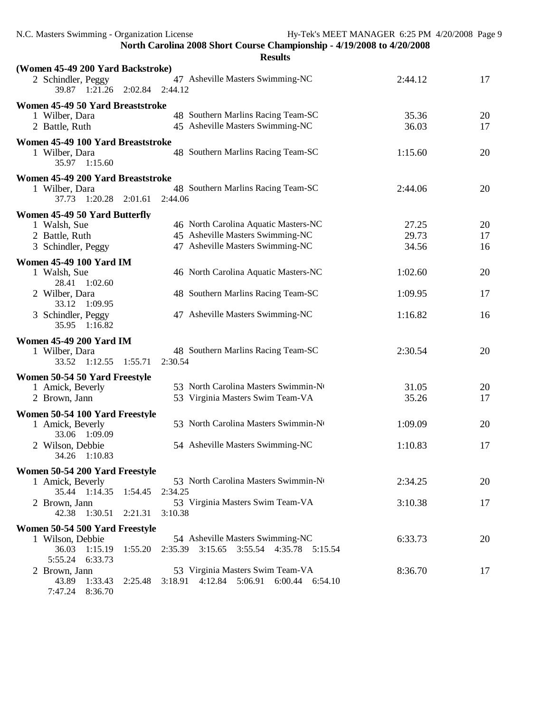| (Women 45-49 200 Yard Backstroke)                   |         |                                            |         |    |
|-----------------------------------------------------|---------|--------------------------------------------|---------|----|
| 2 Schindler, Peggy<br>39.87 1:21.26 2:02.84 2:44.12 |         | 47 Asheville Masters Swimming-NC           | 2:44.12 | 17 |
| Women 45-49 50 Yard Breaststroke                    |         |                                            |         |    |
| 1 Wilber, Dara                                      |         | 48 Southern Marlins Racing Team-SC         | 35.36   | 20 |
| 2 Battle, Ruth                                      |         | 45 Asheville Masters Swimming-NC           | 36.03   | 17 |
| Women 45-49 100 Yard Breaststroke                   |         |                                            |         |    |
| 1 Wilber, Dara<br>35.97 1:15.60                     |         | 48 Southern Marlins Racing Team-SC         | 1:15.60 | 20 |
| Women 45-49 200 Yard Breaststroke                   |         |                                            |         |    |
| 1 Wilber, Dara                                      |         | 48 Southern Marlins Racing Team-SC         | 2:44.06 | 20 |
| 37.73 1:20.28 2:01.61                               |         | 2:44.06                                    |         |    |
| Women 45-49 50 Yard Butterfly                       |         |                                            |         |    |
| 1 Walsh, Sue                                        |         | 46 North Carolina Aquatic Masters-NC       | 27.25   | 20 |
| 2 Battle, Ruth                                      |         | 45 Asheville Masters Swimming-NC           | 29.73   | 17 |
| 3 Schindler, Peggy                                  |         | 47 Asheville Masters Swimming-NC           | 34.56   | 16 |
| <b>Women 45-49 100 Yard IM</b>                      |         |                                            |         |    |
| 1 Walsh, Sue                                        |         | 46 North Carolina Aquatic Masters-NC       | 1:02.60 | 20 |
| 28.41 1:02.60                                       |         |                                            |         |    |
| 2 Wilber, Dara                                      |         | 48 Southern Marlins Racing Team-SC         | 1:09.95 | 17 |
| 33.12 1:09.95                                       |         |                                            |         |    |
| 3 Schindler, Peggy                                  |         | 47 Asheville Masters Swimming-NC           | 1:16.82 | 16 |
| 35.95 1:16.82                                       |         |                                            |         |    |
|                                                     |         |                                            |         |    |
|                                                     |         |                                            |         |    |
| <b>Women 45-49 200 Yard IM</b>                      |         |                                            |         |    |
| 1 Wilber, Dara                                      |         | 48 Southern Marlins Racing Team-SC         | 2:30.54 | 20 |
| 33.52 1:12.55 1:55.71                               |         | 2:30.54                                    |         |    |
| Women 50-54 50 Yard Freestyle                       |         |                                            |         |    |
| 1 Amick, Beverly                                    |         | 53 North Carolina Masters Swimmin-No       | 31.05   | 20 |
| 2 Brown, Jann                                       |         | 53 Virginia Masters Swim Team-VA           | 35.26   | 17 |
| Women 50-54 100 Yard Freestyle                      |         |                                            |         |    |
| 1 Amick, Beverly                                    |         | 53 North Carolina Masters Swimmin-No       | 1:09.09 | 20 |
| 33.06 1:09.09                                       |         |                                            |         |    |
| 2 Wilson, Debbie                                    |         | 54 Asheville Masters Swimming-NC           | 1:10.83 | 17 |
| 34.26 1:10.83                                       |         |                                            |         |    |
| Women 50-54 200 Yard Freestyle                      |         |                                            |         |    |
| 1 Amick, Beverly                                    |         | 53 North Carolina Masters Swimmin-No       | 2:34.25 | 20 |
| 35.44 1:14.35                                       | 1:54.45 | 2:34.25                                    |         |    |
| 2 Brown, Jann                                       |         | 53 Virginia Masters Swim Team-VA           | 3:10.38 | 17 |
| 42.38<br>1:30.51                                    | 2:21.31 | 3:10.38                                    |         |    |
| Women 50-54 500 Yard Freestyle                      |         |                                            |         |    |
| 1 Wilson, Debbie                                    |         | 54 Asheville Masters Swimming-NC           | 6:33.73 | 20 |
| 36.03<br>1:15.19                                    | 1:55.20 | 3:15.65 3:55.54 4:35.78 5:15.54<br>2:35.39 |         |    |
| 6:33.73<br>5:55.24                                  |         |                                            |         |    |
| 2 Brown, Jann                                       |         | 53 Virginia Masters Swim Team-VA           | 8:36.70 | 17 |
| 43.89<br>1:33.43<br>7:47.24 8:36.70                 | 2:25.48 | 3:18.91 4:12.84 5:06.91 6:00.44 6:54.10    |         |    |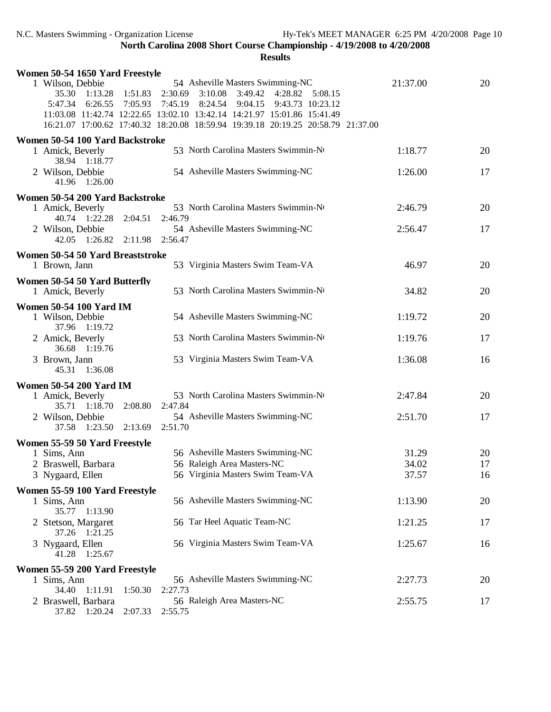| Women 50-54 1650 Yard Freestyle                                                  |                                                                                                                                                                                                                                                                                                             |          |    |
|----------------------------------------------------------------------------------|-------------------------------------------------------------------------------------------------------------------------------------------------------------------------------------------------------------------------------------------------------------------------------------------------------------|----------|----|
| 1 Wilson, Debbie<br>35.30<br>1:13.28<br>1:51.83<br>5:47.34<br>6:26.55<br>7:05.93 | 54 Asheville Masters Swimming-NC<br>3:10.08<br>2:30.69<br>3:49.42<br>4:28.82<br>5:08.15<br>8:24.54<br>7:45.19<br>9:04.15<br>9:43.73 10:23.12<br>11:03.08 11:42.74 12:22.65 13:02.10 13:42.14 14:21.97 15:01.86 15:41.49<br>16:21.07 17:00.62 17:40.32 18:20.08 18:59.94 19:39.18 20:19.25 20:58.79 21:37.00 | 21:37.00 | 20 |
| Women 50-54 100 Yard Backstroke                                                  |                                                                                                                                                                                                                                                                                                             |          |    |
| 1 Amick, Beverly<br>38.94 1:18.77                                                | 53 North Carolina Masters Swimmin-No                                                                                                                                                                                                                                                                        | 1:18.77  | 20 |
| 2 Wilson, Debbie<br>41.96 1:26.00                                                | 54 Asheville Masters Swimming-NC                                                                                                                                                                                                                                                                            | 1:26.00  | 17 |
| Women 50-54 200 Yard Backstroke                                                  |                                                                                                                                                                                                                                                                                                             |          |    |
| 1 Amick, Beverly                                                                 | 53 North Carolina Masters Swimmin-No                                                                                                                                                                                                                                                                        | 2:46.79  | 20 |
| 40.74 1:22.28 2:04.51                                                            | 2:46.79                                                                                                                                                                                                                                                                                                     |          |    |
| 2 Wilson, Debbie                                                                 | 54 Asheville Masters Swimming-NC                                                                                                                                                                                                                                                                            | 2:56.47  | 17 |
| 42.05 1:26.82 2:11.98 2:56.47                                                    |                                                                                                                                                                                                                                                                                                             |          |    |
|                                                                                  |                                                                                                                                                                                                                                                                                                             |          |    |
| Women 50-54 50 Yard Breaststroke<br>1 Brown, Jann                                | 53 Virginia Masters Swim Team-VA                                                                                                                                                                                                                                                                            | 46.97    | 20 |
|                                                                                  |                                                                                                                                                                                                                                                                                                             |          |    |
| Women 50-54 50 Yard Butterfly                                                    |                                                                                                                                                                                                                                                                                                             |          |    |
| 1 Amick, Beverly                                                                 | 53 North Carolina Masters Swimmin-No                                                                                                                                                                                                                                                                        | 34.82    | 20 |
| <b>Women 50-54 100 Yard IM</b>                                                   |                                                                                                                                                                                                                                                                                                             |          |    |
| 1 Wilson, Debbie                                                                 | 54 Asheville Masters Swimming-NC                                                                                                                                                                                                                                                                            | 1:19.72  | 20 |
| 37.96 1:19.72                                                                    |                                                                                                                                                                                                                                                                                                             |          |    |
| 2 Amick, Beverly                                                                 | 53 North Carolina Masters Swimmin-No                                                                                                                                                                                                                                                                        | 1:19.76  | 17 |
| 36.68 1:19.76                                                                    |                                                                                                                                                                                                                                                                                                             |          |    |
| 3 Brown, Jann                                                                    | 53 Virginia Masters Swim Team-VA                                                                                                                                                                                                                                                                            | 1:36.08  | 16 |
| 45.31 1:36.08                                                                    |                                                                                                                                                                                                                                                                                                             |          |    |
|                                                                                  |                                                                                                                                                                                                                                                                                                             |          |    |
| <b>Women 50-54 200 Yard IM</b>                                                   | 53 North Carolina Masters Swimmin-No                                                                                                                                                                                                                                                                        |          |    |
| 1 Amick, Beverly<br>35.71 1:18.70<br>2:08.80                                     | 2:47.84                                                                                                                                                                                                                                                                                                     | 2:47.84  | 20 |
|                                                                                  |                                                                                                                                                                                                                                                                                                             | 2:51.70  |    |
| 2 Wilson, Debbie<br>37.58 1:23.50 2:13.69                                        | 54 Asheville Masters Swimming-NC<br>2:51.70                                                                                                                                                                                                                                                                 |          | 17 |
|                                                                                  |                                                                                                                                                                                                                                                                                                             |          |    |
| Women 55-59 50 Yard Freestyle                                                    |                                                                                                                                                                                                                                                                                                             |          |    |
| 1 Sims, Ann                                                                      | 56 Asheville Masters Swimming-NC                                                                                                                                                                                                                                                                            | 31.29    | 20 |
| 2 Braswell, Barbara                                                              | 56 Raleigh Area Masters-NC                                                                                                                                                                                                                                                                                  | 34.02    | 17 |
| 3 Nygaard, Ellen                                                                 | 56 Virginia Masters Swim Team-VA                                                                                                                                                                                                                                                                            | 37.57    | 16 |
| Women 55-59 100 Yard Freestyle                                                   |                                                                                                                                                                                                                                                                                                             |          |    |
| 1 Sims, Ann                                                                      | 56 Asheville Masters Swimming-NC                                                                                                                                                                                                                                                                            | 1:13.90  | 20 |
| 35.77 1:13.90                                                                    |                                                                                                                                                                                                                                                                                                             |          |    |
| 2 Stetson, Margaret                                                              | 56 Tar Heel Aquatic Team-NC                                                                                                                                                                                                                                                                                 | 1:21.25  | 17 |
| 37.26 1:21.25                                                                    |                                                                                                                                                                                                                                                                                                             |          |    |
| 3 Nygaard, Ellen                                                                 | 56 Virginia Masters Swim Team-VA                                                                                                                                                                                                                                                                            | 1:25.67  | 16 |
| 41.28 1:25.67                                                                    |                                                                                                                                                                                                                                                                                                             |          |    |
|                                                                                  |                                                                                                                                                                                                                                                                                                             |          |    |
| Women 55-59 200 Yard Freestyle<br>1 Sims, Ann                                    | 56 Asheville Masters Swimming-NC                                                                                                                                                                                                                                                                            | 2:27.73  | 20 |
| 34.40<br>1:11.91<br>1:50.30                                                      | 2:27.73                                                                                                                                                                                                                                                                                                     |          |    |
| 2 Braswell, Barbara                                                              | 56 Raleigh Area Masters-NC                                                                                                                                                                                                                                                                                  | 2:55.75  | 17 |
| 37.82<br>1:20.24<br>2:07.33                                                      | 2:55.75                                                                                                                                                                                                                                                                                                     |          |    |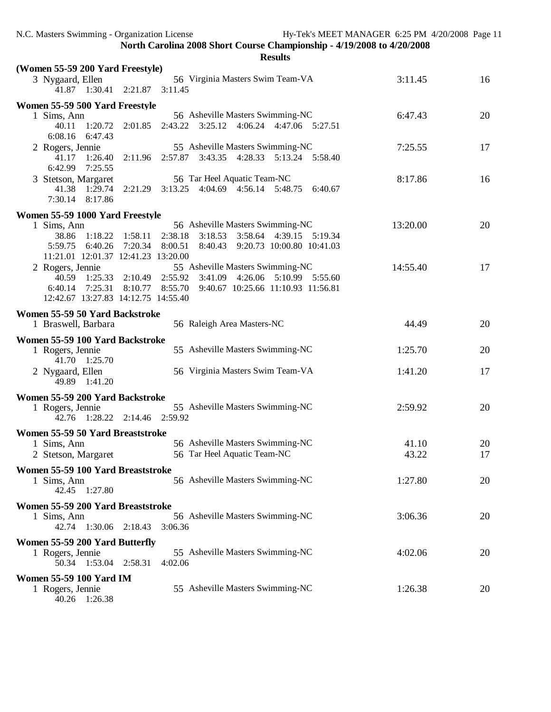**Results (Women 55-59 200 Yard Freestyle)** 3 Nygaard, Ellen 56 Virginia Masters Swim Team-VA 3:11.45 16 41.87 1:30.41 2:21.87 3:11.45 **Women 55-59 500 Yard Freestyle** 1 Sims, Ann 56 Asheville Masters Swimming-NC 6:47.43 20 40.11 1:20.72 2:01.85 2:43.22 3:25.12 4:06.24 4:47.06 5:27.51 6:08.16 6:47.43 2 Rogers, Jennie 55 Asheville Masters Swimming-NC 7:25.55 17<br>41.17 1:26.40 2:11.96 2:57.87 3:43.35 4:28.33 5:13.24 5:58.40 41.17 1:26.40 2:11.96 2:57.87 3:43.35 4:28.33 5:13.24 5:58.40 6:42.99 7:25.55 3 Stetson, Margaret 56 Tar Heel Aquatic Team-NC 8:17.86 16<br>41.38 1:29.74 2:21.29 3:13.25 4:04.69 4:56.14 5:48.75 6:40.67 41.38 1:29.74 2:21.29 3:13.25 4:04.69 4:56.14 5:48.75 6:40.67 7:30.14 8:17.86 **Women 55-59 1000 Yard Freestyle** 1 Sims, Ann 56 Asheville Masters Swimming-NC 13:20.00 20 38.86 1:18.22 1:58.11 2:38.18 3:18.53 3:58.64 4:39.15 5:19.34 5:59.75 6:40.26 7:20.34 8:00.51 8:40.43 9:20.73 10:00.80 10:41.03 11:21.01 12:01.37 12:41.23 13:20.00 2 Rogers, Jennie 55 Asheville Masters Swimming-NC 14:55.40 17 40.59 1:25.33 2:10.49 2:55.92 3:41.09 4:26.06 5:10.99 5:55.60 6:40.14 7:25.31 8:10.77 8:55.70 9:40.67 10:25.66 11:10.93 11:56.81 12:42.67 13:27.83 14:12.75 14:55.40 **Women 55-59 50 Yard Backstroke** 1 Braswell, Barbara 56 Raleigh Area Masters-NC 44.49 20 **Women 55-59 100 Yard Backstroke** 55 Asheville Masters Swimming-NC 1:25.70 20 41.70 1:25.70 2 Nygaard, Ellen 56 Virginia Masters Swim Team-VA 1:41.20 17 49.89 1:41.20 **Women 55-59 200 Yard Backstroke** 1 1 Rogers, 1 Rogers, 1998 Spannig-NC 2:59.92 20 42.76 1:28.22 2:14.46 2:59.92 **Women 55-59 50 Yard Breaststroke** 1 Sims, Ann 56 Asheville Masters Swimming-NC 41.10 20 2 Stetson, Margaret 56 Tar Heel Aquatic Team-NC 43.22 17 **Women 55-59 100 Yard Breaststroke** 56 Asheville Masters Swimming-NC 1:27.80 20 42.45 1:27.80 **Women 55-59 200 Yard Breaststroke** 1 Sims, Ann 56 Asheville Masters Swimming-NC 3:06.36 20 42.74 1:30.06 2:18.43 3:06.36 **Women 55-59 200 Yard Butterfly** 1 Rogers, Jennie 55 Asheville Masters Swimming-NC 4:02.06 20 50.34 1:53.04 2:58.31 4:02.06 **Women 55-59 100 Yard IM**<br>1 Rogers, Jennie 55 Asheville Masters Swimming-NC 1:26.38 20 40.26 1:26.38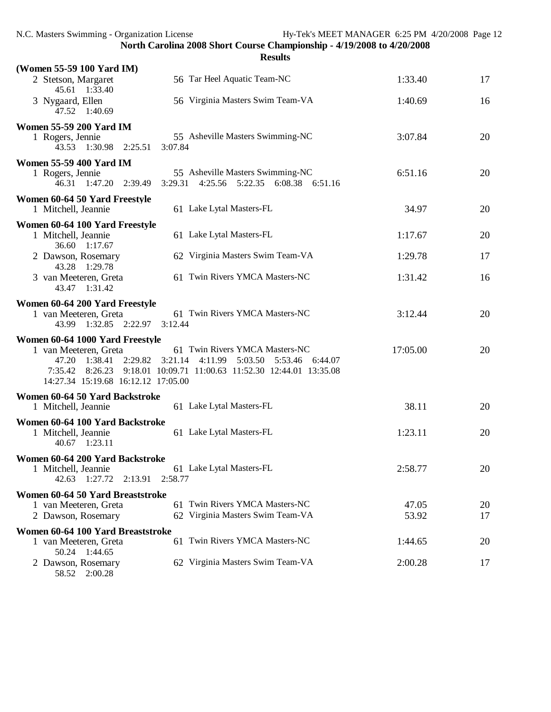**Results (Women 55-59 100 Yard IM)** 2 Stetson, Margaret 56 Tar Heel Aquatic Team-NC 1:33.40 17 45.61 1:33.40 3 Nygaard, Ellen 56 Virginia Masters Swim Team-VA 1:40.69 16 47.52 1:40.69 **Women 55-59 200 Yard IM** 1 Rogers, Jennie 55 Asheville Masters Swimming-NC 3:07.84 20<br>43.53 1:30.98 2:25.51 3:07.84 20 43.53 1:30.98 2:25.51 **Women 55-59 400 Yard IM**<br>1 Rogers, Jennie gers, Jennie 55 Asheville Masters Swimming-NC 6:51.16 20<br>46.31 1:47.20 2:39.49 3:29.31 4:25.56 5:22.35 6:08.38 6:51.16 6:51.16 3:29.31 4:25.56 5:22.35 6:08.38 6:51.16 **Women 60-64 50 Yard Freestyle** 1 Mitchell, Jacob and Music September 20 and 34.97 34.97 20 **Women 60-64 100 Yard Freestyle** 1 Mitchell, Jeannie 61 Lake Lytal Masters-FL 1:17.67 20 36.60 1:17.67 2 Dawson, Rosemary 62 Virginia Masters Swim Team-VA 1:29.78 17 43.28 1:29.78 3 van Meeteren, Greta 61 Twin Rivers YMCA Masters-NC 1:31.42 16 43.47 1:31.42 **Women 60-64 200 Yard Freestyle**<br>1 van Meeteren. Greta  $1$  Twin Rivers YMCA Masters-NC  $3.12.44$   $20$ 43.99 1:32.85 2:22.97 3:12.44 **Women 60-64 1000 Yard Freestyle** 61 Twin Rivers YMCA Masters-NC 17:05.00 20 47.20 1:38.41 2:29.82 3:21.14 4:11.99 5:03.50 5:53.46 6:44.07 7:35.42 8:26.23 9:18.01 10:09.71 11:00.63 11:52.30 12:44.01 13:35.08 14:27.34 15:19.68 16:12.12 17:05.00 **Women 60-64 50 Yard Backstroke** 1 Mitchell, Jeannie 61 Lake Lytal Masters-FL 38.11 20 **Women 60-64 100 Yard Backstroke**  $1:23.11$  20 40.67 1:23.11 **Women 60-64 200 Yard Backstroke** 1 Mitchell, Jeannie 61 Lake Lytal Masters-FL 2:58.77 20 42.63 1:27.72 2:13.91 2:58.77 **Women 60-64 50 Yard Breaststroke** 1 van Meeteren, Greta 61 Twin Rivers YMCA Masters-NC 47.05 20 2 Dawson, Rosemary 62 Virginia Masters Swim Team-VA 53.92 17 **Women 60-64 100 Yard Breaststroke**  $1.44.65$  Twin Rivers YMCA Masters-NC  $1:44.65$  20 50.24 1:44.65 2 Dawson, Rosemary 62 Virginia Masters Swim Team-VA 2:00.28 17 58.52 2:00.28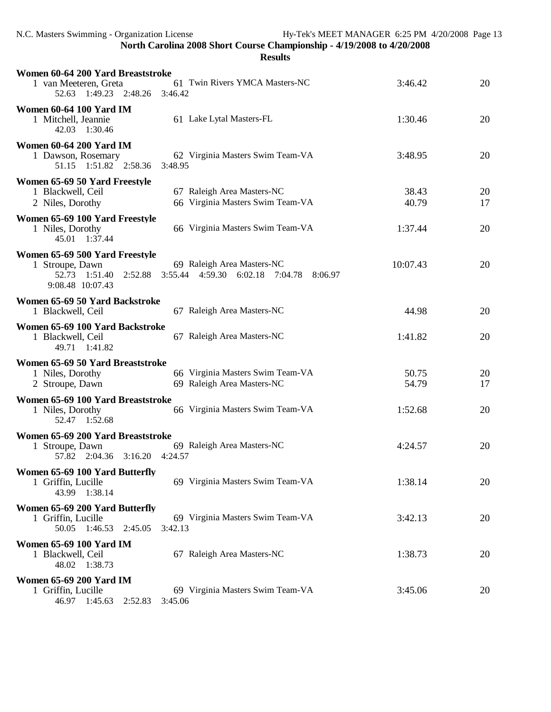| Women 60-64 200 Yard Breaststroke<br>61 Twin Rivers YMCA Masters-NC<br>1 van Meeteren, Greta<br>52.63 1:49.23 2:48.26 3:46.42                                        | 3:46.42        | 20       |
|----------------------------------------------------------------------------------------------------------------------------------------------------------------------|----------------|----------|
| <b>Women 60-64 100 Yard IM</b><br>61 Lake Lytal Masters-FL<br>1 Mitchell, Jeannie<br>42.03 1:30.46                                                                   | 1:30.46        | 20       |
| <b>Women 60-64 200 Yard IM</b><br>62 Virginia Masters Swim Team-VA<br>1 Dawson, Rosemary<br>51.15 1:51.82 2:58.36<br>3:48.95                                         | 3:48.95        | 20       |
| Women 65-69 50 Yard Freestyle<br>67 Raleigh Area Masters-NC<br>1 Blackwell, Ceil<br>66 Virginia Masters Swim Team-VA<br>2 Niles, Dorothy                             | 38.43<br>40.79 | 20<br>17 |
| Women 65-69 100 Yard Freestyle<br>66 Virginia Masters Swim Team-VA<br>1 Niles, Dorothy<br>45.01 1:37.44                                                              | 1:37.44        | 20       |
| Women 65-69 500 Yard Freestyle<br>69 Raleigh Area Masters-NC<br>1 Stroupe, Dawn<br>52.73 1:51.40 2:52.88 3:55.44 4:59.30 6:02.18 7:04.78 8:06.97<br>9:08.48 10:07.43 | 10:07.43       | 20       |
| Women 65-69 50 Yard Backstroke<br>67 Raleigh Area Masters-NC<br>1 Blackwell, Ceil                                                                                    | 44.98          | 20       |
| Women 65-69 100 Yard Backstroke<br>67 Raleigh Area Masters-NC<br>1 Blackwell, Ceil<br>49.71 1:41.82                                                                  | 1:41.82        | 20       |
| Women 65-69 50 Yard Breaststroke<br>66 Virginia Masters Swim Team-VA<br>1 Niles, Dorothy<br>69 Raleigh Area Masters-NC<br>2 Stroupe, Dawn                            | 50.75<br>54.79 | 20<br>17 |
| Women 65-69 100 Yard Breaststroke<br>66 Virginia Masters Swim Team-VA<br>1 Niles, Dorothy<br>52.47 1:52.68                                                           | 1:52.68        | 20       |
| Women 65-69 200 Yard Breaststroke<br>69 Raleigh Area Masters-NC<br>1 Stroupe, Dawn<br>57.82 2:04.36 3:16.20 4:24.57                                                  | 4:24.57        | 20       |
| Women 65-69 100 Yard Butterfly<br>69 Virginia Masters Swim Team-VA<br>1 Griffin, Lucille<br>43.99 1:38.14                                                            | 1:38.14        | 20       |
| Women 65-69 200 Yard Butterfly<br>69 Virginia Masters Swim Team-VA<br>1 Griffin, Lucille<br>50.05 1:46.53<br>2:45.05<br>3:42.13                                      | 3:42.13        | 20       |
| <b>Women 65-69 100 Yard IM</b><br>67 Raleigh Area Masters-NC<br>1 Blackwell, Ceil<br>48.02 1:38.73                                                                   | 1:38.73        | 20       |
| <b>Women 65-69 200 Yard IM</b><br>69 Virginia Masters Swim Team-VA<br>1 Griffin, Lucille<br>46.97 1:45.63<br>2:52.83<br>3:45.06                                      | 3:45.06        | 20       |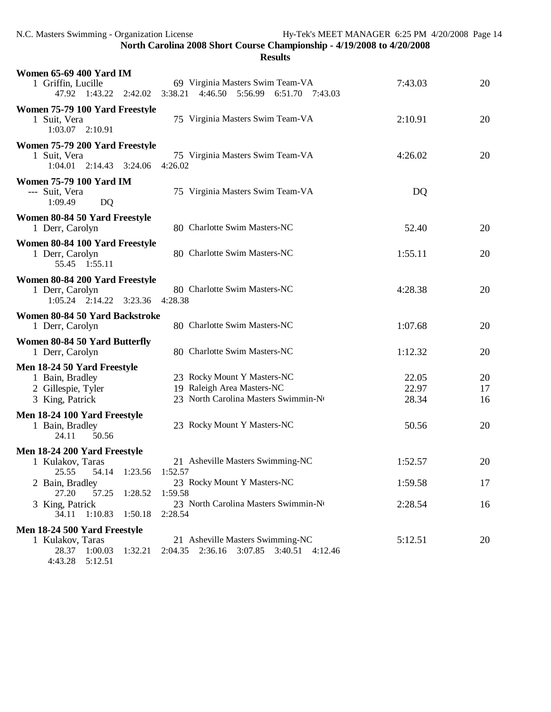| <b>Women 65-69 400 Yard IM</b><br>69 Virginia Masters Swim Team-VA<br>1 Griffin, Lucille<br>47.92 1:43.22 2:42.02 3:38.21 4:46.50 5:56.99 6:51.70 7:43.03                                                                                                                                                                | 7:43.03                       | 20             |
|--------------------------------------------------------------------------------------------------------------------------------------------------------------------------------------------------------------------------------------------------------------------------------------------------------------------------|-------------------------------|----------------|
| Women 75-79 100 Yard Freestyle<br>75 Virginia Masters Swim Team-VA<br>1 Suit, Vera<br>1:03.07 2:10.91                                                                                                                                                                                                                    | 2:10.91                       | 20             |
| Women 75-79 200 Yard Freestyle<br>75 Virginia Masters Swim Team-VA<br>1 Suit, Vera<br>1:04.01 2:14.43 3:24.06<br>4:26.02                                                                                                                                                                                                 | 4:26.02                       | 20             |
| <b>Women 75-79 100 Yard IM</b><br>75 Virginia Masters Swim Team-VA<br>--- Suit, Vera<br>1:09.49<br>DQ                                                                                                                                                                                                                    | DQ                            |                |
| Women 80-84 50 Yard Freestyle<br>80 Charlotte Swim Masters-NC<br>1 Derr, Carolyn                                                                                                                                                                                                                                         | 52.40                         | 20             |
| Women 80-84 100 Yard Freestyle<br>80 Charlotte Swim Masters-NC<br>1 Derr, Carolyn<br>55.45 1:55.11                                                                                                                                                                                                                       | 1:55.11                       | 20             |
| Women 80-84 200 Yard Freestyle<br>80 Charlotte Swim Masters-NC<br>1 Derr, Carolyn<br>1:05.24  2:14.22  3:23.36  4:28.38                                                                                                                                                                                                  | 4:28.38                       | 20             |
| Women 80-84 50 Yard Backstroke<br>80 Charlotte Swim Masters-NC<br>1 Derr, Carolyn                                                                                                                                                                                                                                        | 1:07.68                       | 20             |
| Women 80-84 50 Yard Butterfly<br>80 Charlotte Swim Masters-NC<br>1 Derr, Carolyn                                                                                                                                                                                                                                         | 1:12.32                       | 20             |
| Men 18-24 50 Yard Freestyle<br>23 Rocky Mount Y Masters-NC<br>1 Bain, Bradley<br>19 Raleigh Area Masters-NC<br>2 Gillespie, Tyler<br>23 North Carolina Masters Swimmin-No<br>3 King, Patrick                                                                                                                             | 22.05<br>22.97<br>28.34       | 20<br>17<br>16 |
| Men 18-24 100 Yard Freestyle<br>23 Rocky Mount Y Masters-NC<br>1 Bain, Bradley<br>50.56<br>24.11                                                                                                                                                                                                                         | 50.56                         | 20             |
| Men 18-24 200 Yard Freestyle<br>21 Asheville Masters Swimming-NC<br>1 Kulakov, Taras<br>25.55<br>54.14 1:23.56<br>1:52.57<br>23 Rocky Mount Y Masters-NC<br>2 Bain, Bradley<br>57.25<br>1:28.52<br>1:59.58<br>27.20<br>23 North Carolina Masters Swimmin-No<br>3 King, Patrick<br>1:10.83<br>34.11<br>1:50.18<br>2:28.54 | 1:52.57<br>1:59.58<br>2:28.54 | 20<br>17<br>16 |
| Men 18-24 500 Yard Freestyle<br>21 Asheville Masters Swimming-NC<br>1 Kulakov, Taras<br>28.37 1:00.03<br>2:04.35 2:36.16 3:07.85 3:40.51 4:12.46<br>1:32.21<br>4:43.28  5:12.51                                                                                                                                          | 5:12.51                       | 20             |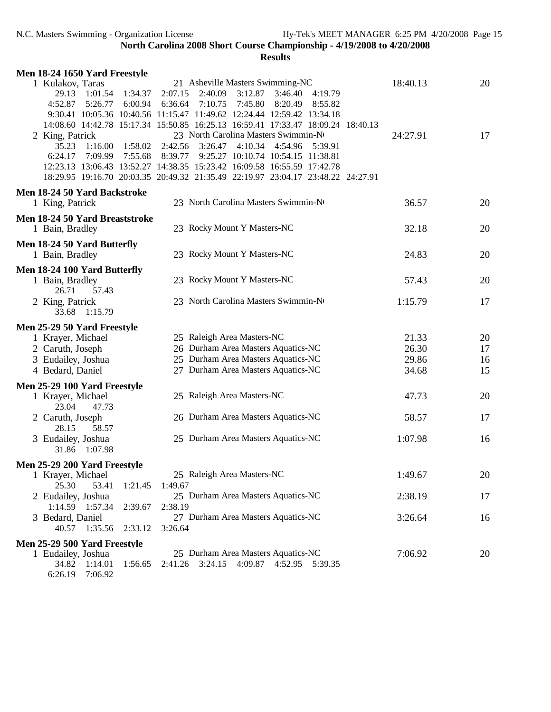| Men 18-24 1650 Yard Freestyle                                                    |                                          |          |    |
|----------------------------------------------------------------------------------|------------------------------------------|----------|----|
| 1 Kulakov, Taras                                                                 | 21 Asheville Masters Swimming-NC         | 18:40.13 | 20 |
| 2:07.15<br>29.13<br>1:01.54<br>1:34.37                                           | 2:40.09<br>3:12.87<br>3:46.40<br>4:19.79 |          |    |
| 4:52.87 5:26.77 6:00.94<br>6:36.64 7:10.75                                       | 7:45.80<br>8:20.49<br>8:55.82            |          |    |
| 9:30.41 10:05.36 10:40.56 11:15.47 11:49.62 12:24.44 12:59.42 13:34.18           |                                          |          |    |
| 14:08.60 14:42.78 15:17.34 15:50.85 16:25.13 16:59.41 17:33.47 18:09.24 18:40.13 |                                          |          |    |
| 2 King, Patrick                                                                  | 23 North Carolina Masters Swimmin-No     | 24:27.91 | 17 |
| 1:58.02<br>2:42.56<br>35.23<br>1:16.00                                           | 4:10.34<br>3:26.47<br>4:54.96<br>5:39.91 |          |    |
| 7:09.99 7:55.68<br>8:39.77<br>6:24.17                                            | 9:25.27 10:10.74 10:54.15 11:38.81       |          |    |
| 12:23.13 13:06.43 13:52.27 14:38.35 15:23.42 16:09.58 16:55.59 17:42.78          |                                          |          |    |
| 18:29.95 19:16.70 20:03.35 20:49.32 21:35.49 22:19.97 23:04.17 23:48.22 24:27.91 |                                          |          |    |
|                                                                                  |                                          |          |    |
| Men 18-24 50 Yard Backstroke                                                     |                                          |          |    |
| 1 King, Patrick                                                                  | 23 North Carolina Masters Swimmin-No     | 36.57    | 20 |
| Men 18-24 50 Yard Breaststroke                                                   |                                          |          |    |
| 1 Bain, Bradley                                                                  | 23 Rocky Mount Y Masters-NC              | 32.18    | 20 |
|                                                                                  |                                          |          |    |
| Men 18-24 50 Yard Butterfly                                                      |                                          |          |    |
| 1 Bain, Bradley                                                                  | 23 Rocky Mount Y Masters-NC              | 24.83    | 20 |
| Men 18-24 100 Yard Butterfly                                                     |                                          |          |    |
| 1 Bain, Bradley                                                                  | 23 Rocky Mount Y Masters-NC              | 57.43    | 20 |
| 26.71<br>57.43                                                                   |                                          |          |    |
|                                                                                  | 23 North Carolina Masters Swimmin-No     | 1:15.79  | 17 |
| 2 King, Patrick<br>33.68 1:15.79                                                 |                                          |          |    |
|                                                                                  |                                          |          |    |
| Men 25-29 50 Yard Freestyle                                                      |                                          |          |    |
| 1 Krayer, Michael                                                                | 25 Raleigh Area Masters-NC               | 21.33    | 20 |
| 2 Caruth, Joseph                                                                 | 26 Durham Area Masters Aquatics-NC       | 26.30    | 17 |
| 3 Eudailey, Joshua                                                               | 25 Durham Area Masters Aquatics-NC       | 29.86    | 16 |
| 4 Bedard, Daniel                                                                 | 27 Durham Area Masters Aquatics-NC       | 34.68    | 15 |
|                                                                                  |                                          |          |    |
| Men 25-29 100 Yard Freestyle                                                     |                                          |          |    |
| 1 Krayer, Michael                                                                | 25 Raleigh Area Masters-NC               | 47.73    | 20 |
| 23.04<br>47.73                                                                   |                                          |          |    |
| 2 Caruth, Joseph                                                                 | 26 Durham Area Masters Aquatics-NC       | 58.57    | 17 |
| 58.57<br>28.15                                                                   |                                          |          |    |
| 3 Eudailey, Joshua                                                               | 25 Durham Area Masters Aquatics-NC       | 1:07.98  | 16 |
| 31.86 1:07.98                                                                    |                                          |          |    |
| Men 25-29 200 Yard Freestyle                                                     |                                          |          |    |
| 1 Krayer, Michael                                                                | 25 Raleigh Area Masters-NC               | 1:49.67  | 20 |
| 25.30<br>53.41<br>1:21.45<br>1:49.67                                             |                                          |          |    |
| 2 Eudailey, Joshua                                                               | 25 Durham Area Masters Aquatics-NC       | 2:38.19  | 17 |
|                                                                                  |                                          |          |    |
|                                                                                  |                                          |          |    |
| 2:38.19<br>1:14.59 1:57.34<br>2:39.67                                            |                                          |          |    |
| 3 Bedard, Daniel                                                                 | 27 Durham Area Masters Aquatics-NC       | 3:26.64  | 16 |
| 40.57<br>1:35.56<br>2:33.12<br>3:26.64                                           |                                          |          |    |
| Men 25-29 500 Yard Freestyle                                                     |                                          |          |    |
| 1 Eudailey, Joshua                                                               | 25 Durham Area Masters Aquatics-NC       | 7:06.92  | 20 |
| 34.82<br>1:14.01<br>1:56.65                                                      | 2:41.26 3:24.15 4:09.87 4:52.95 5:39.35  |          |    |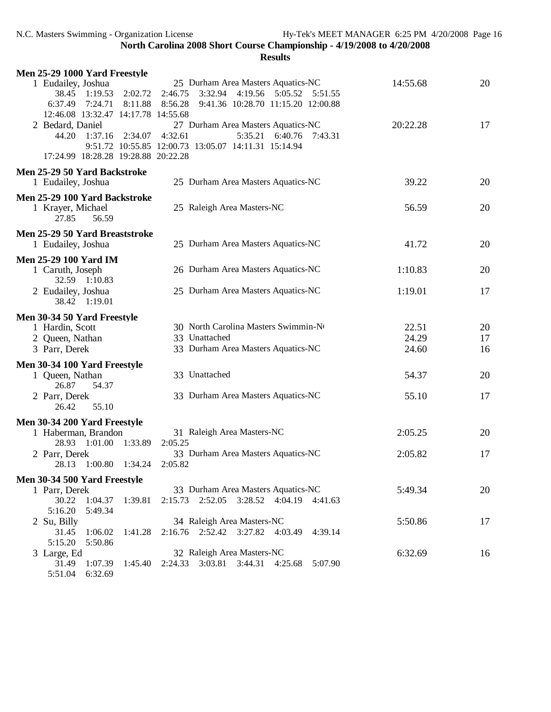| 25 Durham Area Masters Aquatics-NC<br>20<br>1 Eudailey, Joshua<br>14:55.68<br>1:19.53<br>2:02.72<br>3:32.94 4:19.56 5:05.52<br>38.45<br>2:46.75<br>5:51.55<br>7:24.71<br>9:41.36 10:28.70 11:15.20 12:00.88<br>6:37.49<br>8:11.88<br>8:56.28<br>12:46.08 13:32.47 14:17.78 14:55.68<br>27 Durham Area Masters Aquatics-NC<br>20:22.28<br>2 Bedard, Daniel<br>17<br>1:37.16 2:34.07<br>4:32.61<br>5:35.21<br>6:40.76<br>44.20<br>7:43.31<br>9:51.72 10:55.85 12:00.73 13:05.07 14:11.31 15:14.94<br>17:24.99 18:28.28 19:28.88 20:22.28<br>Men 25-29 50 Yard Backstroke<br>25 Durham Area Masters Aquatics-NC<br>39.22<br>1 Eudailey, Joshua<br>20<br>Men 25-29 100 Yard Backstroke<br>25 Raleigh Area Masters-NC<br>56.59<br>20<br>1 Krayer, Michael<br>27.85<br>56.59<br>Men 25-29 50 Yard Breaststroke<br>25 Durham Area Masters Aquatics-NC<br>1 Eudailey, Joshua<br>41.72<br>20<br><b>Men 25-29 100 Yard IM</b><br>26 Durham Area Masters Aquatics-NC<br>1 Caruth, Joseph<br>1:10.83<br>20<br>32.59 1:10.83<br>25 Durham Area Masters Aquatics-NC<br>1:19.01<br>17<br>2 Eudailey, Joshua<br>38.42 1:19.01<br>30 North Carolina Masters Swimmin-No<br>22.51<br>20<br>1 Hardin, Scott<br>24.29<br>2 Queen, Nathan<br>33 Unattached<br>17<br>33 Durham Area Masters Aquatics-NC<br>3 Parr, Derek<br>16<br>24.60<br>Men 30-34 100 Yard Freestyle<br>33 Unattached<br>54.37<br>20<br>1 Queen, Nathan<br>26.87<br>54.37<br>2 Parr, Derek<br>33 Durham Area Masters Aquatics-NC<br>55.10<br>17<br>55.10<br>26.42<br>31 Raleigh Area Masters-NC<br>1 Haberman, Brandon<br>2:05.25<br>20<br>28.93 1:01.00 1:33.89<br>2:05.25<br>2 Parr, Derek<br>33 Durham Area Masters Aquatics-NC<br>2:05.82<br>17<br>1:00.80 1:34.24<br>28.13<br>2:05.82<br>Men 30-34 500 Yard Freestyle<br>33 Durham Area Masters Aquatics-NC<br>20<br>1 Parr, Derek<br>5:49.34<br>2:15.73  2:52.05  3:28.52  4:04.19  4:41.63<br>30.22<br>1:04.37<br>1:39.81<br>5:16.20<br>5:49.34<br>2 Su, Billy<br>34 Raleigh Area Masters-NC<br>5:50.86<br>17<br>31.45<br>2:16.76 2:52.42 3:27.82 4:03.49<br>1:06.02<br>4:39.14<br>1:41.28<br>5:15.20<br>5:50.86<br>32 Raleigh Area Masters-NC<br>6:32.69<br>3 Large, Ed<br>16<br>31.49<br>1:07.39<br>2:24.33 3:03.81 3:44.31 4:25.68<br>1:45.40<br>5:07.90 | Men 25-29 1000 Yard Freestyle |  |  |
|----------------------------------------------------------------------------------------------------------------------------------------------------------------------------------------------------------------------------------------------------------------------------------------------------------------------------------------------------------------------------------------------------------------------------------------------------------------------------------------------------------------------------------------------------------------------------------------------------------------------------------------------------------------------------------------------------------------------------------------------------------------------------------------------------------------------------------------------------------------------------------------------------------------------------------------------------------------------------------------------------------------------------------------------------------------------------------------------------------------------------------------------------------------------------------------------------------------------------------------------------------------------------------------------------------------------------------------------------------------------------------------------------------------------------------------------------------------------------------------------------------------------------------------------------------------------------------------------------------------------------------------------------------------------------------------------------------------------------------------------------------------------------------------------------------------------------------------------------------------------------------------------------------------------------------------------------------------------------------------------------------------------------------------------------------------------------------------------------------------------------------------------------------------------------------------------------------------------------------------------------------------|-------------------------------|--|--|
|                                                                                                                                                                                                                                                                                                                                                                                                                                                                                                                                                                                                                                                                                                                                                                                                                                                                                                                                                                                                                                                                                                                                                                                                                                                                                                                                                                                                                                                                                                                                                                                                                                                                                                                                                                                                                                                                                                                                                                                                                                                                                                                                                                                                                                                                |                               |  |  |
|                                                                                                                                                                                                                                                                                                                                                                                                                                                                                                                                                                                                                                                                                                                                                                                                                                                                                                                                                                                                                                                                                                                                                                                                                                                                                                                                                                                                                                                                                                                                                                                                                                                                                                                                                                                                                                                                                                                                                                                                                                                                                                                                                                                                                                                                |                               |  |  |
|                                                                                                                                                                                                                                                                                                                                                                                                                                                                                                                                                                                                                                                                                                                                                                                                                                                                                                                                                                                                                                                                                                                                                                                                                                                                                                                                                                                                                                                                                                                                                                                                                                                                                                                                                                                                                                                                                                                                                                                                                                                                                                                                                                                                                                                                |                               |  |  |
|                                                                                                                                                                                                                                                                                                                                                                                                                                                                                                                                                                                                                                                                                                                                                                                                                                                                                                                                                                                                                                                                                                                                                                                                                                                                                                                                                                                                                                                                                                                                                                                                                                                                                                                                                                                                                                                                                                                                                                                                                                                                                                                                                                                                                                                                |                               |  |  |
|                                                                                                                                                                                                                                                                                                                                                                                                                                                                                                                                                                                                                                                                                                                                                                                                                                                                                                                                                                                                                                                                                                                                                                                                                                                                                                                                                                                                                                                                                                                                                                                                                                                                                                                                                                                                                                                                                                                                                                                                                                                                                                                                                                                                                                                                |                               |  |  |
|                                                                                                                                                                                                                                                                                                                                                                                                                                                                                                                                                                                                                                                                                                                                                                                                                                                                                                                                                                                                                                                                                                                                                                                                                                                                                                                                                                                                                                                                                                                                                                                                                                                                                                                                                                                                                                                                                                                                                                                                                                                                                                                                                                                                                                                                |                               |  |  |
|                                                                                                                                                                                                                                                                                                                                                                                                                                                                                                                                                                                                                                                                                                                                                                                                                                                                                                                                                                                                                                                                                                                                                                                                                                                                                                                                                                                                                                                                                                                                                                                                                                                                                                                                                                                                                                                                                                                                                                                                                                                                                                                                                                                                                                                                |                               |  |  |
|                                                                                                                                                                                                                                                                                                                                                                                                                                                                                                                                                                                                                                                                                                                                                                                                                                                                                                                                                                                                                                                                                                                                                                                                                                                                                                                                                                                                                                                                                                                                                                                                                                                                                                                                                                                                                                                                                                                                                                                                                                                                                                                                                                                                                                                                |                               |  |  |
|                                                                                                                                                                                                                                                                                                                                                                                                                                                                                                                                                                                                                                                                                                                                                                                                                                                                                                                                                                                                                                                                                                                                                                                                                                                                                                                                                                                                                                                                                                                                                                                                                                                                                                                                                                                                                                                                                                                                                                                                                                                                                                                                                                                                                                                                |                               |  |  |
|                                                                                                                                                                                                                                                                                                                                                                                                                                                                                                                                                                                                                                                                                                                                                                                                                                                                                                                                                                                                                                                                                                                                                                                                                                                                                                                                                                                                                                                                                                                                                                                                                                                                                                                                                                                                                                                                                                                                                                                                                                                                                                                                                                                                                                                                |                               |  |  |
|                                                                                                                                                                                                                                                                                                                                                                                                                                                                                                                                                                                                                                                                                                                                                                                                                                                                                                                                                                                                                                                                                                                                                                                                                                                                                                                                                                                                                                                                                                                                                                                                                                                                                                                                                                                                                                                                                                                                                                                                                                                                                                                                                                                                                                                                |                               |  |  |
|                                                                                                                                                                                                                                                                                                                                                                                                                                                                                                                                                                                                                                                                                                                                                                                                                                                                                                                                                                                                                                                                                                                                                                                                                                                                                                                                                                                                                                                                                                                                                                                                                                                                                                                                                                                                                                                                                                                                                                                                                                                                                                                                                                                                                                                                |                               |  |  |
|                                                                                                                                                                                                                                                                                                                                                                                                                                                                                                                                                                                                                                                                                                                                                                                                                                                                                                                                                                                                                                                                                                                                                                                                                                                                                                                                                                                                                                                                                                                                                                                                                                                                                                                                                                                                                                                                                                                                                                                                                                                                                                                                                                                                                                                                |                               |  |  |
|                                                                                                                                                                                                                                                                                                                                                                                                                                                                                                                                                                                                                                                                                                                                                                                                                                                                                                                                                                                                                                                                                                                                                                                                                                                                                                                                                                                                                                                                                                                                                                                                                                                                                                                                                                                                                                                                                                                                                                                                                                                                                                                                                                                                                                                                |                               |  |  |
|                                                                                                                                                                                                                                                                                                                                                                                                                                                                                                                                                                                                                                                                                                                                                                                                                                                                                                                                                                                                                                                                                                                                                                                                                                                                                                                                                                                                                                                                                                                                                                                                                                                                                                                                                                                                                                                                                                                                                                                                                                                                                                                                                                                                                                                                |                               |  |  |
|                                                                                                                                                                                                                                                                                                                                                                                                                                                                                                                                                                                                                                                                                                                                                                                                                                                                                                                                                                                                                                                                                                                                                                                                                                                                                                                                                                                                                                                                                                                                                                                                                                                                                                                                                                                                                                                                                                                                                                                                                                                                                                                                                                                                                                                                |                               |  |  |
|                                                                                                                                                                                                                                                                                                                                                                                                                                                                                                                                                                                                                                                                                                                                                                                                                                                                                                                                                                                                                                                                                                                                                                                                                                                                                                                                                                                                                                                                                                                                                                                                                                                                                                                                                                                                                                                                                                                                                                                                                                                                                                                                                                                                                                                                |                               |  |  |
|                                                                                                                                                                                                                                                                                                                                                                                                                                                                                                                                                                                                                                                                                                                                                                                                                                                                                                                                                                                                                                                                                                                                                                                                                                                                                                                                                                                                                                                                                                                                                                                                                                                                                                                                                                                                                                                                                                                                                                                                                                                                                                                                                                                                                                                                |                               |  |  |
|                                                                                                                                                                                                                                                                                                                                                                                                                                                                                                                                                                                                                                                                                                                                                                                                                                                                                                                                                                                                                                                                                                                                                                                                                                                                                                                                                                                                                                                                                                                                                                                                                                                                                                                                                                                                                                                                                                                                                                                                                                                                                                                                                                                                                                                                |                               |  |  |
|                                                                                                                                                                                                                                                                                                                                                                                                                                                                                                                                                                                                                                                                                                                                                                                                                                                                                                                                                                                                                                                                                                                                                                                                                                                                                                                                                                                                                                                                                                                                                                                                                                                                                                                                                                                                                                                                                                                                                                                                                                                                                                                                                                                                                                                                |                               |  |  |
|                                                                                                                                                                                                                                                                                                                                                                                                                                                                                                                                                                                                                                                                                                                                                                                                                                                                                                                                                                                                                                                                                                                                                                                                                                                                                                                                                                                                                                                                                                                                                                                                                                                                                                                                                                                                                                                                                                                                                                                                                                                                                                                                                                                                                                                                |                               |  |  |
|                                                                                                                                                                                                                                                                                                                                                                                                                                                                                                                                                                                                                                                                                                                                                                                                                                                                                                                                                                                                                                                                                                                                                                                                                                                                                                                                                                                                                                                                                                                                                                                                                                                                                                                                                                                                                                                                                                                                                                                                                                                                                                                                                                                                                                                                |                               |  |  |
|                                                                                                                                                                                                                                                                                                                                                                                                                                                                                                                                                                                                                                                                                                                                                                                                                                                                                                                                                                                                                                                                                                                                                                                                                                                                                                                                                                                                                                                                                                                                                                                                                                                                                                                                                                                                                                                                                                                                                                                                                                                                                                                                                                                                                                                                | Men 30-34 50 Yard Freestyle   |  |  |
|                                                                                                                                                                                                                                                                                                                                                                                                                                                                                                                                                                                                                                                                                                                                                                                                                                                                                                                                                                                                                                                                                                                                                                                                                                                                                                                                                                                                                                                                                                                                                                                                                                                                                                                                                                                                                                                                                                                                                                                                                                                                                                                                                                                                                                                                |                               |  |  |
|                                                                                                                                                                                                                                                                                                                                                                                                                                                                                                                                                                                                                                                                                                                                                                                                                                                                                                                                                                                                                                                                                                                                                                                                                                                                                                                                                                                                                                                                                                                                                                                                                                                                                                                                                                                                                                                                                                                                                                                                                                                                                                                                                                                                                                                                |                               |  |  |
|                                                                                                                                                                                                                                                                                                                                                                                                                                                                                                                                                                                                                                                                                                                                                                                                                                                                                                                                                                                                                                                                                                                                                                                                                                                                                                                                                                                                                                                                                                                                                                                                                                                                                                                                                                                                                                                                                                                                                                                                                                                                                                                                                                                                                                                                |                               |  |  |
|                                                                                                                                                                                                                                                                                                                                                                                                                                                                                                                                                                                                                                                                                                                                                                                                                                                                                                                                                                                                                                                                                                                                                                                                                                                                                                                                                                                                                                                                                                                                                                                                                                                                                                                                                                                                                                                                                                                                                                                                                                                                                                                                                                                                                                                                |                               |  |  |
|                                                                                                                                                                                                                                                                                                                                                                                                                                                                                                                                                                                                                                                                                                                                                                                                                                                                                                                                                                                                                                                                                                                                                                                                                                                                                                                                                                                                                                                                                                                                                                                                                                                                                                                                                                                                                                                                                                                                                                                                                                                                                                                                                                                                                                                                |                               |  |  |
|                                                                                                                                                                                                                                                                                                                                                                                                                                                                                                                                                                                                                                                                                                                                                                                                                                                                                                                                                                                                                                                                                                                                                                                                                                                                                                                                                                                                                                                                                                                                                                                                                                                                                                                                                                                                                                                                                                                                                                                                                                                                                                                                                                                                                                                                |                               |  |  |
|                                                                                                                                                                                                                                                                                                                                                                                                                                                                                                                                                                                                                                                                                                                                                                                                                                                                                                                                                                                                                                                                                                                                                                                                                                                                                                                                                                                                                                                                                                                                                                                                                                                                                                                                                                                                                                                                                                                                                                                                                                                                                                                                                                                                                                                                |                               |  |  |
|                                                                                                                                                                                                                                                                                                                                                                                                                                                                                                                                                                                                                                                                                                                                                                                                                                                                                                                                                                                                                                                                                                                                                                                                                                                                                                                                                                                                                                                                                                                                                                                                                                                                                                                                                                                                                                                                                                                                                                                                                                                                                                                                                                                                                                                                |                               |  |  |
|                                                                                                                                                                                                                                                                                                                                                                                                                                                                                                                                                                                                                                                                                                                                                                                                                                                                                                                                                                                                                                                                                                                                                                                                                                                                                                                                                                                                                                                                                                                                                                                                                                                                                                                                                                                                                                                                                                                                                                                                                                                                                                                                                                                                                                                                |                               |  |  |
|                                                                                                                                                                                                                                                                                                                                                                                                                                                                                                                                                                                                                                                                                                                                                                                                                                                                                                                                                                                                                                                                                                                                                                                                                                                                                                                                                                                                                                                                                                                                                                                                                                                                                                                                                                                                                                                                                                                                                                                                                                                                                                                                                                                                                                                                | Men 30-34 200 Yard Freestyle  |  |  |
|                                                                                                                                                                                                                                                                                                                                                                                                                                                                                                                                                                                                                                                                                                                                                                                                                                                                                                                                                                                                                                                                                                                                                                                                                                                                                                                                                                                                                                                                                                                                                                                                                                                                                                                                                                                                                                                                                                                                                                                                                                                                                                                                                                                                                                                                |                               |  |  |
|                                                                                                                                                                                                                                                                                                                                                                                                                                                                                                                                                                                                                                                                                                                                                                                                                                                                                                                                                                                                                                                                                                                                                                                                                                                                                                                                                                                                                                                                                                                                                                                                                                                                                                                                                                                                                                                                                                                                                                                                                                                                                                                                                                                                                                                                |                               |  |  |
|                                                                                                                                                                                                                                                                                                                                                                                                                                                                                                                                                                                                                                                                                                                                                                                                                                                                                                                                                                                                                                                                                                                                                                                                                                                                                                                                                                                                                                                                                                                                                                                                                                                                                                                                                                                                                                                                                                                                                                                                                                                                                                                                                                                                                                                                |                               |  |  |
|                                                                                                                                                                                                                                                                                                                                                                                                                                                                                                                                                                                                                                                                                                                                                                                                                                                                                                                                                                                                                                                                                                                                                                                                                                                                                                                                                                                                                                                                                                                                                                                                                                                                                                                                                                                                                                                                                                                                                                                                                                                                                                                                                                                                                                                                |                               |  |  |
|                                                                                                                                                                                                                                                                                                                                                                                                                                                                                                                                                                                                                                                                                                                                                                                                                                                                                                                                                                                                                                                                                                                                                                                                                                                                                                                                                                                                                                                                                                                                                                                                                                                                                                                                                                                                                                                                                                                                                                                                                                                                                                                                                                                                                                                                |                               |  |  |
|                                                                                                                                                                                                                                                                                                                                                                                                                                                                                                                                                                                                                                                                                                                                                                                                                                                                                                                                                                                                                                                                                                                                                                                                                                                                                                                                                                                                                                                                                                                                                                                                                                                                                                                                                                                                                                                                                                                                                                                                                                                                                                                                                                                                                                                                |                               |  |  |
|                                                                                                                                                                                                                                                                                                                                                                                                                                                                                                                                                                                                                                                                                                                                                                                                                                                                                                                                                                                                                                                                                                                                                                                                                                                                                                                                                                                                                                                                                                                                                                                                                                                                                                                                                                                                                                                                                                                                                                                                                                                                                                                                                                                                                                                                |                               |  |  |
|                                                                                                                                                                                                                                                                                                                                                                                                                                                                                                                                                                                                                                                                                                                                                                                                                                                                                                                                                                                                                                                                                                                                                                                                                                                                                                                                                                                                                                                                                                                                                                                                                                                                                                                                                                                                                                                                                                                                                                                                                                                                                                                                                                                                                                                                |                               |  |  |
|                                                                                                                                                                                                                                                                                                                                                                                                                                                                                                                                                                                                                                                                                                                                                                                                                                                                                                                                                                                                                                                                                                                                                                                                                                                                                                                                                                                                                                                                                                                                                                                                                                                                                                                                                                                                                                                                                                                                                                                                                                                                                                                                                                                                                                                                |                               |  |  |
|                                                                                                                                                                                                                                                                                                                                                                                                                                                                                                                                                                                                                                                                                                                                                                                                                                                                                                                                                                                                                                                                                                                                                                                                                                                                                                                                                                                                                                                                                                                                                                                                                                                                                                                                                                                                                                                                                                                                                                                                                                                                                                                                                                                                                                                                |                               |  |  |
|                                                                                                                                                                                                                                                                                                                                                                                                                                                                                                                                                                                                                                                                                                                                                                                                                                                                                                                                                                                                                                                                                                                                                                                                                                                                                                                                                                                                                                                                                                                                                                                                                                                                                                                                                                                                                                                                                                                                                                                                                                                                                                                                                                                                                                                                |                               |  |  |
|                                                                                                                                                                                                                                                                                                                                                                                                                                                                                                                                                                                                                                                                                                                                                                                                                                                                                                                                                                                                                                                                                                                                                                                                                                                                                                                                                                                                                                                                                                                                                                                                                                                                                                                                                                                                                                                                                                                                                                                                                                                                                                                                                                                                                                                                |                               |  |  |
|                                                                                                                                                                                                                                                                                                                                                                                                                                                                                                                                                                                                                                                                                                                                                                                                                                                                                                                                                                                                                                                                                                                                                                                                                                                                                                                                                                                                                                                                                                                                                                                                                                                                                                                                                                                                                                                                                                                                                                                                                                                                                                                                                                                                                                                                |                               |  |  |
|                                                                                                                                                                                                                                                                                                                                                                                                                                                                                                                                                                                                                                                                                                                                                                                                                                                                                                                                                                                                                                                                                                                                                                                                                                                                                                                                                                                                                                                                                                                                                                                                                                                                                                                                                                                                                                                                                                                                                                                                                                                                                                                                                                                                                                                                | 5:51.04 6:32.69               |  |  |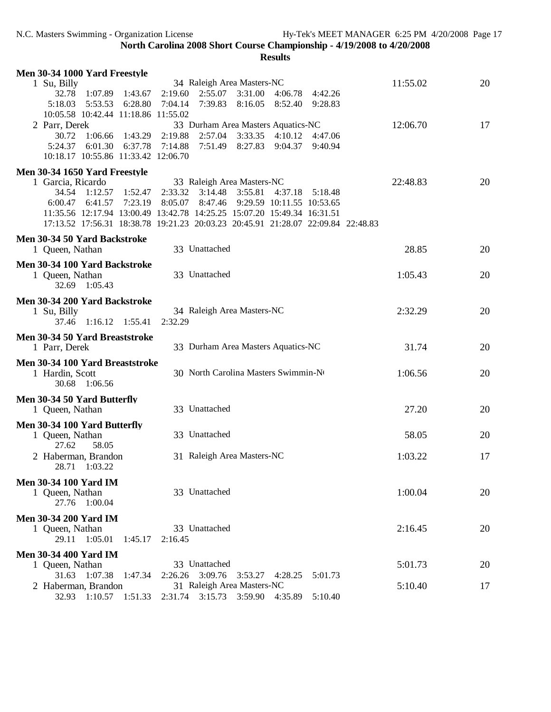| Men 30-34 1000 Yard Freestyle                                                                                                                                               |          |    |
|-----------------------------------------------------------------------------------------------------------------------------------------------------------------------------|----------|----|
| 34 Raleigh Area Masters-NC<br>1 Su, Billy                                                                                                                                   | 11:55.02 | 20 |
| 1:07.89<br>2:19.60<br>2:55.07<br>3:31.00<br>32.78<br>1:43.67<br>4:06.78<br>4:42.26                                                                                          |          |    |
| 7:04.14<br>7:39.83<br>5:18.03<br>5:53.53<br>6:28.80<br>8:16.05<br>8:52.40<br>9:28.83                                                                                        |          |    |
| 10:05.58 10:42.44 11:18.86 11:55.02                                                                                                                                         |          |    |
| 33 Durham Area Masters Aquatics-NC<br>2 Parr, Derek                                                                                                                         | 12:06.70 | 17 |
| 2:19.88<br>2:57.04<br>$3:33.35$ $4:10.12$<br>30.72<br>1:06.66<br>1:43.29<br>4:47.06<br>6:01.30<br>7:14.88<br>7:51.49<br>8:27.83<br>5:24.37<br>6:37.78<br>9:04.37<br>9:40.94 |          |    |
| 10:18.17 10:55.86 11:33.42 12:06.70                                                                                                                                         |          |    |
|                                                                                                                                                                             |          |    |
| Men 30-34 1650 Yard Freestyle                                                                                                                                               |          |    |
| 33 Raleigh Area Masters-NC<br>1 Garcia, Ricardo                                                                                                                             | 22:48.83 | 20 |
| 34.54 1:12.57<br>2:33.32<br>3:14.48<br>3:55.81<br>1:52.47<br>4:37.18<br>5:18.48                                                                                             |          |    |
| 6:00.47 6:41.57<br>7:23.19<br>8:05.07<br>8:47.46<br>9:29.59 10:11.55 10:53.65<br>11:35.56 12:17.94 13:00.49 13:42.78 14:25.25 15:07.20 15:49.34 16:31.51                    |          |    |
| 17:13.52 17:56.31 18:38.78 19:21.23 20:03.23 20:45.91 21:28.07 22:09.84 22:48.83                                                                                            |          |    |
|                                                                                                                                                                             |          |    |
| Men 30-34 50 Yard Backstroke                                                                                                                                                |          |    |
| 33 Unattached<br>1 Queen, Nathan                                                                                                                                            | 28.85    | 20 |
| Men 30-34 100 Yard Backstroke                                                                                                                                               |          |    |
| 33 Unattached<br>1 Queen, Nathan                                                                                                                                            | 1:05.43  | 20 |
| 32.69 1:05.43                                                                                                                                                               |          |    |
| Men 30-34 200 Yard Backstroke                                                                                                                                               |          |    |
| 34 Raleigh Area Masters-NC<br>1 Su, Billy                                                                                                                                   | 2:32.29  | 20 |
| 37.46<br>$1:16.12$ $1:55.41$<br>2:32.29                                                                                                                                     |          |    |
| Men 30-34 50 Yard Breaststroke                                                                                                                                              |          |    |
| 33 Durham Area Masters Aquatics-NC<br>1 Parr, Derek                                                                                                                         | 31.74    | 20 |
|                                                                                                                                                                             |          |    |
| Men 30-34 100 Yard Breaststroke<br>30 North Carolina Masters Swimmin-No<br>1 Hardin, Scott                                                                                  | 1:06.56  | 20 |
| 30.68 1:06.56                                                                                                                                                               |          |    |
|                                                                                                                                                                             |          |    |
| Men 30-34 50 Yard Butterfly<br>33 Unattached                                                                                                                                |          |    |
| 1 Queen, Nathan                                                                                                                                                             | 27.20    | 20 |
| Men 30-34 100 Yard Butterfly                                                                                                                                                |          |    |
| 33 Unattached<br>1 Queen, Nathan                                                                                                                                            | 58.05    | 20 |
| 27.62<br>58.05                                                                                                                                                              |          |    |
| 31 Raleigh Area Masters-NC<br>2 Haberman, Brandon                                                                                                                           | 1:03.22  | 17 |
| 28.71<br>1:03.22                                                                                                                                                            |          |    |
| <b>Men 30-34 100 Yard IM</b>                                                                                                                                                |          |    |
| 33 Unattached<br>1 Queen, Nathan                                                                                                                                            | 1:00.04  | 20 |
| 27.76 1:00.04                                                                                                                                                               |          |    |
| Men 30-34 200 Yard IM                                                                                                                                                       |          |    |
| 33 Unattached<br>1 Queen, Nathan                                                                                                                                            | 2:16.45  | 20 |
| 29.11<br>1:05.01<br>1:45.17<br>2:16.45                                                                                                                                      |          |    |
| <b>Men 30-34 400 Yard IM</b>                                                                                                                                                |          |    |
| 33 Unattached<br>1 Queen, Nathan                                                                                                                                            | 5:01.73  | 20 |
| 3:09.76<br>31.63 1:07.38<br>1:47.34<br>2:26.26<br>3:53.27<br>4:28.25<br>5:01.73                                                                                             |          |    |
| 2 Haberman, Brandon<br>31 Raleigh Area Masters-NC                                                                                                                           | 5:10.40  | 17 |
| 32.93 1:10.57<br>1:51.33<br>2:31.74 3:15.73 3:59.90 4:35.89<br>5:10.40                                                                                                      |          |    |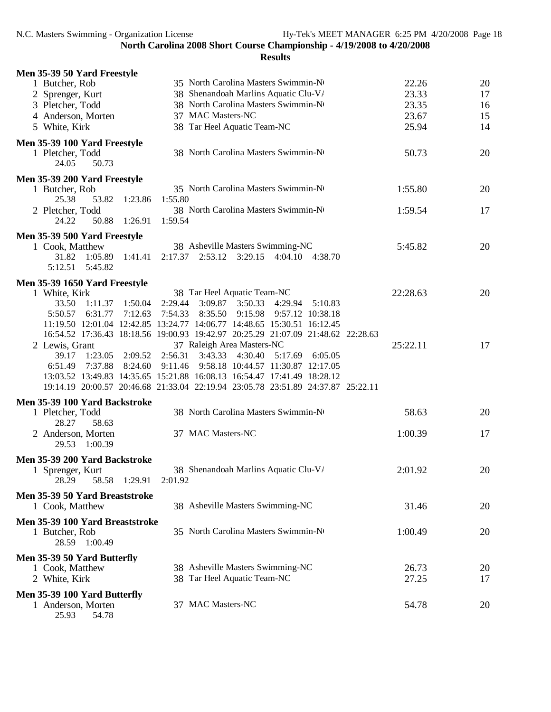| Men 35-39 50 Yard Freestyle                    |                                                                                  |          |    |
|------------------------------------------------|----------------------------------------------------------------------------------|----------|----|
| 1 Butcher, Rob                                 | 35 North Carolina Masters Swimmin-No                                             | 22.26    | 20 |
| 2 Sprenger, Kurt                               | 38 Shenandoah Marlins Aquatic Clu-V/                                             | 23.33    | 17 |
| 3 Pletcher, Todd                               | 38 North Carolina Masters Swimmin-No                                             | 23.35    | 16 |
| 4 Anderson, Morten                             | 37 MAC Masters-NC                                                                | 23.67    | 15 |
| 5 White, Kirk                                  | 38 Tar Heel Aquatic Team-NC                                                      | 25.94    | 14 |
|                                                |                                                                                  |          |    |
| Men 35-39 100 Yard Freestyle                   |                                                                                  |          |    |
| 1 Pletcher, Todd                               | 38 North Carolina Masters Swimmin-No                                             | 50.73    | 20 |
| 50.73<br>24.05                                 |                                                                                  |          |    |
| Men 35-39 200 Yard Freestyle                   |                                                                                  |          |    |
| 1 Butcher, Rob                                 | 35 North Carolina Masters Swimmin-No                                             | 1:55.80  | 20 |
| 25.38<br>53.82 1:23.86                         | 1:55.80                                                                          |          |    |
| 2 Pletcher, Todd                               | 38 North Carolina Masters Swimmin-Nt                                             | 1:59.54  | 17 |
| 24.22<br>50.88 1:26.91                         | 1:59.54                                                                          |          |    |
| Men 35-39 500 Yard Freestyle                   |                                                                                  |          |    |
| 1 Cook, Matthew                                | 38 Asheville Masters Swimming-NC                                                 | 5:45.82  | 20 |
| 31.82 1:05.89 1:41.41                          | 2:17.37 2:53.12 3:29.15 4:04.10 4:38.70                                          |          |    |
| 5:12.51    5:45.82                             |                                                                                  |          |    |
|                                                |                                                                                  |          |    |
| Men 35-39 1650 Yard Freestyle<br>1 White, Kirk | 38 Tar Heel Aquatic Team-NC                                                      | 22:28.63 | 20 |
| 33.50<br>$1:11.37$ $1:50.04$                   | 2:29.44<br>3:09.87<br>3:50.33<br>4:29.94<br>5:10.83                              |          |    |
| 6:31.77 7:12.63<br>5:50.57                     | 7:54.33<br>8:35.50<br>9:15.98<br>9:57.12 10:38.18                                |          |    |
|                                                | 11:19.50 12:01.04 12:42.85 13:24.77 14:06.77 14:48.65 15:30.51 16:12.45          |          |    |
|                                                | 16:54.52 17:36.43 18:18.56 19:00.93 19:42.97 20:25.29 21:07.09 21:48.62 22:28.63 |          |    |
| 2 Lewis, Grant                                 | 37 Raleigh Area Masters-NC                                                       | 25:22.11 | 17 |
|                                                | 39.17 1:23.05 2:09.52 2:56.31 3:43.33 4:30.40 5:17.69 6:05.05                    |          |    |
|                                                | 6:51.49 7:37.88 8:24.60 9:11.46 9:58.18 10:44.57 11:30.87 12:17.05               |          |    |
|                                                | 13:03.52 13:49.83 14:35.65 15:21.88 16:08.13 16:54.47 17:41.49 18:28.12          |          |    |
|                                                | 19:14.19 20:00.57 20:46.68 21:33.04 22:19.94 23:05.78 23:51.89 24:37.87 25:22.11 |          |    |
|                                                |                                                                                  |          |    |
| Men 35-39 100 Yard Backstroke                  | 38 North Carolina Masters Swimmin-No                                             | 58.63    | 20 |
| 1 Pletcher, Todd<br>28.27<br>58.63             |                                                                                  |          |    |
|                                                | 37 MAC Masters-NC                                                                |          |    |
| 2 Anderson, Morten<br>29.53 1:00.39            |                                                                                  | 1:00.39  | 17 |
|                                                |                                                                                  |          |    |
| Men 35-39 200 Yard Backstroke                  |                                                                                  |          |    |
| 1 Sprenger, Kurt                               | 38 Shenandoah Marlins Aquatic Clu-V/                                             | 2:01.92  | 20 |
| 28.29<br>58.58<br>1:29.91                      | 2:01.92                                                                          |          |    |
| Men 35-39 50 Yard Breaststroke                 |                                                                                  |          |    |
| 1 Cook, Matthew                                | 38 Asheville Masters Swimming-NC                                                 | 31.46    | 20 |
| Men 35-39 100 Yard Breaststroke                |                                                                                  |          |    |
| 1 Butcher, Rob                                 | 35 North Carolina Masters Swimmin-No                                             | 1:00.49  | 20 |
| 28.59 1:00.49                                  |                                                                                  |          |    |
|                                                |                                                                                  |          |    |
| Men 35-39 50 Yard Butterfly                    |                                                                                  |          |    |
| 1 Cook, Matthew                                | 38 Asheville Masters Swimming-NC                                                 | 26.73    | 20 |
| 2 White, Kirk                                  | 38 Tar Heel Aquatic Team-NC                                                      | 27.25    | 17 |
| Men 35-39 100 Yard Butterfly                   |                                                                                  |          |    |
| 1 Anderson, Morten                             | 37 MAC Masters-NC                                                                | 54.78    | 20 |
| 25.93<br>54.78                                 |                                                                                  |          |    |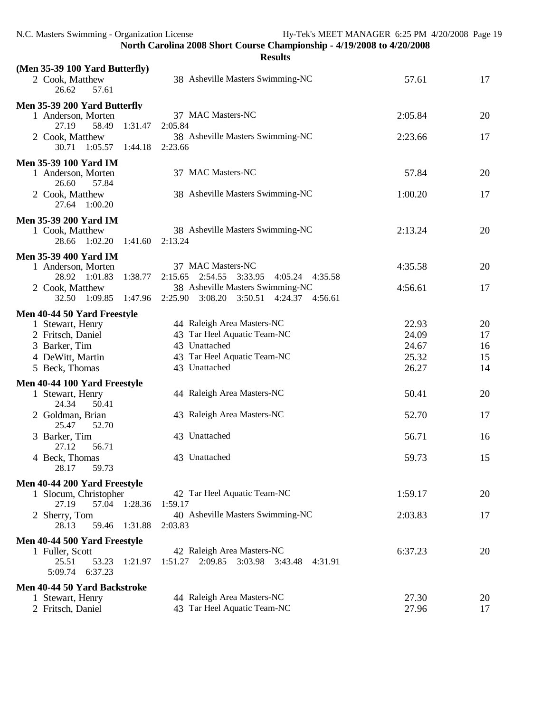| (Men 35-39 100 Yard Butterfly)                                              |                                                                                |         |          |
|-----------------------------------------------------------------------------|--------------------------------------------------------------------------------|---------|----------|
| 2 Cook, Matthew<br>26.62<br>57.61                                           | 38 Asheville Masters Swimming-NC                                               | 57.61   | 17       |
| Men 35-39 200 Yard Butterfly                                                |                                                                                |         |          |
| 1 Anderson, Morten<br>1:31.47<br>27.19<br>58.49                             | 37 MAC Masters-NC<br>2:05.84                                                   | 2:05.84 | 20       |
| 2 Cook, Matthew<br>$1:05.57$ $1:44.18$<br>30.71                             | 38 Asheville Masters Swimming-NC<br>2:23.66                                    | 2:23.66 | 17       |
| Men 35-39 100 Yard IM                                                       |                                                                                |         |          |
| 1 Anderson, Morten<br>26.60<br>57.84                                        | 37 MAC Masters-NC                                                              | 57.84   | 20       |
| 2 Cook, Matthew<br>27.64 1:00.20                                            | 38 Asheville Masters Swimming-NC                                               | 1:00.20 | 17       |
|                                                                             |                                                                                |         |          |
| <b>Men 35-39 200 Yard IM</b><br>1 Cook, Matthew<br>28.66 1:02.20<br>1:41.60 | 38 Asheville Masters Swimming-NC<br>2:13.24                                    | 2:13.24 | 20       |
| Men 35-39 400 Yard IM                                                       |                                                                                |         |          |
| 1 Anderson, Morten<br>28.92 1:01.83<br>1:38.77                              | 37 MAC Masters-NC<br>2:15.65 2:54.55 3:33.95<br>4:05.24<br>4:35.58             | 4:35.58 | 20       |
| 2 Cook, Matthew<br>1:47.96<br>32.50 1:09.85                                 | 38 Asheville Masters Swimming-NC<br>2:25.90 3:08.20 3:50.51 4:24.37<br>4:56.61 | 4:56.61 | 17       |
| Men 40-44 50 Yard Freestyle                                                 |                                                                                |         |          |
| 1 Stewart, Henry                                                            | 44 Raleigh Area Masters-NC                                                     | 22.93   | 20       |
| 2 Fritsch, Daniel                                                           | 43 Tar Heel Aquatic Team-NC                                                    | 24.09   | 17       |
| 3 Barker, Tim                                                               | 43 Unattached                                                                  | 24.67   | 16       |
|                                                                             | 43 Tar Heel Aquatic Team-NC                                                    | 25.32   |          |
| 4 DeWitt, Martin<br>5 Beck, Thomas                                          | 43 Unattached                                                                  | 26.27   | 15<br>14 |
|                                                                             |                                                                                |         |          |
| Men 40-44 100 Yard Freestyle                                                |                                                                                |         |          |
| 1 Stewart, Henry<br>24.34<br>50.41                                          | 44 Raleigh Area Masters-NC                                                     | 50.41   | 20       |
| 2 Goldman, Brian<br>52.70<br>25.47                                          | 43 Raleigh Area Masters-NC                                                     | 52.70   | 17       |
| 3 Barker, Tim<br>56.71<br>27.12                                             | 43 Unattached                                                                  | 56.71   | 16       |
| 4 Beck, Thomas<br>28.17<br>59.73                                            | 43 Unattached                                                                  | 59.73   | 15       |
| Men 40-44 200 Yard Freestyle                                                |                                                                                |         |          |
| 1 Slocum, Christopher<br>57.04<br>27.19<br>1:28.36                          | 42 Tar Heel Aquatic Team-NC<br>1:59.17                                         | 1:59.17 | 20       |
| 2 Sherry, Tom                                                               | 40 Asheville Masters Swimming-NC                                               | 2:03.83 | 17       |
| 28.13<br>59.46<br>1:31.88                                                   | 2:03.83                                                                        |         |          |
| Men 40-44 500 Yard Freestyle                                                |                                                                                |         |          |
| 1 Fuller, Scott                                                             | 42 Raleigh Area Masters-NC                                                     | 6:37.23 | 20       |
| 25.51<br>53.23<br>1:21.97<br>5:09.74 6:37.23                                | 2:09.85 3:03.98 3:43.48<br>1:51.27<br>4:31.91                                  |         |          |
| Men 40-44 50 Yard Backstroke                                                |                                                                                |         |          |
| 1 Stewart, Henry                                                            | 44 Raleigh Area Masters-NC                                                     | 27.30   | 20       |
| 2 Fritsch, Daniel                                                           | 43 Tar Heel Aquatic Team-NC                                                    | 27.96   | 17       |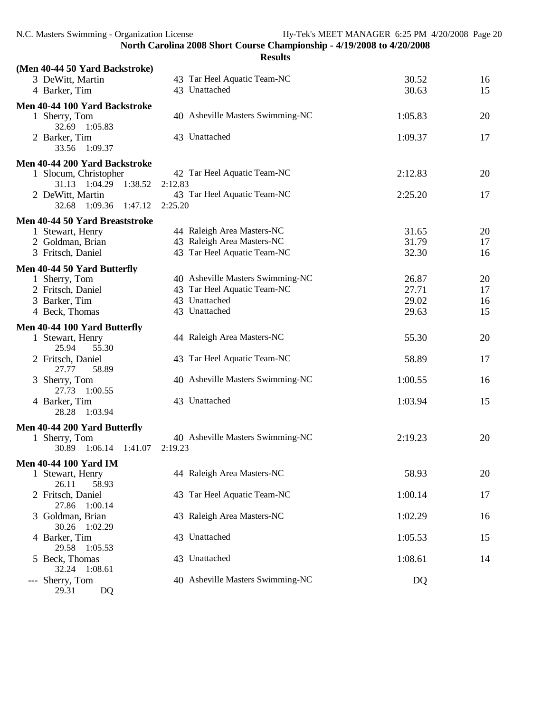| (Men 40-44 50 Yard Backstroke)                                                     |                                              |                |          |
|------------------------------------------------------------------------------------|----------------------------------------------|----------------|----------|
| 3 DeWitt, Martin<br>4 Barker, Tim                                                  | 43 Tar Heel Aquatic Team-NC<br>43 Unattached | 30.52<br>30.63 | 16<br>15 |
|                                                                                    |                                              |                |          |
| Men 40-44 100 Yard Backstroke<br>1 Sherry, Tom<br>32.69 1:05.83                    | 40 Asheville Masters Swimming-NC             | 1:05.83        | 20       |
| 2 Barker, Tim<br>1:09.37<br>33.56                                                  | 43 Unattached                                | 1:09.37        | 17       |
|                                                                                    |                                              |                |          |
| Men 40-44 200 Yard Backstroke<br>1 Slocum, Christopher<br>31.13 1:04.29<br>1:38.52 | 42 Tar Heel Aquatic Team-NC<br>2:12.83       | 2:12.83        | 20       |
| 2 DeWitt, Martin<br>1:47.12<br>32.68 1:09.36                                       | 43 Tar Heel Aquatic Team-NC<br>2:25.20       | 2:25.20        | 17       |
| Men 40-44 50 Yard Breaststroke                                                     |                                              |                |          |
| 1 Stewart, Henry                                                                   | 44 Raleigh Area Masters-NC                   | 31.65          | 20       |
| 2 Goldman, Brian                                                                   | 43 Raleigh Area Masters-NC                   | 31.79          | 17       |
| 3 Fritsch, Daniel                                                                  | 43 Tar Heel Aquatic Team-NC                  | 32.30          | 16       |
|                                                                                    |                                              |                |          |
| Men 40-44 50 Yard Butterfly<br>1 Sherry, Tom                                       | 40 Asheville Masters Swimming-NC             | 26.87          | 20       |
| 2 Fritsch, Daniel                                                                  | 43 Tar Heel Aquatic Team-NC                  | 27.71          | 17       |
| 3 Barker, Tim                                                                      | 43 Unattached                                | 29.02          | 16       |
| 4 Beck, Thomas                                                                     | 43 Unattached                                | 29.63          | 15       |
|                                                                                    |                                              |                |          |
| Men 40-44 100 Yard Butterfly                                                       |                                              |                |          |
| 1 Stewart, Henry<br>25.94<br>55.30                                                 | 44 Raleigh Area Masters-NC                   | 55.30          | 20       |
| 2 Fritsch, Daniel<br>27.77<br>58.89                                                | 43 Tar Heel Aquatic Team-NC                  | 58.89          | 17       |
| 3 Sherry, Tom<br>27.73 1:00.55                                                     | 40 Asheville Masters Swimming-NC             | 1:00.55        | 16       |
| 4 Barker, Tim<br>1:03.94<br>28.28                                                  | 43 Unattached                                | 1:03.94        | 15       |
| Men 40-44 200 Yard Butterfly                                                       |                                              |                |          |
| 1 Sherry, Tom                                                                      | 40 Asheville Masters Swimming-NC             | 2:19.23        | 20       |
| $1:06.14$ $1:41.07$<br>30.89                                                       | 2:19.23                                      |                |          |
| <b>Men 40-44 100 Yard IM</b>                                                       |                                              |                |          |
| 1 Stewart, Henry<br>26.11<br>58.93                                                 | 44 Raleigh Area Masters-NC                   | 58.93          | 20       |
| 2 Fritsch, Daniel<br>27.86 1:00.14                                                 | 43 Tar Heel Aquatic Team-NC                  | 1:00.14        | 17       |
| 3 Goldman, Brian<br>30.26 1:02.29                                                  | 43 Raleigh Area Masters-NC                   | 1:02.29        | 16       |
| 4 Barker, Tim<br>29.58<br>1:05.53                                                  | 43 Unattached                                | 1:05.53        | 15       |
| 5 Beck, Thomas<br>32.24<br>1:08.61                                                 | 43 Unattached                                | 1:08.61        | 14       |
| --- Sherry, Tom<br>29.31<br>DQ                                                     | 40 Asheville Masters Swimming-NC             | DQ             |          |
|                                                                                    |                                              |                |          |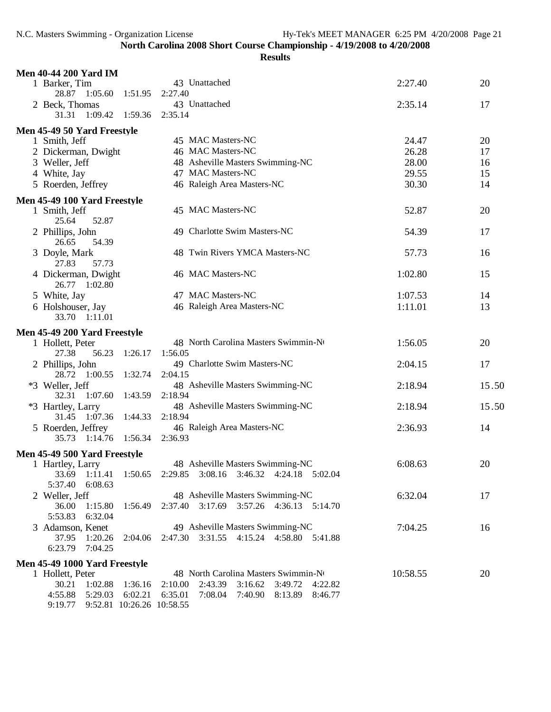**Results**

| <b>Men 40-44 200 Yard IM</b>            |         |                                                                       |                                      |         |         |                |          |
|-----------------------------------------|---------|-----------------------------------------------------------------------|--------------------------------------|---------|---------|----------------|----------|
| 1 Barker, Tim                           |         | 43 Unattached                                                         |                                      |         |         | 2:27.40        | 20       |
| 28.87 1:05.60                           | 1:51.95 | 2:27.40                                                               |                                      |         |         |                |          |
| 2 Beck, Thomas<br>31.31 1:09.42 1:59.36 |         | 43 Unattached<br>2:35.14                                              |                                      |         |         | 2:35.14        | 17       |
|                                         |         |                                                                       |                                      |         |         |                |          |
| Men 45-49 50 Yard Freestyle             |         |                                                                       |                                      |         |         |                |          |
| 1 Smith, Jeff                           |         | 45 MAC Masters-NC<br>46 MAC Masters-NC                                |                                      |         |         | 24.47<br>26.28 | 20<br>17 |
| 2 Dickerman, Dwight                     |         |                                                                       | 48 Asheville Masters Swimming-NC     |         |         | 28.00          |          |
| 3 Weller, Jeff                          |         | 47 MAC Masters-NC                                                     |                                      |         |         | 29.55          | 16<br>15 |
| 4 White, Jay<br>5 Roerden, Jeffrey      |         |                                                                       | 46 Raleigh Area Masters-NC           |         |         | 30.30          | 14       |
|                                         |         |                                                                       |                                      |         |         |                |          |
| Men 45-49 100 Yard Freestyle            |         |                                                                       |                                      |         |         |                |          |
| 1 Smith, Jeff                           |         | 45 MAC Masters-NC                                                     |                                      |         |         | 52.87          | 20       |
| 25.64<br>52.87                          |         |                                                                       | 49 Charlotte Swim Masters-NC         |         |         |                |          |
| 2 Phillips, John<br>54.39<br>26.65      |         |                                                                       |                                      |         |         | 54.39          | 17       |
| 3 Doyle, Mark                           |         |                                                                       | 48 Twin Rivers YMCA Masters-NC       |         |         | 57.73          | 16       |
| 27.83<br>57.73                          |         |                                                                       |                                      |         |         |                |          |
| 4 Dickerman, Dwight                     |         | 46 MAC Masters-NC                                                     |                                      |         |         | 1:02.80        | 15       |
| 26.77 1:02.80                           |         |                                                                       |                                      |         |         |                |          |
| 5 White, Jay                            |         | 47 MAC Masters-NC                                                     |                                      |         |         | 1:07.53        | 14       |
| 6 Holshouser, Jay<br>33.70 1:11.01      |         |                                                                       | 46 Raleigh Area Masters-NC           |         |         | 1:11.01        | 13       |
|                                         |         |                                                                       |                                      |         |         |                |          |
| Men 45-49 200 Yard Freestyle            |         |                                                                       |                                      |         |         |                |          |
| 1 Hollett, Peter<br>27.38<br>56.23      | 1:26.17 | 1:56.05                                                               | 48 North Carolina Masters Swimmin-No |         |         | 1:56.05        | 20       |
| 2 Phillips, John                        |         |                                                                       | 49 Charlotte Swim Masters-NC         |         |         | 2:04.15        | 17       |
| 28.72 1:00.55                           | 1:32.74 | 2:04.15                                                               |                                      |         |         |                |          |
| *3 Weller, Jeff                         |         |                                                                       | 48 Asheville Masters Swimming-NC     |         |         | 2:18.94        | 15.50    |
| 1:07.60<br>32.31                        | 1:43.59 | 2:18.94                                                               |                                      |         |         |                |          |
| *3 Hartley, Larry                       |         |                                                                       | 48 Asheville Masters Swimming-NC     |         |         | 2:18.94        | 15.50    |
| 31.45 1:07.36                           | 1:44.33 | 2:18.94                                                               |                                      |         |         |                |          |
| 5 Roerden, Jeffrey                      |         |                                                                       | 46 Raleigh Area Masters-NC           |         |         | 2:36.93        | 14       |
| 35.73 1:14.76 1:56.34                   |         | 2:36.93                                                               |                                      |         |         |                |          |
| Men 45-49 500 Yard Freestyle            |         |                                                                       |                                      |         |         |                |          |
| 1 Hartley, Larry                        |         |                                                                       | 48 Asheville Masters Swimming-NC     |         |         | 6:08.63        | 20       |
| 33.69                                   |         | $1:11.41$ $1:50.65$ $2:29.85$ $3:08.16$ $3:46.32$ $4:24.18$ $5:02.04$ |                                      |         |         |                |          |
| 6:08.63<br>5:37.40                      |         |                                                                       |                                      |         |         |                |          |
| 2 Weller, Jeff                          |         |                                                                       | 48 Asheville Masters Swimming-NC     |         |         | 6:32.04        | 17       |
| 36.00<br>1:15.80<br>6:32.04<br>5:53.83  | 1:56.49 | 2:37.40 3:17.69 3:57.26 4:36.13 5:14.70                               |                                      |         |         |                |          |
| 3 Adamson, Kenet                        |         |                                                                       | 49 Asheville Masters Swimming-NC     |         |         | 7:04.25        | 16       |
| 37.95<br>1:20.26                        | 2:04.06 | 2:47.30 3:31.55 4:15.24 4:58.80 5:41.88                               |                                      |         |         |                |          |
| 6:23.79<br>7:04.25                      |         |                                                                       |                                      |         |         |                |          |
| Men 45-49 1000 Yard Freestyle           |         |                                                                       |                                      |         |         |                |          |
| 1 Hollett, Peter                        |         |                                                                       | 48 North Carolina Masters Swimmin-No |         |         | 10:58.55       | 20       |
| 30.21<br>1:02.88                        | 1:36.16 | 2:10.00<br>2:43.39                                                    | 3:16.62                              | 3:49.72 | 4:22.82 |                |          |
| 5:29.03<br>4:55.88                      | 6:02.21 | 6:35.01<br>7:08.04                                                    | 7:40.90                              | 8:13.89 | 8:46.77 |                |          |

9:19.77 9:52.81 10:26.26 10:58.55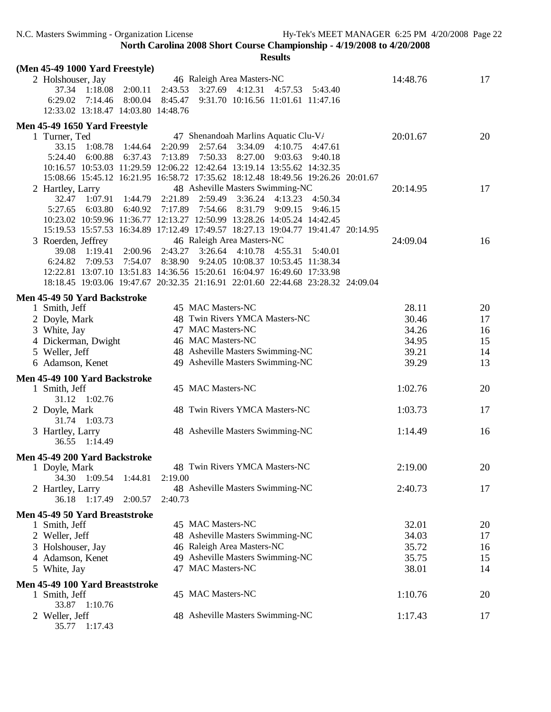| (Men 45-49 1000 Yard Freestyle)                                                  |         |         |                                                    |                 |         |                                    |          |          |
|----------------------------------------------------------------------------------|---------|---------|----------------------------------------------------|-----------------|---------|------------------------------------|----------|----------|
| 2 Holshouser, Jay                                                                |         |         | 46 Raleigh Area Masters-NC                         |                 |         |                                    | 14:48.76 | 17       |
| 37.34 1:18.08                                                                    | 2:00.11 | 2:43.53 | 3:27.69 4:12.31                                    |                 | 4:57.53 | 5:43.40                            |          |          |
| $6:29.02$ $7:14.46$                                                              | 8:00.04 | 8:45.47 |                                                    |                 |         | 9:31.70 10:16.56 11:01.61 11:47.16 |          |          |
| 12:33.02 13:18.47 14:03.80 14:48.76                                              |         |         |                                                    |                 |         |                                    |          |          |
| Men 45-49 1650 Yard Freestyle                                                    |         |         |                                                    |                 |         |                                    |          |          |
| 1 Turner, Ted                                                                    |         |         | 47 Shenandoah Marlins Aquatic Clu-V/               |                 |         |                                    | 20:01.67 | 20       |
| 33.15<br>1:08.78                                                                 | 1:44.64 | 2:20.99 | 2:57.64                                            | 3:34.09 4:10.75 |         | 4:47.61                            |          |          |
| 5:24.40<br>6:00.88                                                               | 6:37.43 | 7:13.89 | 7:50.33                                            | 8:27.00         | 9:03.63 | 9:40.18                            |          |          |
| 10:16.57 10:53.03 11:29.59 12:06.22 12:42.64 13:19.14 13:55.62 14:32.35          |         |         |                                                    |                 |         |                                    |          |          |
| 15:08.66 15:45.12 16:21.95 16:58.72 17:35.62 18:12.48 18:49.56 19:26.26 20:01.67 |         |         |                                                    |                 |         |                                    |          |          |
| 2 Hartley, Larry                                                                 |         |         | 48 Asheville Masters Swimming-NC                   |                 |         |                                    | 20:14.95 | 17       |
| 1:07.91<br>32.47                                                                 |         |         | 1:44.79 2:21.89 2:59.49 3:36.24 4:13.23 4:50.34    |                 |         |                                    |          |          |
| 5:27.65<br>6:03.80 6:40.92                                                       |         |         | 7:17.89 7:54.66                                    | 8:31.79 9:09.15 |         | 9:46.15                            |          |          |
| 10:23.02 10:59.96 11:36.77 12:13.27 12:50.99 13:28.26 14:05.24 14:42.45          |         |         |                                                    |                 |         |                                    |          |          |
| 15:19.53 15:57.53 16:34.89 17:12.49 17:49.57 18:27.13 19:04.77 19:41.47 20:14.95 |         |         |                                                    |                 |         |                                    |          |          |
| 3 Roerden, Jeffrey                                                               |         |         | 46 Raleigh Area Masters-NC                         |                 |         |                                    | 24:09.04 | 16       |
| 39.08<br>1:19.41                                                                 |         |         | 2:00.96 2:43.27 3:26.64 4:10.78                    |                 | 4:55.31 | 5:40.01                            |          |          |
| 6:24.82 7:09.53                                                                  |         |         | 7:54.07 8:38.90 9:24.05 10:08.37 10:53.45 11:38.34 |                 |         |                                    |          |          |
| 12:22.81 13:07.10 13:51.83 14:36.56 15:20.61 16:04.97 16:49.60 17:33.98          |         |         |                                                    |                 |         |                                    |          |          |
| 18:18.45 19:03.06 19:47.67 20:32.35 21:16.91 22:01.60 22:44.68 23:28.32 24:09.04 |         |         |                                                    |                 |         |                                    |          |          |
|                                                                                  |         |         |                                                    |                 |         |                                    |          |          |
| Men 45-49 50 Yard Backstroke                                                     |         |         | 45 MAC Masters-NC                                  |                 |         |                                    | 28.11    |          |
| 1 Smith, Jeff                                                                    |         |         | 48 Twin Rivers YMCA Masters-NC                     |                 |         |                                    | 30.46    | 20<br>17 |
| 2 Doyle, Mark                                                                    |         |         | 47 MAC Masters-NC                                  |                 |         |                                    |          |          |
| 3 White, Jay                                                                     |         |         |                                                    |                 |         |                                    | 34.26    | 16       |
| 4 Dickerman, Dwight                                                              |         |         | 46 MAC Masters-NC                                  |                 |         |                                    | 34.95    | 15       |
| 5 Weller, Jeff                                                                   |         |         | 48 Asheville Masters Swimming-NC                   |                 |         |                                    | 39.21    | 14       |
| 6 Adamson, Kenet                                                                 |         |         | 49 Asheville Masters Swimming-NC                   |                 |         |                                    | 39.29    | 13       |
| Men 45-49 100 Yard Backstroke                                                    |         |         |                                                    |                 |         |                                    |          |          |
| 1 Smith, Jeff                                                                    |         |         | 45 MAC Masters-NC                                  |                 |         |                                    | 1:02.76  | 20       |
| 31.12 1:02.76                                                                    |         |         |                                                    |                 |         |                                    |          |          |
| 2 Doyle, Mark                                                                    |         |         | 48 Twin Rivers YMCA Masters-NC                     |                 |         |                                    | 1:03.73  | 17       |
| 31.74 1:03.73                                                                    |         |         |                                                    |                 |         |                                    |          |          |
| 3 Hartley, Larry                                                                 |         |         | 48 Asheville Masters Swimming-NC                   |                 |         |                                    | 1:14.49  | 16       |
| 36.55 1:14.49                                                                    |         |         |                                                    |                 |         |                                    |          |          |
| Men 45-49 200 Yard Backstroke                                                    |         |         |                                                    |                 |         |                                    |          |          |
| 1 Doyle, Mark                                                                    |         |         | 48 Twin Rivers YMCA Masters-NC                     |                 |         |                                    | 2:19.00  | 20       |
| 34.30  1:09.54  1:44.81                                                          |         | 2:19.00 |                                                    |                 |         |                                    |          |          |
| 2 Hartley, Larry                                                                 |         |         | 48 Asheville Masters Swimming-NC                   |                 |         |                                    | 2:40.73  | 17       |
| 36.18 1:17.49 2:00.57                                                            |         | 2:40.73 |                                                    |                 |         |                                    |          |          |
| Men 45-49 50 Yard Breaststroke                                                   |         |         |                                                    |                 |         |                                    |          |          |
| 1 Smith, Jeff                                                                    |         |         | 45 MAC Masters-NC                                  |                 |         |                                    | 32.01    | 20       |
| 2 Weller, Jeff                                                                   |         |         | 48 Asheville Masters Swimming-NC                   |                 |         |                                    | 34.03    | 17       |
|                                                                                  |         |         |                                                    |                 |         |                                    |          |          |
| 3 Holshouser, Jay                                                                |         |         | 46 Raleigh Area Masters-NC                         |                 |         |                                    | 35.72    | 16       |
| 4 Adamson, Kenet                                                                 |         |         | 49 Asheville Masters Swimming-NC                   |                 |         |                                    | 35.75    | 15       |
| 5 White, Jay                                                                     |         |         | 47 MAC Masters-NC                                  |                 |         |                                    | 38.01    | 14       |
| Men 45-49 100 Yard Breaststroke                                                  |         |         |                                                    |                 |         |                                    |          |          |
| 1 Smith, Jeff                                                                    |         |         | 45 MAC Masters-NC                                  |                 |         |                                    | 1:10.76  | 20       |
| 33.87 1:10.76                                                                    |         |         |                                                    |                 |         |                                    |          |          |
| 2 Weller, Jeff                                                                   |         |         | 48 Asheville Masters Swimming-NC                   |                 |         |                                    | 1:17.43  | 17       |
| 35.77 1:17.43                                                                    |         |         |                                                    |                 |         |                                    |          |          |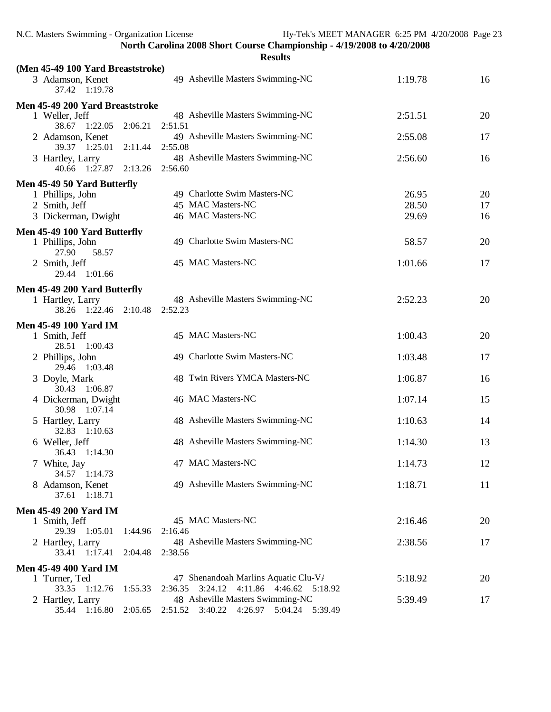|                                                                    |                 | <b>Results</b>                                |         |    |
|--------------------------------------------------------------------|-----------------|-----------------------------------------------|---------|----|
| (Men 45-49 100 Yard Breaststroke)                                  |                 |                                               |         |    |
| 3 Adamson, Kenet<br>37.42 1:19.78                                  |                 | 49 Asheville Masters Swimming-NC              | 1:19.78 | 16 |
| Men 45-49 200 Yard Breaststroke                                    |                 |                                               |         |    |
| 1 Weller, Jeff<br>38.67 1:22.05                                    | 2:06.21         | 48 Asheville Masters Swimming-NC<br>2:51.51   | 2:51.51 | 20 |
| 2 Adamson, Kenet<br>39.37 1:25.01                                  | 2:11.44 2:55.08 | 49 Asheville Masters Swimming-NC              | 2:55.08 | 17 |
| 3 Hartley, Larry<br>40.66 1:27.87 2:13.26                          |                 | 48 Asheville Masters Swimming-NC<br>2:56.60   | 2:56.60 | 16 |
|                                                                    |                 |                                               |         |    |
| Men 45-49 50 Yard Butterfly                                        |                 |                                               |         |    |
| 1 Phillips, John                                                   |                 | 49 Charlotte Swim Masters-NC                  | 26.95   | 20 |
| 2 Smith, Jeff                                                      |                 | 45 MAC Masters-NC                             | 28.50   | 17 |
| 3 Dickerman, Dwight                                                |                 | 46 MAC Masters-NC                             | 29.69   | 16 |
|                                                                    |                 |                                               |         |    |
| Men 45-49 100 Yard Butterfly<br>1 Phillips, John<br>27.90<br>58.57 |                 | 49 Charlotte Swim Masters-NC                  | 58.57   | 20 |
| 2 Smith, Jeff<br>29.44 1:01.66                                     |                 | 45 MAC Masters-NC                             | 1:01.66 | 17 |
|                                                                    |                 |                                               |         |    |
| Men 45-49 200 Yard Butterfly                                       |                 |                                               |         |    |
| 1 Hartley, Larry                                                   |                 | 48 Asheville Masters Swimming-NC              | 2:52.23 | 20 |
| 38.26 1:22.46 2:10.48                                              |                 | 2:52.23                                       |         |    |
| <b>Men 45-49 100 Yard IM</b>                                       |                 |                                               |         |    |
| 1 Smith, Jeff                                                      |                 | 45 MAC Masters-NC                             | 1:00.43 | 20 |
|                                                                    |                 |                                               |         |    |
| 28.51 1:00.43                                                      |                 |                                               |         |    |
| 2 Phillips, John                                                   |                 | 49 Charlotte Swim Masters-NC                  | 1:03.48 | 17 |
| 29.46 1:03.48                                                      |                 |                                               |         |    |
| 3 Doyle, Mark                                                      |                 | 48 Twin Rivers YMCA Masters-NC                | 1:06.87 | 16 |
| 30.43<br>1:06.87                                                   |                 |                                               |         |    |
| 4 Dickerman, Dwight                                                |                 | 46 MAC Masters-NC                             | 1:07.14 | 15 |
| 30.98<br>1:07.14                                                   |                 |                                               |         |    |
| 5 Hartley, Larry                                                   |                 | 48 Asheville Masters Swimming-NC              | 1:10.63 | 14 |
| 32.83 1:10.63                                                      |                 |                                               |         |    |
| 6 Weller, Jeff                                                     |                 | 48 Asheville Masters Swimming-NC              | 1:14.30 | 13 |
| 1:14.30<br>36.43                                                   |                 |                                               |         |    |
| 7 White, Jay                                                       |                 | 47 MAC Masters-NC                             | 1:14.73 | 12 |
| 34.57 1:14.73                                                      |                 |                                               |         |    |
| 8 Adamson, Kenet                                                   |                 | 49 Asheville Masters Swimming-NC              | 1:18.71 | 11 |
| 37.61 1:18.71                                                      |                 |                                               |         |    |
|                                                                    |                 |                                               |         |    |
| <b>Men 45-49 200 Yard IM</b>                                       |                 |                                               |         |    |
| 1 Smith, Jeff                                                      |                 | 45 MAC Masters-NC                             | 2:16.46 | 20 |
| 29.39 1:05.01                                                      | 1:44.96         | 2:16.46                                       |         |    |
| 2 Hartley, Larry                                                   |                 | 48 Asheville Masters Swimming-NC              | 2:38.56 | 17 |
| 33.41 1:17.41                                                      | 2:04.48         | 2:38.56                                       |         |    |
|                                                                    |                 |                                               |         |    |
| <b>Men 45-49 400 Yard IM</b>                                       |                 |                                               |         |    |
| 1 Turner, Ted                                                      |                 | 47 Shenandoah Marlins Aquatic Clu-V/          | 5:18.92 | 20 |
| 33.35 1:12.76                                                      | 1:55.33         | 4:11.86 4:46.62 5:18.92<br>2:36.35<br>3:24.12 |         |    |
| 2 Hartley, Larry                                                   |                 | 48 Asheville Masters Swimming-NC              | 5:39.49 | 17 |
| 35.44 1:16.80                                                      | 2:05.65         | 2:51.52<br>3:40.22<br>4:26.97 5:04.24 5:39.49 |         |    |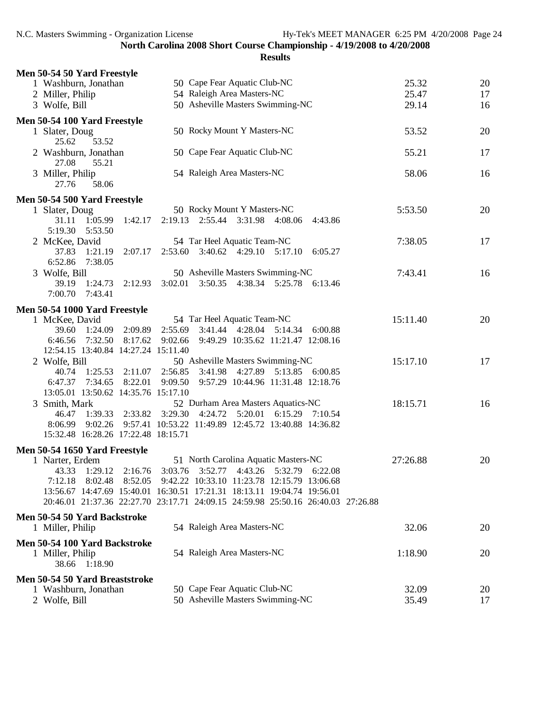| Men 50-54 50 Yard Freestyle               |                                                                                  |          |    |
|-------------------------------------------|----------------------------------------------------------------------------------|----------|----|
| 1 Washburn, Jonathan                      | 50 Cape Fear Aquatic Club-NC                                                     | 25.32    | 20 |
| 2 Miller, Philip                          | 54 Raleigh Area Masters-NC                                                       | 25.47    | 17 |
| 3 Wolfe, Bill                             | 50 Asheville Masters Swimming-NC                                                 | 29.14    | 16 |
|                                           |                                                                                  |          |    |
| Men 50-54 100 Yard Freestyle              |                                                                                  |          |    |
| 1 Slater, Doug                            | 50 Rocky Mount Y Masters-NC                                                      | 53.52    | 20 |
| 53.52<br>25.62                            |                                                                                  |          |    |
| 2 Washburn, Jonathan                      | 50 Cape Fear Aquatic Club-NC                                                     | 55.21    | 17 |
| 55.21<br>27.08                            |                                                                                  |          |    |
| 3 Miller, Philip                          | 54 Raleigh Area Masters-NC                                                       | 58.06    | 16 |
| 58.06<br>27.76                            |                                                                                  |          |    |
| Men 50-54 500 Yard Freestyle              |                                                                                  |          |    |
| 1 Slater, Doug                            | 50 Rocky Mount Y Masters-NC                                                      | 5:53.50  | 20 |
| 1:05.99<br>31.11<br>1:42.17               | 2:19.13 2:55.44 3:31.98 4:08.06 4:43.86                                          |          |    |
| 5:19.30<br>5:53.50                        |                                                                                  |          |    |
| 2 McKee, David                            | 54 Tar Heel Aquatic Team-NC                                                      | 7:38.05  | 17 |
| 37.83<br>1:21.19<br>2:07.17               | 2:53.60 3:40.62 4:29.10 5:17.10<br>6:05.27                                       |          |    |
| 6:52.86<br>7:38.05                        |                                                                                  |          |    |
| 3 Wolfe, Bill                             | 50 Asheville Masters Swimming-NC                                                 | 7:43.41  | 16 |
| 39.19<br>1:24.73<br>2:12.93               | 3:02.01 3:50.35 4:38.34 5:25.78 6:13.46                                          |          |    |
| 7:00.70 7:43.41                           |                                                                                  |          |    |
|                                           |                                                                                  |          |    |
| Men 50-54 1000 Yard Freestyle             |                                                                                  |          |    |
| 1 McKee, David                            | 54 Tar Heel Aquatic Team-NC                                                      | 15:11.40 | 20 |
| 39.60 1:24.09<br>2:09.89                  | 2:55.69<br>3:41.44 4:28.04 5:14.34<br>6:00.88                                    |          |    |
| 6:46.56<br>7:32.50                        | 8:17.62 9:02.66<br>9:49.29 10:35.62 11:21.47 12:08.16                            |          |    |
| 12:54.15 13:40.84 14:27.24 15:11.40       |                                                                                  |          |    |
| 2 Wolfe, Bill                             | 50 Asheville Masters Swimming-NC                                                 | 15:17.10 | 17 |
| 40.74  1:25.53  2:11.07  2:56.85  3:41.98 | 4:27.89 5:13.85 6:00.85                                                          |          |    |
| 6:47.37<br>7:34.65<br>8:22.01             | 9:09.50<br>9:57.29 10:44.96 11:31.48 12:18.76                                    |          |    |
| 13:05.01 13:50.62 14:35.76 15:17.10       |                                                                                  |          |    |
| 3 Smith, Mark                             | 52 Durham Area Masters Aquatics-NC                                               | 18:15.71 | 16 |
| 46.47 1:39.33 2:33.82                     | 3:29.30<br>4:24.72<br>5:20.01 6:15.29 7:10.54                                    |          |    |
| 8:06.99                                   | 9:02.26 9:57.41 10:53.22 11:49.89 12:45.72 13:40.88 14:36.82                     |          |    |
| 15:32.48 16:28.26 17:22.48 18:15.71       |                                                                                  |          |    |
| Men 50-54 1650 Yard Freestyle             |                                                                                  |          |    |
| 1 Narter, Erdem                           | 51 North Carolina Aquatic Masters-NC                                             | 27:26.88 | 20 |
| 1:29.12<br>43.33                          | 3:52.77 4:43.26 5:32.79<br>6:22.08<br>2:16.76 3:03.76                            |          |    |
| 7:12.18<br>8:02.48<br>8:52.05             | 9:42.22 10:33.10 11:23.78 12:15.79 13:06.68                                      |          |    |
|                                           | 13:56.67 14:47.69 15:40.01 16:30.51 17:21.31 18:13.11 19:04.74 19:56.01          |          |    |
|                                           | 20:46.01 21:37.36 22:27.70 23:17.71 24:09.15 24:59.98 25:50.16 26:40.03 27:26.88 |          |    |
|                                           |                                                                                  |          |    |
| Men 50-54 50 Yard Backstroke              |                                                                                  |          |    |
| 1 Miller, Philip                          | 54 Raleigh Area Masters-NC                                                       | 32.06    | 20 |
| Men 50-54 100 Yard Backstroke             |                                                                                  |          |    |
| 1 Miller, Philip                          | 54 Raleigh Area Masters-NC                                                       | 1:18.90  | 20 |
| 38.66 1:18.90                             |                                                                                  |          |    |
|                                           |                                                                                  |          |    |
| Men 50-54 50 Yard Breaststroke            |                                                                                  |          |    |
| 1 Washburn, Jonathan                      | 50 Cape Fear Aquatic Club-NC                                                     | 32.09    | 20 |
| 2 Wolfe, Bill                             | 50 Asheville Masters Swimming-NC                                                 | 35.49    | 17 |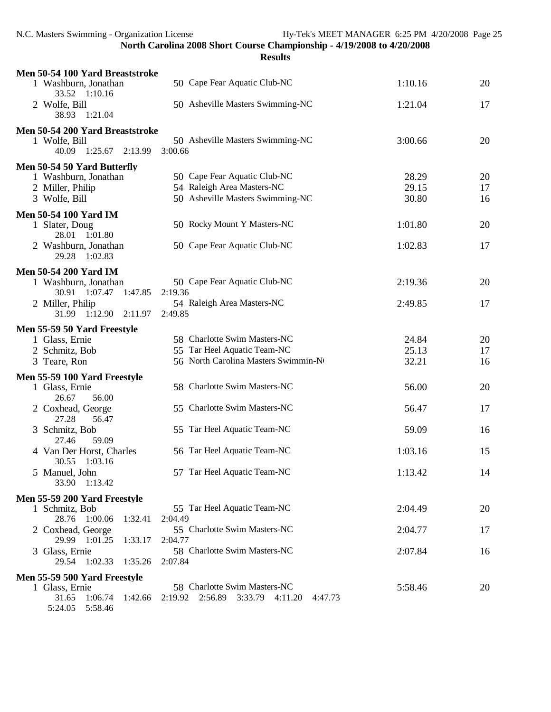| Men 50-54 100 Yard Breaststroke        |                                               |         |    |
|----------------------------------------|-----------------------------------------------|---------|----|
| 1 Washburn, Jonathan<br>33.52 1:10.16  | 50 Cape Fear Aquatic Club-NC                  | 1:10.16 | 20 |
| 2 Wolfe, Bill<br>38.93 1:21.04         | 50 Asheville Masters Swimming-NC              | 1:21.04 | 17 |
| Men 50-54 200 Yard Breaststroke        |                                               |         |    |
| 1 Wolfe, Bill<br>40.09 1:25.67 2:13.99 | 50 Asheville Masters Swimming-NC<br>3:00.66   | 3:00.66 | 20 |
| Men 50-54 50 Yard Butterfly            |                                               |         |    |
| 1 Washburn, Jonathan                   | 50 Cape Fear Aquatic Club-NC                  | 28.29   | 20 |
| 2 Miller, Philip                       | 54 Raleigh Area Masters-NC                    | 29.15   | 17 |
|                                        | 50 Asheville Masters Swimming-NC              |         |    |
| 3 Wolfe, Bill                          |                                               | 30.80   | 16 |
| <b>Men 50-54 100 Yard IM</b>           |                                               |         |    |
| 1 Slater, Doug<br>28.01 1:01.80        | 50 Rocky Mount Y Masters-NC                   | 1:01.80 | 20 |
| 2 Washburn, Jonathan<br>29.28 1:02.83  | 50 Cape Fear Aquatic Club-NC                  | 1:02.83 | 17 |
|                                        |                                               |         |    |
| <b>Men 50-54 200 Yard IM</b>           |                                               |         |    |
| 1 Washburn, Jonathan                   | 50 Cape Fear Aquatic Club-NC                  | 2:19.36 | 20 |
| 30.91 1:07.47 1:47.85 2:19.36          |                                               |         |    |
| 2 Miller, Philip                       | 54 Raleigh Area Masters-NC                    | 2:49.85 | 17 |
| 31.99 1:12.90 2:11.97                  | 2:49.85                                       |         |    |
| Men 55-59 50 Yard Freestyle            |                                               |         |    |
| 1 Glass, Ernie                         | 58 Charlotte Swim Masters-NC                  | 24.84   | 20 |
|                                        |                                               |         |    |
| 2 Schmitz, Bob                         | 55 Tar Heel Aquatic Team-NC                   | 25.13   | 17 |
| 3 Teare, Ron                           | 56 North Carolina Masters Swimmin-Nt          | 32.21   | 16 |
| Men 55-59 100 Yard Freestyle           |                                               |         |    |
| 1 Glass, Ernie                         | 58 Charlotte Swim Masters-NC                  | 56.00   | 20 |
| 26.67<br>56.00                         |                                               |         |    |
| 2 Coxhead, George                      | 55 Charlotte Swim Masters-NC                  | 56.47   | 17 |
| 27.28<br>56.47                         |                                               |         |    |
| 3 Schmitz, Bob                         | 55 Tar Heel Aquatic Team-NC                   | 59.09   | 16 |
| 27.46<br>59.09                         |                                               |         |    |
| 4 Van Der Horst, Charles               | 56 Tar Heel Aquatic Team-NC                   | 1:03.16 | 15 |
| 30.55 1:03.16                          |                                               |         |    |
| 5 Manuel, John                         | 57 Tar Heel Aquatic Team-NC                   | 1:13.42 | 14 |
| 33.90 1:13.42                          |                                               |         |    |
|                                        |                                               |         |    |
| Men 55-59 200 Yard Freestyle           |                                               |         |    |
| 1 Schmitz, Bob                         | 55 Tar Heel Aquatic Team-NC                   | 2:04.49 | 20 |
| 1:32.41<br>28.76 1:00.06               | 2:04.49                                       |         |    |
| 2 Coxhead, George                      | 55 Charlotte Swim Masters-NC                  | 2:04.77 | 17 |
| 29.99 1:01.25<br>1:33.17               | 2:04.77                                       |         |    |
| 3 Glass, Ernie                         | 58 Charlotte Swim Masters-NC                  | 2:07.84 | 16 |
| 1:02.33<br>29.54<br>1:35.26            | 2:07.84                                       |         |    |
| Men 55-59 500 Yard Freestyle           |                                               |         |    |
| 1 Glass, Ernie                         | 58 Charlotte Swim Masters-NC                  | 5:58.46 | 20 |
| 31.65<br>1:06.74<br>1:42.66            | 2:19.92<br>2:56.89 3:33.79 4:11.20<br>4:47.73 |         |    |
|                                        |                                               |         |    |
|                                        |                                               |         |    |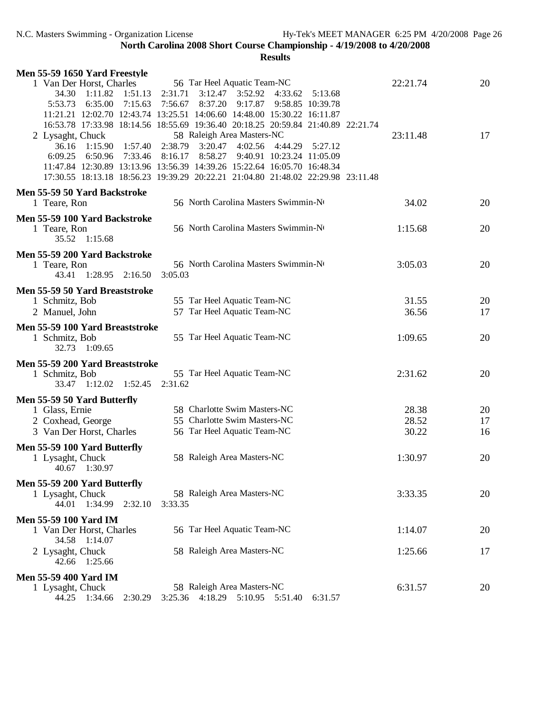| Men 55-59 1650 Yard Freestyle                                                                                                                                                                                                                                                                                                                                                                       |                |          |
|-----------------------------------------------------------------------------------------------------------------------------------------------------------------------------------------------------------------------------------------------------------------------------------------------------------------------------------------------------------------------------------------------------|----------------|----------|
| 56 Tar Heel Aquatic Team-NC<br>1 Van Der Horst, Charles<br>2:31.71<br>$3:12.47$ $3:52.92$<br>34.30<br>1:11.82<br>1:51.13<br>4:33.62<br>5:13.68<br>6:35.00<br>7:15.63<br>8:37.20<br>9:17.87<br>9:58.85 10:39.78<br>5:53.73<br>7:56.67<br>11:21.21 12:02.70 12:43.74 13:25.51 14:06.60 14:48.00 15:30.22 16:11.87<br>16:53.78 17:33.98 18:14.56 18:55.69 19:36.40 20:18.25 20:59.84 21:40.89 22:21.74 | 22:21.74       | 20       |
| 58 Raleigh Area Masters-NC<br>2 Lysaght, Chuck<br>2:38.79 3:20.47<br>4:02.56<br>36.16<br>1:15.90<br>1:57.40<br>4:44.29<br>5:27.12<br>6:09.25<br>6:50.96<br>8:16.17<br>8:58.27<br>9:40.91 10:23.24 11:05.09<br>7:33.46<br>11:47.84 12:30.89 13:13.96 13:56.39 14:39.26 15:22.64 16:05.70 16:48.34<br>17:30.55 18:13.18 18:56.23 19:39.29 20:22.21 21:04.80 21:48.02 22:29.98 23:11.48                | 23:11.48       | 17       |
| Men 55-59 50 Yard Backstroke<br>56 North Carolina Masters Swimmin-No<br>1 Teare, Ron                                                                                                                                                                                                                                                                                                                | 34.02          | 20       |
| Men 55-59 100 Yard Backstroke<br>56 North Carolina Masters Swimmin-No<br>1 Teare, Ron<br>35.52 1:15.68                                                                                                                                                                                                                                                                                              | 1:15.68        | 20       |
| Men 55-59 200 Yard Backstroke<br>56 North Carolina Masters Swimmin-No<br>1 Teare, Ron<br>$1:28.95$ $2:16.50$<br>3:05.03<br>43.41                                                                                                                                                                                                                                                                    | 3:05.03        | 20       |
| Men 55-59 50 Yard Breaststroke<br>55 Tar Heel Aquatic Team-NC<br>1 Schmitz, Bob<br>57 Tar Heel Aquatic Team-NC<br>2 Manuel, John                                                                                                                                                                                                                                                                    | 31.55<br>36.56 | 20<br>17 |
| Men 55-59 100 Yard Breaststroke<br>55 Tar Heel Aquatic Team-NC<br>1 Schmitz, Bob<br>1:09.65<br>32.73                                                                                                                                                                                                                                                                                                | 1:09.65        | 20       |
| Men 55-59 200 Yard Breaststroke<br>55 Tar Heel Aquatic Team-NC<br>1 Schmitz, Bob<br>33.47 1:12.02 1:52.45<br>2:31.62                                                                                                                                                                                                                                                                                | 2:31.62        | 20       |
| Men 55-59 50 Yard Butterfly                                                                                                                                                                                                                                                                                                                                                                         |                |          |
| 58 Charlotte Swim Masters-NC<br>1 Glass, Ernie                                                                                                                                                                                                                                                                                                                                                      | 28.38          | 20       |
| 55 Charlotte Swim Masters-NC<br>2 Coxhead, George                                                                                                                                                                                                                                                                                                                                                   | 28.52          | 17       |
| 56 Tar Heel Aquatic Team-NC<br>3 Van Der Horst, Charles                                                                                                                                                                                                                                                                                                                                             | 30.22          | 16       |
| Men 55-59 100 Yard Butterfly<br>58 Raleigh Area Masters-NC<br>1 Lysaght, Chuck<br>40.67 1:30.97                                                                                                                                                                                                                                                                                                     | 1:30.97        | 20       |
| Men 55-59 200 Yard Butterfly<br>58 Raleigh Area Masters-NC<br>1 Lysaght, Chuck<br>$1:34.99$ $2:32.10$<br>44.01<br>3:33.35                                                                                                                                                                                                                                                                           | 3:33.35        | 20       |
| <b>Men 55-59 100 Yard IM</b><br>56 Tar Heel Aquatic Team-NC<br>1 Van Der Horst, Charles<br>34.58<br>1:14.07                                                                                                                                                                                                                                                                                         | 1:14.07        | 20       |
| 58 Raleigh Area Masters-NC<br>2 Lysaght, Chuck<br>1:25.66<br>42.66                                                                                                                                                                                                                                                                                                                                  | 1:25.66        | 17       |
| <b>Men 55-59 400 Yard IM</b>                                                                                                                                                                                                                                                                                                                                                                        |                |          |
| 58 Raleigh Area Masters-NC<br>1 Lysaght, Chuck<br>3:25.36 4:18.29 5:10.95<br>44.25 1:34.66<br>5:51.40<br>6:31.57<br>2:30.29                                                                                                                                                                                                                                                                         | 6:31.57        | 20       |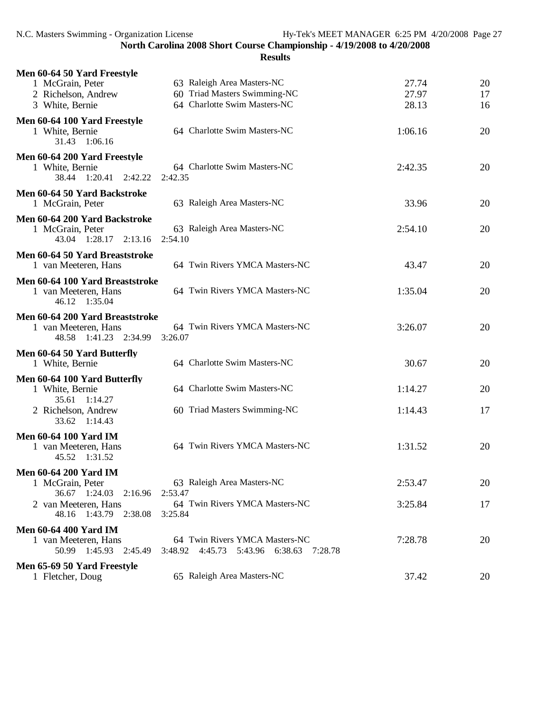N.C. Masters Swimming - Organization License Hy-Tek's MEET MANAGER 6:25 PM 4/20/2008 Page 27<br>North Carolina 2008 Short Course Championship - 4/19/2008 to 4/20/2008 **North Carolina 2008 Short Course Championship - 4/19/2008 to 4/20/2008**

| arolina 2008 Short Course Championship - 4/19/2008 to |  |
|-------------------------------------------------------|--|
| <b>Results</b>                                        |  |
|                                                       |  |

| Men 60-64 50 Yard Freestyle     |                                           |         |    |
|---------------------------------|-------------------------------------------|---------|----|
| 1 McGrain, Peter                | 63 Raleigh Area Masters-NC                | 27.74   | 20 |
| 2 Richelson, Andrew             | 60 Triad Masters Swimming-NC              | 27.97   | 17 |
| 3 White, Bernie                 | 64 Charlotte Swim Masters-NC              | 28.13   | 16 |
|                                 |                                           |         |    |
| Men 60-64 100 Yard Freestyle    | 64 Charlotte Swim Masters-NC              |         |    |
| 1 White, Bernie                 |                                           | 1:06.16 | 20 |
| 31.43 1:06.16                   |                                           |         |    |
| Men 60-64 200 Yard Freestyle    |                                           |         |    |
| 1 White, Bernie                 | 64 Charlotte Swim Masters-NC              | 2:42.35 | 20 |
| 38.44 1:20.41 2:42.22           | 2:42.35                                   |         |    |
| Men 60-64 50 Yard Backstroke    |                                           |         |    |
| 1 McGrain, Peter                | 63 Raleigh Area Masters-NC                | 33.96   | 20 |
| Men 60-64 200 Yard Backstroke   |                                           |         |    |
| 1 McGrain, Peter                | 63 Raleigh Area Masters-NC                | 2:54.10 | 20 |
| 43.04 1:28.17 2:13.16           | 2:54.10                                   |         |    |
|                                 |                                           |         |    |
| Men 60-64 50 Yard Breaststroke  |                                           |         |    |
| 1 van Meeteren, Hans            | 64 Twin Rivers YMCA Masters-NC            | 43.47   | 20 |
| Men 60-64 100 Yard Breaststroke |                                           |         |    |
| 1 van Meeteren, Hans            | 64 Twin Rivers YMCA Masters-NC            | 1:35.04 | 20 |
| 46.12 1:35.04                   |                                           |         |    |
| Men 60-64 200 Yard Breaststroke |                                           |         |    |
| 1 van Meeteren, Hans            | 64 Twin Rivers YMCA Masters-NC            | 3:26.07 | 20 |
| 1:41.23 2:34.99<br>48.58        | 3:26.07                                   |         |    |
|                                 |                                           |         |    |
| Men 60-64 50 Yard Butterfly     | 64 Charlotte Swim Masters-NC              |         |    |
| 1 White, Bernie                 |                                           | 30.67   | 20 |
| Men 60-64 100 Yard Butterfly    |                                           |         |    |
| 1 White, Bernie                 | 64 Charlotte Swim Masters-NC              | 1:14.27 | 20 |
| 35.61 1:14.27                   |                                           |         |    |
| 2 Richelson, Andrew             | 60 Triad Masters Swimming-NC              | 1:14.43 | 17 |
| 33.62 1:14.43                   |                                           |         |    |
| <b>Men 60-64 100 Yard IM</b>    |                                           |         |    |
| 1 van Meeteren, Hans            | 64 Twin Rivers YMCA Masters-NC            | 1:31.52 | 20 |
| 45.52 1:31.52                   |                                           |         |    |
| Men 60-64 200 Yard IM           |                                           |         |    |
| 1 McGrain, Peter                | 63 Raleigh Area Masters-NC                | 2:53.47 | 20 |
| 36.67 1:24.03<br>2:16.96        | 2:53.47                                   |         |    |
| 2 van Meeteren, Hans            | 64 Twin Rivers YMCA Masters-NC            | 3:25.84 | 17 |
| 48.16 1:43.79 2:38.08           | 3:25.84                                   |         |    |
|                                 |                                           |         |    |
| <b>Men 60-64 400 Yard IM</b>    |                                           |         |    |
| 1 van Meeteren, Hans            | 64 Twin Rivers YMCA Masters-NC<br>7:28.78 | 7:28.78 | 20 |
| 50.99 1:45.93 2:45.49           | 3:48.92 4:45.73 5:43.96 6:38.63           |         |    |
| Men 65-69 50 Yard Freestyle     |                                           |         |    |
| 1 Fletcher, Doug                | 65 Raleigh Area Masters-NC                | 37.42   | 20 |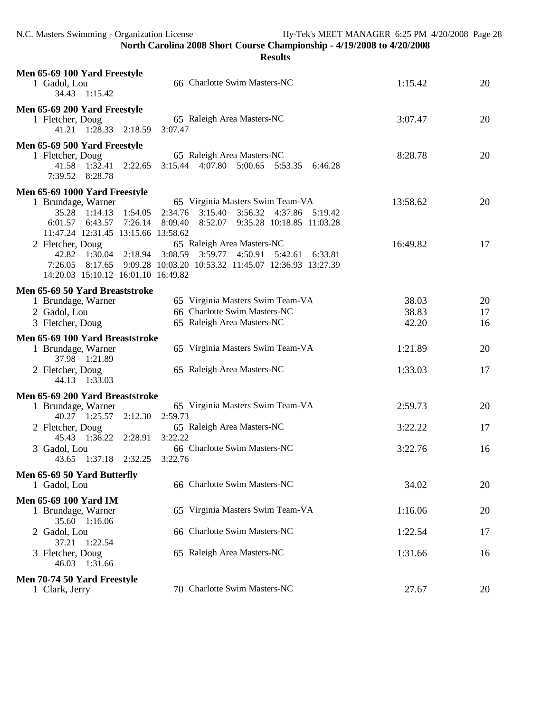| Men 65-69 100 Yard Freestyle<br>1 Gadol, Lou<br>34.43 1:15.42                                                       | 66 Charlotte Swim Masters-NC                                                                                                                     | 1:15.42  | 20 |
|---------------------------------------------------------------------------------------------------------------------|--------------------------------------------------------------------------------------------------------------------------------------------------|----------|----|
| Men 65-69 200 Yard Freestyle<br>1 Fletcher, Doug<br>41.21 1:28.33 2:18.59                                           | 65 Raleigh Area Masters-NC<br>3:07.47                                                                                                            | 3:07.47  | 20 |
| Men 65-69 500 Yard Freestyle<br>1 Fletcher, Doug<br>41.58 1:32.41 2:22.65<br>7:39.52 8:28.78                        | 65 Raleigh Area Masters-NC<br>3:15.44 4:07.80 5:00.65 5:53.35<br>6:46.28                                                                         | 8:28.78  | 20 |
| Men 65-69 1000 Yard Freestyle<br>1 Brundage, Warner<br>35.28 1:14.13 1:54.05<br>11:47.24 12:31.45 13:15.66 13:58.62 | 65 Virginia Masters Swim Team-VA<br>2:34.76 3:15.40 3:56.32 4:37.86 5:19.42<br>6:01.57 6:43.57 7:26.14 8:09.40 8:52.07 9:35.28 10:18.85 11:03.28 | 13:58.62 | 20 |
| 2 Fletcher, Doug<br>42.82 1:30.04 2:18.94 3:08.59 3:59.77 4:50.91<br>14:20.03 15:10.12 16:01.10 16:49.82            | 65 Raleigh Area Masters-NC<br>5:42.61 6:33.81<br>7:26.05 8:17.65 9:09.28 10:03.20 10:53.32 11:45.07 12:36.93 13:27.39                            | 16:49.82 | 17 |
| Men 65-69 50 Yard Breaststroke                                                                                      |                                                                                                                                                  |          |    |
| 1 Brundage, Warner                                                                                                  | 65 Virginia Masters Swim Team-VA                                                                                                                 | 38.03    | 20 |
| 2 Gadol, Lou                                                                                                        | 66 Charlotte Swim Masters-NC                                                                                                                     | 38.83    | 17 |
| 3 Fletcher, Doug                                                                                                    | 65 Raleigh Area Masters-NC                                                                                                                       | 42.20    | 16 |
| Men 65-69 100 Yard Breaststroke                                                                                     |                                                                                                                                                  |          |    |
| 1 Brundage, Warner<br>37.98 1:21.89                                                                                 | 65 Virginia Masters Swim Team-VA                                                                                                                 | 1:21.89  | 20 |
| 2 Fletcher, Doug<br>44.13 1:33.03                                                                                   | 65 Raleigh Area Masters-NC                                                                                                                       | 1:33.03  | 17 |
| Men 65-69 200 Yard Breaststroke                                                                                     |                                                                                                                                                  |          |    |
| 1 Brundage, Warner<br>40.27 1:25.57<br>2:12.30                                                                      | 65 Virginia Masters Swim Team-VA<br>2:59.73                                                                                                      | 2:59.73  | 20 |
| 2 Fletcher, Doug<br>45.43 1:36.22 2:28.91                                                                           | 65 Raleigh Area Masters-NC<br>3:22.22                                                                                                            | 3:22.22  | 17 |
| 3 Gadol, Lou<br>43.65 1:37.18 2:32.25                                                                               | 66 Charlotte Swim Masters-NC<br>3:22.76                                                                                                          | 3:22.76  | 16 |
| Men 65-69 50 Yard Butterfly                                                                                         |                                                                                                                                                  |          |    |
| 1 Gadol, Lou                                                                                                        | 66 Charlotte Swim Masters-NC                                                                                                                     | 34.02    | 20 |
| <b>Men 65-69 100 Yard IM</b><br>1 Brundage, Warner<br>35.60 1:16.06                                                 | 65 Virginia Masters Swim Team-VA                                                                                                                 | 1:16.06  | 20 |
| 2 Gadol, Lou<br>37.21<br>1:22.54                                                                                    | 66 Charlotte Swim Masters-NC                                                                                                                     | 1:22.54  | 17 |
| 3 Fletcher, Doug<br>46.03 1:31.66                                                                                   | 65 Raleigh Area Masters-NC                                                                                                                       | 1:31.66  | 16 |
| Men 70-74 50 Yard Freestyle<br>1 Clark, Jerry                                                                       | 70 Charlotte Swim Masters-NC                                                                                                                     | 27.67    | 20 |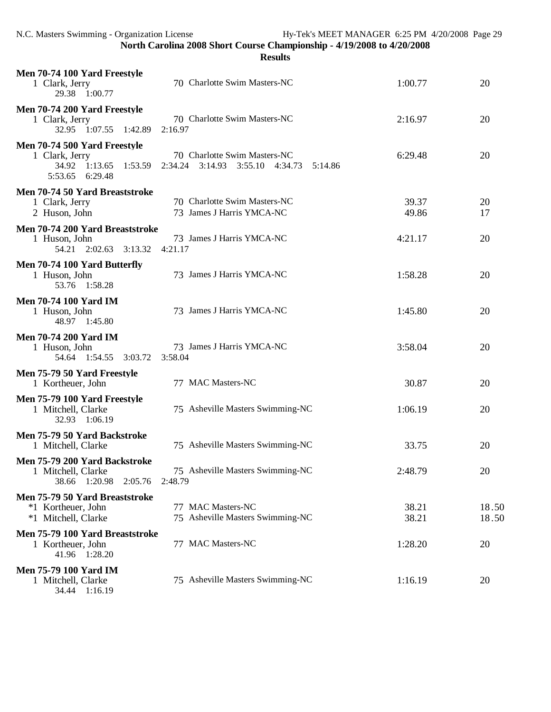| Men 70-74 100 Yard Freestyle<br>1 Clark, Jerry<br>29.38 1:00.77                            | 70 Charlotte Swim Masters-NC                                               | 1:00.77        | 20             |
|--------------------------------------------------------------------------------------------|----------------------------------------------------------------------------|----------------|----------------|
| Men 70-74 200 Yard Freestyle<br>1 Clark, Jerry<br>32.95 1:07.55 1:42.89                    | 70 Charlotte Swim Masters-NC<br>2:16.97                                    | 2:16.97        | 20             |
| Men 70-74 500 Yard Freestyle<br>1 Clark, Jerry<br>34.92 1:13.65 1:53.59<br>5:53.65 6:29.48 | 70 Charlotte Swim Masters-NC<br>2:34.24 3:14.93 3:55.10 4:34.73<br>5:14.86 | 6:29.48        | 20             |
| Men 70-74 50 Yard Breaststroke<br>1 Clark, Jerry<br>2 Huson, John                          | 70 Charlotte Swim Masters-NC<br>73 James J Harris YMCA-NC                  | 39.37<br>49.86 | 20<br>17       |
| Men 70-74 200 Yard Breaststroke<br>1 Huson, John<br>54.21 2:02.63 3:13.32                  | 73 James J Harris YMCA-NC<br>4:21.17                                       | 4:21.17        | 20             |
| Men 70-74 100 Yard Butterfly<br>1 Huson, John<br>53.76 1:58.28                             | 73 James J Harris YMCA-NC                                                  | 1:58.28        | 20             |
| <b>Men 70-74 100 Yard IM</b><br>1 Huson, John<br>48.97 1:45.80                             | 73 James J Harris YMCA-NC                                                  | 1:45.80        | 20             |
| <b>Men 70-74 200 Yard IM</b><br>1 Huson, John<br>54.64 1:54.55 3:03.72                     | 73 James J Harris YMCA-NC<br>3:58.04                                       | 3:58.04        | 20             |
| Men 75-79 50 Yard Freestyle<br>1 Kortheuer, John                                           | 77 MAC Masters-NC                                                          | 30.87          | 20             |
| Men 75-79 100 Yard Freestyle<br>1 Mitchell, Clarke<br>32.93 1:06.19                        | 75 Asheville Masters Swimming-NC                                           | 1:06.19        | 20             |
| Men 75-79 50 Yard Backstroke<br>1 Mitchell, Clarke                                         | 75 Asheville Masters Swimming-NC                                           | 33.75          | 20             |
| Men 75-79 200 Yard Backstroke<br>1 Mitchell, Clarke<br>38.66 1:20.98 2:05.76               | 75 Asheville Masters Swimming-NC<br>2:48.79                                | 2:48.79        | 20             |
| Men 75-79 50 Yard Breaststroke<br>*1 Kortheuer, John<br>*1 Mitchell, Clarke                | 77 MAC Masters-NC<br>75 Asheville Masters Swimming-NC                      | 38.21<br>38.21 | 18.50<br>18.50 |
| Men 75-79 100 Yard Breaststroke<br>1 Kortheuer, John<br>41.96 1:28.20                      | 77 MAC Masters-NC                                                          | 1:28.20        | 20             |
| <b>Men 75-79 100 Yard IM</b><br>1 Mitchell, Clarke<br>34.44 1:16.19                        | 75 Asheville Masters Swimming-NC                                           | 1:16.19        | 20             |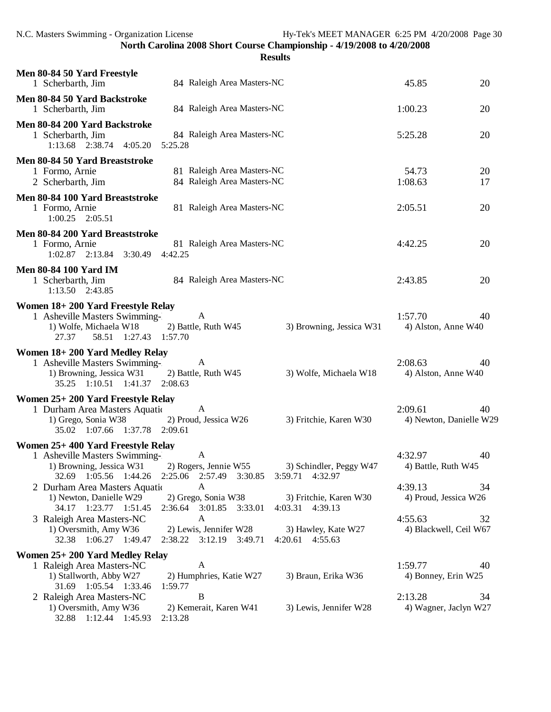| Men 80-84 50 Yard Freestyle<br>1 Scherbarth, Jim                                                                               | 84 Raleigh Area Masters-NC                                        |                                               | 45.85                              | 20       |
|--------------------------------------------------------------------------------------------------------------------------------|-------------------------------------------------------------------|-----------------------------------------------|------------------------------------|----------|
| Men 80-84 50 Yard Backstroke<br>1 Scherbarth, Jim                                                                              | 84 Raleigh Area Masters-NC                                        |                                               | 1:00.23                            | 20       |
| Men 80-84 200 Yard Backstroke<br>1 Scherbarth, Jim<br>$1:13.68$ $2:38.74$ $4:05.20$                                            | 84 Raleigh Area Masters-NC<br>5:25.28                             |                                               | 5:25.28                            | 20       |
| Men 80-84 50 Yard Breaststroke<br>1 Formo, Arnie<br>2 Scherbarth, Jim                                                          | 81 Raleigh Area Masters-NC<br>84 Raleigh Area Masters-NC          |                                               | 54.73<br>1:08.63                   | 20<br>17 |
| Men 80-84 100 Yard Breaststroke<br>1 Formo, Arnie<br>$1:00.25$ $2:05.51$                                                       | 81 Raleigh Area Masters-NC                                        |                                               | 2:05.51                            | 20       |
| Men 80-84 200 Yard Breaststroke<br>1 Formo, Arnie<br>$1:02.87$ $2:13.84$ $3:30.49$                                             | 81 Raleigh Area Masters-NC<br>4:42.25                             |                                               | 4:42.25                            | 20       |
| <b>Men 80-84 100 Yard IM</b><br>1 Scherbarth, Jim<br>1:13.50 2:43.85                                                           | 84 Raleigh Area Masters-NC                                        |                                               | 2:43.85                            | 20       |
| Women 18+200 Yard Freestyle Relay<br>1 Asheville Masters Swimming-<br>1) Wolfe, Michaela W18<br>27.37<br>58.51 1:27.43 1:57.70 | A<br>2) Battle, Ruth W45                                          | 3) Browning, Jessica W31                      | 1:57.70<br>4) Alston, Anne W40     | 40       |
| Women 18+200 Yard Medley Relay<br>1 Asheville Masters Swimming-<br>1) Browning, Jessica W31<br>35.25 1:10.51 1:41.37 2:08.63   | A<br>2) Battle, Ruth W45                                          | 3) Wolfe, Michaela W18                        | 2:08.63<br>4) Alston, Anne W40     | 40       |
| Women 25+200 Yard Freestyle Relay<br>1 Durham Area Masters Aquation<br>1) Grego, Sonia W38<br>35.02 1:07.66 1:37.78 2:09.61    | A<br>2) Proud, Jessica W26                                        | 3) Fritchie, Karen W30                        | 2:09.61<br>4) Newton, Danielle W29 | 40       |
| Women 25+400 Yard Freestyle Relay<br>1 Asheville Masters Swimming-<br>1) Browning, Jessica W31<br>32.69 1:05.56 1:44.26        | A<br>2) Rogers, Jennie W55<br>2:25.06 2:57.49<br>3:30.85          | 3) Schindler, Peggy W47<br>3:59.71<br>4:32.97 | 4:32.97<br>4) Battle, Ruth W45     | 40       |
| 2 Durham Area Masters Aquation<br>1) Newton, Danielle W29<br>34.17 1:23.77 1:51.45                                             | $\mathbf{A}$<br>2) Grego, Sonia W38<br>2:36.64 3:01.85<br>3:33.01 | 3) Fritchie, Karen W30<br>4:03.31<br>4:39.13  | 4:39.13<br>4) Proud, Jessica W26   | 34       |
| 3 Raleigh Area Masters-NC<br>1) Oversmith, Amy W36<br>32.38 1:06.27 1:49.47                                                    | A<br>2) Lewis, Jennifer W28<br>2:38.22 3:12.19 3:49.71            | 3) Hawley, Kate W27<br>4:20.61<br>4:55.63     | 4:55.63<br>4) Blackwell, Ceil W67  | 32       |
| Women 25+200 Yard Medley Relay<br>1 Raleigh Area Masters-NC<br>1) Stallworth, Abby W27<br>31.69 1:05.54 1:33.46                | A<br>2) Humphries, Katie W27<br>1:59.77                           | 3) Braun, Erika W36                           | 1:59.77<br>4) Bonney, Erin W25     | 40       |
| 2 Raleigh Area Masters-NC<br>1) Oversmith, Amy W36<br>32.88 1:12.44 1:45.93                                                    | $\mathbf B$<br>2) Kemerait, Karen W41<br>2:13.28                  | 3) Lewis, Jennifer W28                        | 2:13.28<br>4) Wagner, Jaclyn W27   | 34       |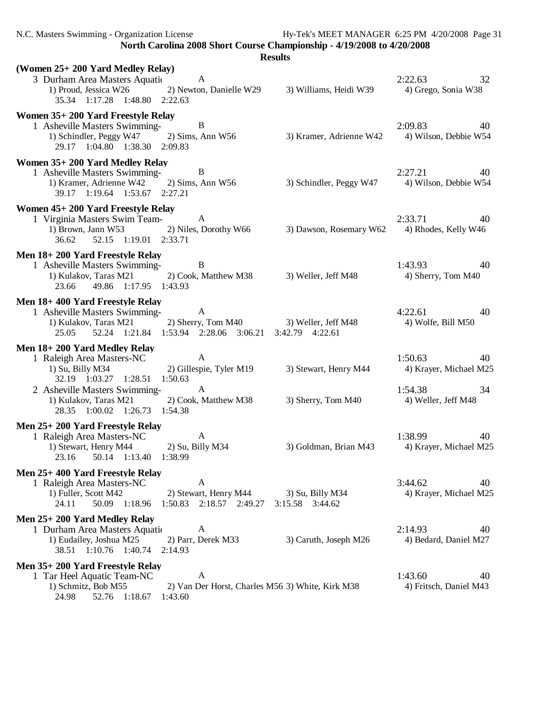N.C. Masters Swimming - Organization License Hy-Tek's MEET MANAGER 6:25 PM 4/20/2008 Page 31

**North Carolina 2008 Short Course Championship - 4/19/2008 to 4/20/2008**

| (Women 25+ 200 Yard Medley Relay)<br>3 Durham Area Masters Aquatic<br>35.34 1:17.28 1:48.80 2:22.63                                                                                               | $\overline{A}$<br>1) Proud, Jessica W26 2) Newton, Danielle W29                                                            | 3) Williams, Heidi W39                      | 2:22.63<br>32<br>4) Grego, Sonia W38                                            |
|---------------------------------------------------------------------------------------------------------------------------------------------------------------------------------------------------|----------------------------------------------------------------------------------------------------------------------------|---------------------------------------------|---------------------------------------------------------------------------------|
| Women 35+200 Yard Freestyle Relay<br>1 Asheville Masters Swimming-<br>1) Schindler, Peggy W47 2) Sims, Ann W56<br>29.17 1:04.80 1:38.30 2:09.83                                                   | B                                                                                                                          | 3) Kramer, Adrienne W42                     | 2:09.83<br>40<br>4) Wilson, Debbie W54                                          |
| Women 35+200 Yard Medley Relay<br>1 Asheville Masters Swimming-<br>1) Kramer, Adrienne W42<br>39.17 1:19.64 1:53.67 2:27.21                                                                       | B<br>$2)$ Sims, Ann W56                                                                                                    | 3) Schindler, Peggy W47                     | 2:27.21<br>40<br>4) Wilson, Debbie W54                                          |
| Women 45+200 Yard Freestyle Relay<br>1 Virginia Masters Swim Team-<br>1) Brown, Jann W53<br>52.15 1:19.01 2:33.71<br>36.62                                                                        | $\overline{A}$<br>2) Niles, Dorothy W66                                                                                    | 3) Dawson, Rosemary W62                     | 2:33.71 40<br>4) Rhodes, Kelly W46                                              |
| Men 18+200 Yard Freestyle Relay<br>1 Asheville Masters Swimming-<br>1) Kulakov, Taras M21 2) Cook, Matthew M38<br>23.66 49.86 1:17.95 1:43.93                                                     | B                                                                                                                          | 3) Weller, Jeff M48                         | 1:43.93<br>40<br>4) Sherry, Tom M40                                             |
| Men 18+400 Yard Freestyle Relay<br>1 Asheville Masters Swimming-<br>25.05                                                                                                                         | A<br>1) Kulakov, Taras M21 2) Sherry, Tom M40 3) Weller, Jeff M48<br>52.24 1:21.84 1:53.94 2:28.06 3:06.21 3:42.79 4:22.61 |                                             | 4:22.61<br>40<br>4) Wolfe, Bill M50                                             |
| Men 18+200 Yard Medley Relay<br>1 Raleigh Area Masters-NC<br>1) Su, Billy M34<br>32.19 1:03.27 1:28.51<br>2 Asheville Masters Swimming-<br>1) Kulakov, Taras M21<br>28.35 1:00.02 1:26.73 1:54.38 | $\mathbf{A}$<br>2) Gillespie, Tyler M19<br>1:50.63<br>A<br>2) Cook, Matthew M38                                            | 3) Stewart, Henry M44<br>3) Sherry, Tom M40 | 1:50.63<br>40<br>4) Krayer, Michael M25<br>1:54.38<br>34<br>4) Weller, Jeff M48 |
| Men 25+200 Yard Freestyle Relay<br>1 Raleigh Area Masters-NC<br>1) Stewart, Henry M44<br>23.16 50.14 1:13.40 1:38.99                                                                              | A<br>$2)$ Su, Billy M34                                                                                                    | 3) Goldman, Brian M43                       | 1:38.99<br>40<br>4) Krayer, Michael M25                                         |
| Men 25+400 Yard Freestyle Relay<br>1 Raleigh Area Masters-NC<br>1) Fuller, Scott M42<br>1:18.96<br>24.11<br>50.09                                                                                 | A<br>2) Stewart, Henry M44<br>2:18.57 2:49.27<br>1:50.83                                                                   | 3) Su, Billy M34<br>$3:15.58$ $3:44.62$     | 3:44.62<br>40<br>4) Krayer, Michael M25                                         |
| Men 25+200 Yard Medley Relay<br>1 Durham Area Masters Aquatic<br>1) Eudailey, Joshua M25<br>38.51 1:10.76 1:40.74                                                                                 | A<br>2) Parr, Derek M33<br>2:14.93                                                                                         | 3) Caruth, Joseph M26                       | 2:14.93<br>40<br>4) Bedard, Daniel M27                                          |
| Men 35+200 Yard Freestyle Relay<br>1 Tar Heel Aquatic Team-NC<br>1) Schmitz, Bob M55<br>24.98<br>52.76<br>1:18.67                                                                                 | A<br>2) Van Der Horst, Charles M56 3) White, Kirk M38<br>1:43.60                                                           |                                             | 1:43.60<br>40<br>4) Fritsch, Daniel M43                                         |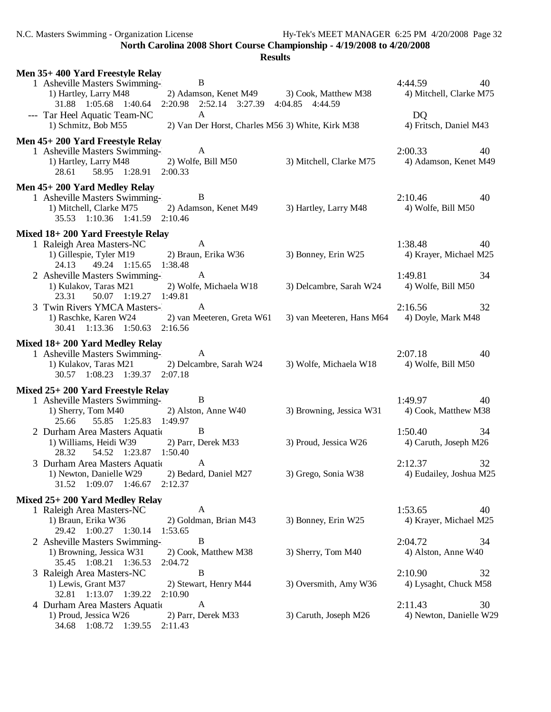| Men 35+400 Yard Freestyle Relay<br>1 Asheville Masters Swimming-<br>1) Hartley, Larry M48<br>31.88 1:05.68 1:40.64          | B<br>2) Adamson, Kenet M49 3) Cook, Matthew M38<br>2:20.98 2:52.14 3:27.39 4:04.85 4:44.59 |                           | 4:44.59<br>40<br>4) Mitchell, Clarke M75 |
|-----------------------------------------------------------------------------------------------------------------------------|--------------------------------------------------------------------------------------------|---------------------------|------------------------------------------|
| --- Tar Heel Aquatic Team-NC<br>1) Schmitz, Bob M55                                                                         | $\mathbf{A}$<br>2) Van Der Horst, Charles M56 3) White, Kirk M38                           |                           | DQ<br>4) Fritsch, Daniel M43             |
| Men 45+200 Yard Freestyle Relay<br>1 Asheville Masters Swimming-<br>1) Hartley, Larry M48<br>28.61 58.95 1:28.91 2:00.33    | A<br>2) Wolfe, Bill M50                                                                    | 3) Mitchell, Clarke M75   | 2:00.33<br>40<br>4) Adamson, Kenet M49   |
| Men 45+200 Yard Medley Relay<br>1 Asheville Masters Swimming-<br>1) Mitchell, Clarke M75<br>35.53 1:10.36 1:41.59           | B<br>2) Adamson, Kenet M49<br>2:10.46                                                      | 3) Hartley, Larry M48     | 2:10.46<br>40<br>4) Wolfe, Bill M50      |
| Mixed 18+200 Yard Freestyle Relay<br>1 Raleigh Area Masters-NC<br>1) Gillespie, Tyler M19<br>49.24 1:15.65 1:38.48<br>24.13 | $\mathbf{A}$<br>2) Braun, Erika W36                                                        | 3) Bonney, Erin W25       | 1:38.48<br>40<br>4) Krayer, Michael M25  |
| 2 Asheville Masters Swimming-<br>1) Kulakov, Taras M21<br>50.07 1:19.27 1:49.81<br>23.31                                    | A<br>2) Wolfe, Michaela W18                                                                | 3) Delcambre, Sarah W24   | 1:49.81<br>34<br>4) Wolfe, Bill M50      |
| 3 Twin Rivers YMCA Masters-<br>1) Raschke, Karen W24<br>30.41 1:13.36 1:50.63 2:16.56                                       | A<br>2) van Meeteren, Greta W61                                                            | 3) van Meeteren, Hans M64 | 2:16.56<br>32<br>4) Doyle, Mark M48      |
| Mixed 18+200 Yard Medley Relay<br>1 Asheville Masters Swimming-<br>1) Kulakov, Taras M21<br>30.57 1:08.23 1:39.37 2:07.18   | A<br>2) Delcambre, Sarah W24                                                               | 3) Wolfe, Michaela W18    | 2:07.18<br>40<br>4) Wolfe, Bill M50      |
| Mixed 25+200 Yard Freestyle Relay                                                                                           |                                                                                            |                           |                                          |
| 1 Asheville Masters Swimming-<br>1) Sherry, Tom M40<br>55.85 1:25.83 1:49.97<br>25.66                                       | $\bf{B}$<br>2) Alston, Anne W40                                                            | 3) Browning, Jessica W31  | 1:49.97<br>40<br>4) Cook, Matthew M38    |
| 2 Durham Area Masters Aquatic<br>1) Williams, Heidi W39<br>54.52  1:23.87  1:50.40<br>28.32                                 | B<br>2) Parr, Derek M33                                                                    | 3) Proud, Jessica W26     | 1:50.40<br>34<br>4) Caruth, Joseph M26   |
| 3 Durham Area Masters Aquatic<br>1) Newton, Danielle W29<br>31.52 1:09.07 1:46.67                                           | A<br>2) Bedard, Daniel M27<br>2:12.37                                                      | 3) Grego, Sonia W38       | 2:12.37<br>32<br>4) Eudailey, Joshua M25 |
| Mixed 25+200 Yard Medley Relay                                                                                              |                                                                                            |                           |                                          |
| 1 Raleigh Area Masters-NC<br>1) Braun, Erika W36<br>29.42 1:00.27 1:30.14                                                   | A<br>2) Goldman, Brian M43<br>1:53.65                                                      | 3) Bonney, Erin W25       | 1:53.65<br>40<br>4) Krayer, Michael M25  |
| 2 Asheville Masters Swimming-<br>1) Browning, Jessica W31<br>35.45 1:08.21 1:36.53                                          | B<br>2) Cook, Matthew M38<br>2:04.72                                                       | 3) Sherry, Tom M40        | 2:04.72<br>34<br>4) Alston, Anne W40     |
| 3 Raleigh Area Masters-NC<br>1) Lewis, Grant M37<br>32.81 1:13.07 1:39.22                                                   | B<br>2) Stewart, Henry M44<br>2:10.90                                                      | 3) Oversmith, Amy W36     | 2:10.90<br>32<br>4) Lysaght, Chuck M58   |
| 4 Durham Area Masters Aquatio<br>1) Proud, Jessica W26<br>34.68 1:08.72 1:39.55                                             | A<br>2) Parr, Derek M33<br>2:11.43                                                         | 3) Caruth, Joseph M26     | 2:11.43<br>30<br>4) Newton, Danielle W29 |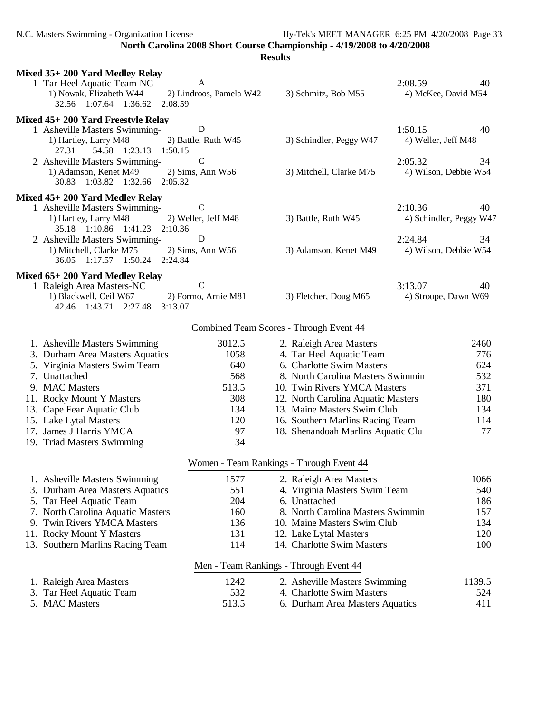| Mixed 35+ 200 Yard Medley Relay                                                                              |                                                       |                                                      |         |                               |
|--------------------------------------------------------------------------------------------------------------|-------------------------------------------------------|------------------------------------------------------|---------|-------------------------------|
| 1 Tar Heel Aquatic Team-NC<br>1) Nowak, Elizabeth W44<br>32.56 1:07.64 1:36.62                               | А<br>2) Lindroos, Pamela W42<br>2:08.59               | 3) Schmitz, Bob M55                                  | 2:08.59 | 40<br>4) McKee, David M54     |
| Mixed 45+ 200 Yard Freestyle Relay                                                                           |                                                       |                                                      |         |                               |
| 1 Asheville Masters Swimming-<br>1) Hartley, Larry M48                                                       | D<br>2) Battle, Ruth W45                              | 3) Schindler, Peggy W47                              | 1:50.15 | 40<br>4) Weller, Jeff M48     |
| 27.31<br>54.58<br>1:23.13<br>2 Asheville Masters Swimming-<br>1) Adamson, Kenet M49<br>30.83 1:03.82 1:32.66 | 1:50.15<br>$\mathbf C$<br>2) Sims, Ann W56<br>2:05.32 | 3) Mitchell, Clarke M75                              | 2:05.32 | 34<br>4) Wilson, Debbie W54   |
| Mixed 45+ 200 Yard Medley Relay                                                                              |                                                       |                                                      |         |                               |
| 1 Asheville Masters Swimming-<br>1) Hartley, Larry M48<br>35.18 1:10.86 1:41.23                              | $\mathsf{C}$<br>2) Weller, Jeff M48<br>2:10.36        | 3) Battle, Ruth W45                                  | 2:10.36 | 40<br>4) Schindler, Peggy W47 |
| 2 Asheville Masters Swimming-<br>1) Mitchell, Clarke M75<br>$1:17.57$ $1:50.24$<br>36.05                     | D<br>2) Sims, Ann W56<br>2:24.84                      | 3) Adamson, Kenet M49                                | 2:24.84 | 34<br>4) Wilson, Debbie W54   |
| Mixed 65+200 Yard Medley Relay                                                                               |                                                       |                                                      |         |                               |
| 1 Raleigh Area Masters-NC<br>1) Blackwell, Ceil W67<br>42.46 1:43.71 2:27.48                                 | $\mathbf C$<br>2) Formo, Arnie M81<br>3:13.07         | 3) Fletcher, Doug M65                                | 3:13.07 | 40<br>4) Stroupe, Dawn W69    |
|                                                                                                              |                                                       | Combined Team Scores - Through Event 44              |         |                               |
| 1. Asheville Masters Swimming                                                                                | 3012.5                                                | 2. Raleigh Area Masters                              |         | 2460                          |
| 3. Durham Area Masters Aquatics                                                                              | 1058                                                  | 4. Tar Heel Aquatic Team                             |         | 776                           |
| 5. Virginia Masters Swim Team                                                                                | 640                                                   | 6. Charlotte Swim Masters                            |         | 624                           |
| 7. Unattached                                                                                                | 568                                                   | 8. North Carolina Masters Swimmin                    |         | 532                           |
| 9. MAC Masters                                                                                               | 513.5                                                 | 10. Twin Rivers YMCA Masters                         |         | 371                           |
| 11. Rocky Mount Y Masters                                                                                    | 308                                                   | 12. North Carolina Aquatic Masters                   |         | 180                           |
| 13. Cape Fear Aquatic Club                                                                                   | 134                                                   | 13. Maine Masters Swim Club                          |         | 134                           |
| 15. Lake Lytal Masters                                                                                       | 120                                                   | 16. Southern Marlins Racing Team                     |         | 114                           |
| 17. James J Harris YMCA<br>19. Triad Masters Swimming                                                        | 97<br>34                                              | 18. Shenandoah Marlins Aquatic Clu                   |         | 77                            |
|                                                                                                              |                                                       |                                                      |         |                               |
|                                                                                                              |                                                       | Women - Team Rankings - Through Event 44             |         |                               |
| 1. Asheville Masters Swimming                                                                                | 1577                                                  | 2. Raleigh Area Masters                              |         | 1066                          |
| 3. Durham Area Masters Aquatics                                                                              | 551                                                   | 4. Virginia Masters Swim Team                        |         | 540                           |
| 5. Tar Heel Aquatic Team                                                                                     | 204                                                   | 6. Unattached                                        |         | 186                           |
| 7. North Carolina Aquatic Masters                                                                            | 160                                                   | 8. North Carolina Masters Swimmin                    |         | 157                           |
| 9. Twin Rivers YMCA Masters<br>11. Rocky Mount Y Masters                                                     | 136<br>131                                            | 10. Maine Masters Swim Club                          |         | 134<br>120                    |
| 13. Southern Marlins Racing Team                                                                             | 114                                                   | 12. Lake Lytal Masters<br>14. Charlotte Swim Masters |         | 100                           |
|                                                                                                              |                                                       | Men - Team Rankings - Through Event 44               |         |                               |
| 1. Raleigh Area Masters                                                                                      | 1242                                                  | 2. Asheville Masters Swimming                        |         | 1139.5                        |
| 3. Tar Heel Aquatic Team                                                                                     | 532                                                   | 4. Charlotte Swim Masters                            |         | 524                           |
| 5. MAC Masters                                                                                               | 513.5                                                 | 6. Durham Area Masters Aquatics                      |         | 411                           |
|                                                                                                              |                                                       |                                                      |         |                               |